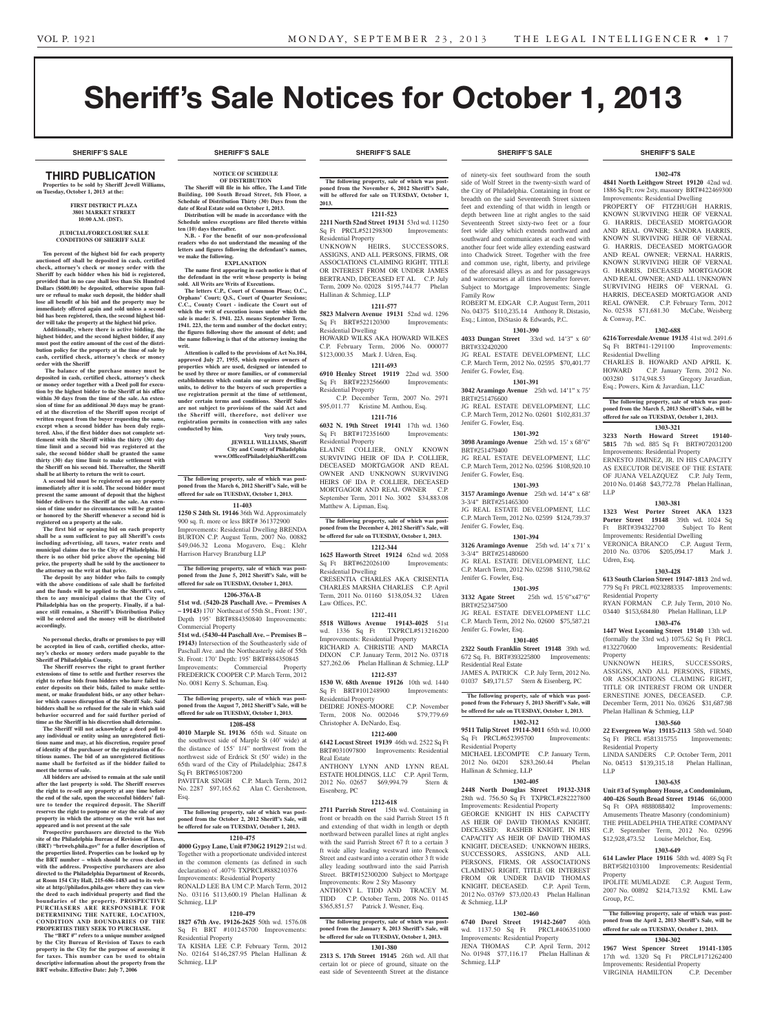# Sheriff's Sale Notices for October 1, 2013

**SHERIFF'S SALE SHERIFF'S SALE SHERIFF'S SALE SHERIFF'S SALE SHERIFF'S SALE**

#### THIRD PUBLICATION **Properties to be sold by Sheriff Jewell Williams,**

**on Tuesday, October 1, 2013 at the: First District Plaza 3801 Market Street 10:00 A.M. (DST).**

#### **JUDICIAL/FORECLOSURE SALE CONDITIONS OF SHERIFF SALE**

**Ten percent of the highest bid for each property auctioned off shall be deposited in cash, certified check, attorney's check or money order with the Sheriff by each bidder when his bid is registered, provided that in no case shall less than Six Hundred Dollars (\$600.00) be deposited, otherwise upon fail-ure or refusal to make such deposit, the bidder shall lose all benefit of his bid and the property may be immediately offered again and sold unless a second bid has been registered, then, the second highest bid-**

**der will take the property at the highest bid price. Additionally, where there is active bidding, the highest bidder, and the second highest bidder, if any must post the entire amount of the cost of the distribution policy for the property at the time of sale by cash, certified check, attorney's check or money order with the Sheriff**

 **The balance of the purchase money must be deposited in cash, certified check, attorney's check or money order together with a Deed poll for execution by the highest bidder to the Sheriff at his office within 30 days from the time of the sale. An extension of time for an additional 30 days may be granted at the discretion of the Sheriff upon receipt of**  written request from the buyer requesting the same **except when a second bidder has been duly registered. Also, if the first bidder does not complete settlement with the Sheriff within the thirty (30) day time limit and a second bid was registered at the sale, the second bidder shall be granted the same thirty (30) day time limit to make settlement with the Sheriff on his second bid. Thereafter, the Sheriff shall be at liberty to return the writ to court.**

**A second bid must be registered on any property immediately after it is sold. The second bidder must present the same amount of deposit that the highest bidder delivers to the Sheriff at the sale. An extension of time under no circumstances will be granted or honored by the Sheriff whenever a second bid is registered on a property at the sale.** 

**The first bid or opening bid on each property shall be a sum sufficient to pay all Sheriff's costs including advertising, all taxes, water rents and municipal claims due to the City of Philadelphia. If there is no other bid price above the opening bid price, the property shall be sold by the auctioneer to the attorney on the writ at that price.**

**The deposit by any bidder who fails to comply with the above conditions of sale shall be forfeited and the funds will be applied to the Sheriff's cost, then to any municipal claims that the City of Philadelphia has on the property. Finally, if a bal-ance still remains, a Sheriff's Distribution Policy will be ordered and the money will be distributed accordingly.**

**No personal checks, drafts or promises to pay will be accepted in lieu of cash, certified checks, attorney's checks or money orders made payable to the Sheriff of Philadelphia County.**

**The Sheriff reserves the right to grant further extensions of time to settle and further reserves the right to refuse bids from bidders who have failed to enter deposits on their bids, failed to make settlement, or make fraudulent bids, or any other behavior which causes disruption of the Sheriff Sale. Said bidders shall be so refused for the sale in which said behavior occurred and for said further period of time as the Sheriff in his discretion shall determine.**

**The Sheriff will not acknowledge a deed poll to any individual or entity using an unregistered fictitious name and may, at his discretion, require proof of identity of the purchaser or the registration of fictitious names. The bid of an unregistered fictitious name shall be forfeited as if the bidder failed to meet the terms of sale.**

All bidders are advised to ren **after the last property is sold. The Sheriff reserves the right to re-sell any property at any time before the end of the sale, upon the successful bidders' failure to tender the required deposit. The Sheriff reserves the right to postpone or stay the sale of any property in which the attorney on the writ has not appeared and is not present at the sale**

**Prospective purchasers are directed to the Web site of the Philadelphia Bureau of Revision of Taxes, (BRT) "brtweb.phila.gov" for a fuller description of the properties listed. Properties can be looked up by the BRT number – which should be cross checked with the address. Prospective purchasers are also directed to the Philadelphia Department of Records, at Room 154 City Hall, 215-686-1483 and to its website at http://philadox.phila.gov where they can view the deed to each individual property and find the boundaries of the property. PROSPECTIVE PURCHASERS ARE RESPONSIBLE FOR DETERMINING THE NATURE, LOCATION, CONDITION AND BOUNDARIES OF THE PROPERTIES THEY SEEK TO PURCHASE.**

 **The "BRT #" refers to a unique number assigned by the City Bureau of Revision of Taxes to each property in the City for the purpose of assessing it for taxes. This number can be used to obtain descriptive information about the property from the BRT website. Effective Date: July 7, 2006**

**we make the following.**

**writ.**

**conducted by him.**

**NOTICE OF SCHEDULE OF DISTRIBUTION The Sheriff will file in his office, The Land Title Building, 100 South Broad Street, 5th Floor, a Schedule of Distribution Thirty (30) Days from the date of Real Estate sold on October 1, 2013. Distribution will be made in accordance with the Schedule unless exceptions are filed thereto within ten (10) days thereafter. N.B. - For the benefit of our non-professional readers who do not understand the meaning of the letters and figures following the defendant's names,** 

**EXPLANATION The name first appearing in each notice is that of the defendant in the writ whose property is being sold. All Writs are Writs of Executions.**

**The letters C.P., Court of Common Pleas; O.C.,**  Orphans' Court; Q.S., Court of Quarter Session **C.C., County Court - indicate the Court out of which the writ of execution issues under which the**  sale is made: S. 1941. 223. means September Term, **1941. 223, the term and number of the docket entry; the figures following show the amount of debt; and the name following is that of the attorney issuing the** 

**Attention is called to the provisions of Act No.104, approved July 27, 1955, which requires owners of properties which are used, designed or intended to be used by three or more families, or of commercial establishments which contain one or more dwelling units, to deliver to the buyers of such properties a use registration permit at the time of settlement, under certain terms and conditions. Sheriff Sales are not subject to provisions of the said Act and the Sheriff will, therefore, not deliver use registration permits in connection with any sales** 

**The following property, sale of which was postponed from the March 6, 2012 Sheriff's Sale, will be offered for sale on TUESDAY, October 1, 2013. 11-403 1250 S 24th St. 19146** 36th Wd. Approximately 900 sq. ft. more or less BRT# 361372900 Improvements: Residential Dwelling BRENDA BURTON C.P. August Term, 2007 No. 00882 \$49,046.32 Leona Mogavero, Esq.; Klehr

**The following property, sale of which was postponed from the June 5, 2012 Sheriff's Sale, will be offered for sale on TUESDAY, October 1, 2013. 1206-376A-B 51st wd. (5420-28 Paschall Ave. – Premises A – 19143)** 170' Northeast of 55th St., Front: 130', Depth 195' BRT#884350840 Improvements:

**51st wd. (5430-44 Paschall Ave. – Premises B – 19143)** Intersection of the Southeasterly side of Paschall Ave. and the Northeasterly side of 55th St. Front: 170' Depth: 195' BRT#884350845<br>Improvements: Commercial Property Improvements: Commercial

FREDERICK COOPER C.P. March Term, 2012

**The following property, sale of which was post-poned from the August 7, 2012 Sheriff's Sale, will be offered for sale on TUESDAY, October 1, 2013. 1208-458 4010 Marple St. 19136** 65th wd. Situate on the southwest side of Marple St (40' wide) at the distance of 155' 1/4" northwest from the northwest side of Erdrick St (50' wide) in the 65th ward of the City of Philadelphia; 2847.8

PAVITTAR SINGH C.P. March Term, 2012 No. 2287 \$97,165.62 Alan C. Gershenson,

**The following property, sale of which was postponed from the October 2, 2012 Sheriff's Sale, will be offered for sale on TUESDAY, October 1, 2013. 1210-475 4000 Gypsy Lane, Unit #730G2 19129** 21st wd. Together with a proportionate undivided interest in the common elements (as defined in such declaration) of .407% TXPRCL#888210376 Improvements: Residential Property RONALD LEE BA UM C.P. March Term, 2012 No. 03116 \$113,600.19 Phelan Hallinan &

**1210-479 1827 67th Ave. 19126-2625** 50th wd. 1576.08 Sq Ft BRT #101245700 Improvements:

TA KISHA LEE C.P. February Term, 2012 No. 02164 \$146,287.95 Phelan Hallinan &

No. 0081 Kerry S. Schuman, Esq.

Sq Ft BRT#651087200

Esq.

Schmieg, LLP

Schmieg, LLP

Residential Property

Harrison Harvey Branzburg LLP

Commercial Property

**Very truly yours, JEWELL WILLIAMS, Sheriff City and County of Philadelphia www.OfficeofPhiladelphiaSheriff.com**

**The following property, sale of which was postponed from the November 6, 2012 Sheriff's Sale, will be offered for sale on TUESDAY, October 1, 2013.**

## **1211-523**

**2211 North 52nd Street 19131** 53rd wd. 11250 Sq Ft PRCL#521298300 Improvements: Residential Property

UNKNOWN HEIRS, SUCCESSORS, ASSIGNS, AND ALL PERSONS, FIRMS, OR ASSOCIATIONS CLAIMING RIGHT, TITLE OR INTEREST FROM OR UNDER JAMES BERTRAND, DECEASED ET AL C.P. July Term, 2009 No. 02028 \$195,744.77 Phelan Hallinan & Schmieg, LLP

#### **1211-577**

**5823 Malvern Avenue 19131** 52nd wd. 1296 Sq Ft BRT#522120300 Improvements: Residential Dwelling HOWARD WILKS AKA HOWARD WILKES

C.P. February Term, 2006 No. 000077 \$123,000.35 Mark J. Udren, Esq.

#### **1211-693**

**6910 Henley Street 19119** 22nd wd. 3500 Sq Ft BRT#223256600 Improvements: Residential Property C.P. December Term, 2007 No. 2971

\$95,011.77 Kristine M. Anthou, Esq. **1211-716**

**6032 N. 19th Street 19141** 17th wd. 1360 Sq Ft BRT#172351600 Improvements: Residential Property

ELAINE COLLIER, ONLY KNOWN SURVIVING HEIR OF IDA P. COLLIER, DECEASED MORTGAGOR AND REAL OWNER AND UNKNOWN SURVIVING HEIRS OF IDA P. COLLIER, DECEASED MORTGAGOR AND REAL OWNER C.P. September Term, 2011 No. 3002 \$34,883.08 Matthew A. Lipman, Esq.

**The following property, sale of which was post-poned from the December 4, 2012 Sheriff's Sale, will be offered for sale on TUESDAY, October 1, 2013.**

### **1212-344**

**1625 Haworth Street 19124** 62nd wd. 2058 Sq Ft BRT#622026100 Improvements: Residential Dwelling CRESENTIA CHARLES AKA CRISENTIA

CHARLES MARSHA CHARLES C.P. April Term, 2011 No. 01160 \$138,054.32 Udren Law Offices, P.C. **1212-411**

**5518 Willows Avenue 19143-4025** 51st wd. 1336 Sq Ft TXPRCL#513216200 Improvements: Residential Property RICHARD A. CHRISTIE AND MARCIA DIXON C.P. January Term, 2012 No. 03718 \$27,262.06 Phelan Hallinan & Schmieg, LLP

**1212-537**

**1530 W. 68th Avenue 19126** 10th wd. 1440 Sq Ft BRT#101248900 Improvements: Residential Property

DEIDRE JONES-MOORE C.P. November Term, 2008 No. 002046 \$79,779.69 Christopher A. DeNardo, Esq.

## **1212-600**

**6142 Locust Street 19139** 46th wd. 2522 Sq Ft BRT#031097800 Improvements: Residential Real Estate

ANTHONY LYNN AND LYNN REAL ESTATE HOLDINGS, LLC C.P. April Term, 2012 No. 02657 \$69,994.79 Stern & Eisenberg, PC

#### **1212-618**

**2711 Parrish Street** 15th wd. Containing in front or breadth on the said Parrish Street 15 ft and extending of that width in length or depth northward between parallel lines at right angles with the said Parrish Street 67 ft to a certain 3 ft wide alley leading westward into Pennock Street and eastward into a ceratin other 3 ft wide alley leading southward into the said Parrish Street. BRT#152300200 Subject to Mortgage Improvements: Row 2 Sty Masonry

ANTHONY L. TIDD AND TRACEY M. TIDD C.P. October Term, 2008 No. 01145 \$365,851.57 Patrick J. Wesner, Esq.

#### **The following property, sale of which was postponed from the January 8, 2013 Sheriff's Sale, will be offered for sale on TUESDAY, October 1, 2013.**

## **1301-380**

**2313 S. 17th Street 19145** 26th wd. All that certain lot or piece of ground, situate on the east side of Seventeenth Street at the distance

of ninety-six feet southward from the south side of Wolf Street in the twenty-sixth ward of the City of Philadelphia. Containing in front or breadth on the said Seventeenth Street sixteen feet and extending of that width in length or depth between line at right angles to the said Seventeenth Street sixty-two feet or a four feet wide alley which extends northward and southward and communicates at each end with another four feet wide alley extending eastward into Chadwick Street. Together with the free and common use, right, liberty, and privilege of the aforesaid alleys as and for passageways and watercourses at all times hereafter forever. Subject to Mortgage Improvements: Single Family Row

ROBERT M. EDGAR C.P. August Term, 2011 No. 04375 \$110,235.14 Anthony R. Distasio, Esq.; Linton, DiStasio & Edwards, P.C. **1301-390**

### **4033 Dungan Street** 33rd wd. 14'3" x 60'

BRT#332420200 JG REAL ESTATE DEVELOPMENT, LLC C.P. March Term, 2012 No. 02595 \$70,401.77 Jenifer G. Fowler, Esq.

**1301-391 3042 Aramingo Avenue** 25th wd. 14'1" x 75'

BRT#251476600 JG REAL ESTATE DEVELOPMENT, LLC C.P. March Term, 2012 No. 02601 \$102,831.37 Jenifer G. Fowler, Esq.

#### **1301-392**

**3098 Aramingo Avenue** 25th wd. 15' x 68'6" BRT#251479400 JG REAL ESTATE DEVELOPMENT, LLC C.P. March Term, 2012 No. 02596 \$108,920.10 Jenifer G. Fowler, Esq.

#### **1301-393**

**3157 Aramingo Avenue** 25th wd. 14'4" x 68' 3-3/4" BRT#251465300 JG REAL ESTATE DEVELOPMENT, LLC C.P. March Term, 2012 No. 02599 \$124,739.37 Jenifer G. Fowler, Esq.

## **1301-394**

**3126 Aramingo Avenue** 25th wd. 14' x 71' x 3-3/4" BRT#251480600 JG REAL ESTATE DEVELOPMENT, LLC C.P. March Term, 2012 No. 02598 \$110,798.62 Jenifer G. Fowler, Esq.

**1301-395**<br>**13132** Agate Street 25th **3132 Agate Street** 25th wd. 15'6"x47'6" BRT#252347500 JG REAL ESTATE DEVELOPMENT LLC C.P. March Term, 2012 No. 02600 \$75,587.21 Jenifer G. Fowler, Esq.

#### **1301-405 2322 South Franklin Street 19148** 39th wd.

672 Sq. Ft. BRT#393225800 Improvements: Residential Real Estate JAMES A. PATRICK C.P. July Term, 2012 No.

01037 \$49,171.57 Stern & Eisenberg, PC **The following property, sale of which was post-poned from the February 5, 2013 Sheriff's Sale, will** 

**be offered for sale on TUESDAY, October 1, 2013. 1302-312**

**9511 Tulip Street 19114-3011** 65th wd. 10,000 Sq Ft PRCL#652395700 Improvements: Residential Property

MICHAEL LECOMPTE C.P. January Term, 2012 No. 04201 \$283,260.44 Phelan Hallinan & Schmieg, LLP

## **1302-405**

**2448 North Douglas Street 19132-3318**  28th wd. 756.50 Sq Ft TXPRCL#282227800 Improvements: Residential Property GEORGE KNIGHT IN HIS CAPACITY AS HEIR OF DAVID THOMAS KNIGHT. DECEASED; RASHEB KNIGHT, IN HIS CAPACITY AS HEIR OF DAVID THOMAS KNIGHT, DECEASED; UNKNOWN HEIRS, SUCCESSORS, ASSIGNS, AND ALL PERSONS, FIRMS, OR ASSOCIATIONS CLAIMING RIGHT, TITLE OR INTEREST FROM OR UNDER DAVID THOMAS KNIGHT, DECEASED. C.P. April Term, 2012 No. 03769 \$73,020.43 Phelan Hallinan & Schmieg, LLP

#### **1302-460**

Schmieg, LLP

**6740 Dorel Street 19142-2607** 40th wd. 1137.50 Sq Ft PRCL#406351000 Improvements: Residential Property JENA THOMAS C.P. April Term, 2012 No. 01948 \$77,116.17 Phelan Hallinan &

#### **SHERIFF'S SALE SHERIFF'S SALE SHERIFF'S SALE SHERIFF'S SALE SHERIFF'S SALE**

#### **1302-478**

**4841 North Leithgow Street 19120** 42nd wd. 1886 Sq Ft; row 2sty, masonry BRT#422469300 Improvements: Residential Dwelling

PROPERTY OF FITZHUGH HARRIS, KNOWN SURVIVING HEIR OF VERNAL G. HARRIS, DECEASED MORTGAGOR AND REAL OWNER; SANDRA HARRIS, KNOWN SURVIVING HEIR OF VERNAL G. HARRIS, DECEASED MORTGAGOR AND REAL OWNER; VERNAL HARRIS, KNOWN SURVIVING HEIR OF VERNAL G. HARRIS, DECEASED MORTGAGOR AND REAL OWNER; AND ALL UNKNOWN SURVIVING HEIRS OF VERNAL G. HARRIS, DECEASED MORTGAGOR AND REAL OWNER. C.P. February Term, 2012 No. 02538 \$71,681.30 McCabe, Weisberg & Conway, P.C.

#### **1302-688**

**6216 Torresdale Avenue 19135** 41st wd. 2491.6 Sq Ft BRT#41-1291100 Improvements: Residential Dwelling

CHARLES B. HOWARD AND APRIL K. HOWARD C.P. January Term, 2012 No. 003280 \$174,948.53 Gregory Javardian, Esq.; Powers, Kirn & Javardian, LLC

**The following property, sale of which was postponed from the March 5, 2013 Sheriff's Sale, will be offered for sale on TUESDAY, October 1, 2013.**

**1303-321 3233 North Howard Street 19140- 5815** 7th wd. 885 Sq Ft BRT#072031200 Improvements: Residential Property

ERNESTO JIMINEZ, JR. IN HIS CAPACITY AS EXECUTOR DEVISEE OF THE ESTATE OF JUANA VELAZQUEZ C.P. July Term, 2010 No. 01468 \$43,772.78 Phelan Hallinan, LLP

#### **1303-381**

**1323 West Porter Street AKA 1323 Porter Street 19148** 39th wd. 1024 Sq<br>Ft BRT#394322700 Subject To Rent Ft BRT#394322700 Improvements: Residential Dwelling VERONICA BRANCO C.P. August Term, 2010 No. 03706 \$205,094.17 Mark J.

#### **1303-428**

Udren, Esq.

**613 South Clarion Street 19147-1813** 2nd wd. 779 Sq Ft PRCL #023288335 Improvements: Residential Property RYAN FORMAN C.P. July Term, 2010 No.

### 03440 \$153,684.80 Phelan Hallinan, LLP **1303-476**

**1447 West Lycoming Street 19140** 13th wd. (formally the 33rd wd.) 1075.62 Sq Ft PRCL #132270600 Improvements: Residential

Property<br>UNKNOWN HEIRS, SUCCESSORS, ASSIGNS, AND ALL PERSONS, FIRMS, OR ASSOCIATIONS CLAIMING RIGHT, TITLE OR INTEREST FROM OR UNDER ERNESTINE JONES, DECEASED. C.P. December Term, 2011 No. 03626 \$31,687.98 Phelan Hallinan & Schmieg, LLP

### **1303-560**

**22 Evergreen Way 19115-2113** 58th wd. 5040 Sq Ft PRCL #581315755 Improvements: Residential Property

LINDA SANDERS C.P. October Term, 2011 No. 04513 \$139,315.18 Phelan Hallinan, LLP

#### **1303-635**

**Unit #3 of Symphony House, a Condominium, 400-426 South Broad Street 19146** 66,0000 Sq Ft OPA #888088402 Improvements: Amusements Theatre Masonry (condominium) THE PHILADELPHIA THEATRE COMPANY C.P. September Term, 2012 No. 02996 \$12,928,473.52 Louise Melchor, Esq.

## **1303-649**

**614 Lawler Place 19116** 58th wd. 4089 Sq Ft BRT#582103100 Improvements: Residential Property IPOLITE MUMLADZE C.P. August Term,

2007 No. 00892 \$214,713.92 KML Law

**The following property, sale of which was post-poned from the April 2, 2013 Sheriff's Sale, will be offered for sale on TUESDAY, October 1, 2013. 1304-302 1967 West Spencer Street 19141-1305**  17th wd. 1320 Sq Ft PRCL#171262400 Improvements: Residential Property<br>VIRGINIA HAMILTON C.P. December

Group, P.C.

VIRGINIA HAMILTON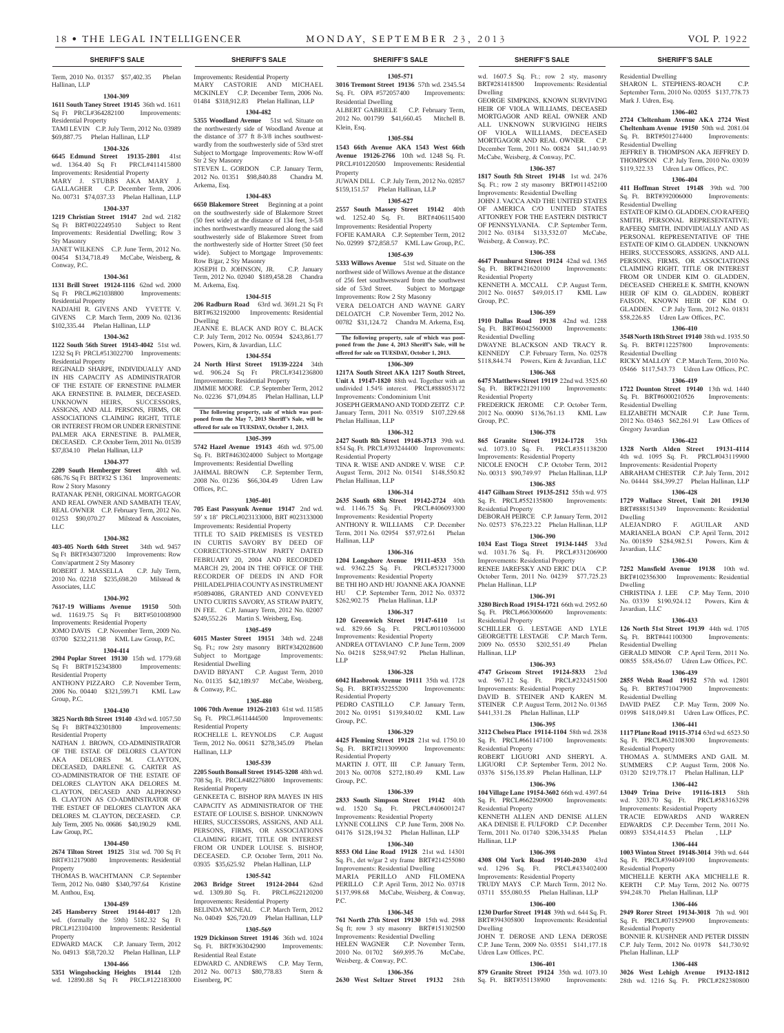Term, 2010 No. 01357 \$57,402.35 Phelan Hallinan, LLP

#### **1304-309**

**1611 South Taney Street 19145** 36th wd. 1611 Sq Ft PRCL#364282100 Improvements: Residential Property

TAMI LEVIN C.P. July Term, 2012 No. 03989 \$69,887.75 Phelan Hallinan, LLP **1304-326**

**6645 Edmund Street 19135-2801** 41st wd. 1364.40 Sq Ft PRCL#411415800 Improvements: Residential Property MARY J. STUBBS AKA MARY J. GALLAGHER C.P. December Term, 2006 No. 00731 \$74,037.33 Phelan Hallinan, LLP

#### **1304-337**

**1219 Christian Street 19147** 2nd wd. 2182 Sq Ft BRT#022249510 Subject to Rent Improvements: Residential Dwelling; Row 3 Sty Masonry

#### JANET WILKENS C.P. June Term, 2012 No. 00454 \$134,718.49 McCabe, Weisberg, & Conway, P.C.

#### **1304-361**

**1131 Brill Street 19124-1116** 62nd wd. 2000<br>Sq Ft PRCL#621038800 Improvements: Sq Ft PRCL#621038800 Residential Property

NADJAHI R. GIVENS AND YVETTE V. GIVENS C.P. March Term, 2009 No. 02136 \$102,335.44 Phelan Hallinan, LLP

#### **1304-362**

**1122 South 56th Street 19143-4042** 51st wd. 1232 Sq Ft PRCL#513022700 Improvements: Residential Property

REGINALD SHARPE, INDIVIDUALLY AND IN HIS CAPACITY AS ADMINISTRATOR OF THE ESTATE OF ERNESTINE PALMER AKA ERNESTINE B. PALMER, DECEASED. UNKNOWN HEIRS, SUCCESSORS, ASSIGNS, AND ALL PERSONS, FIRMS, OR ASSOCIATIONS CLAIMING RIGHT, TITLE OR INTEREST FROM OR UNDER ERNESTINE PALMER AKA ERNESTINE B. PALMER, DECEASED. C.P. October Term, 2011 No. 01539 \$37,834.10 Phelan Hallinan, LLP

#### **1304-377**

**2209 South Hemberger Street** 48th wd. 686.76 Sq Ft BRT#32 S 1361 Improvements: Row 2 Story Masonry

RATANAK PENH, ORIGINAL MORTGAGOR AND REAL OWNER AND SAMBATH TEAV, REAL OWNER C.P. February Term, 2012 No. 01253 \$90,070.27 Milstead & Asscoiates, LLC

### **1304-382**

**403-405 North 64th Street** 34th wd. 9457 Sq Ft BRT#343073200 Improvements: Row Conv/apartment 2 Sty Masonry<br>ROBERT J. MASSELLA C.P. July Term, ROBERT J. MASSELLA

2010 No. 02218 \$235,698.20 Milstead & Associates, LLC

#### **1304-392**

**7617-19 Williams Avenue 19150** 50th wd. 11619.75 Sq Ft BRT#501008900 Improvements: Residential Property JOMO DAVIS C.P. November Term, 2009 No. 03700 \$232,211.98 KML Law Group, P.C.

### **1304-414**

**2904 Poplar Street 19130** 15th wd. 1779.68 Sq Ft BRT#152343800 Improvements: Residential Property

ANTHONY PIZZARO C.P. November Term, 2006 No. 00440 \$321,599.71 KML Law Group, P.C.

#### **1304-430**

**3825 North 8th Street 19140** 43rd wd. 1057.50 Sq Ft BRT#432301800 Improvements: Residential Property

NATHAN J. BROWN, CO-ADMINISTRATOR OF THE ESTAE OF DELORES CLAYTON AKA DELORES M. CLAYTON, DECEASED, DARLENE G. CARTER AS CO-ADMINISTRATOR OF THE ESTATE OF DELORES CLAYTON AKA DELORES M. CLAYTON, DECASED AND ALPHONSO B. CLAYTON AS CO-ADMINSTRATOR OF THE ESTAET OF DELORES CLAYTON AKA DELORES M. CLAYTON, DECEASED. C.P. July Term, 2005 No. 00686 \$40,190.29 KML Law Group, P.C.

### **1304-450**

**2674 Tilton Street 19125** 31st wd. 700 Sq Ft BRT#312179080 Improver Property

THOMAS B. WACHTMANN C.P. September Term, 2012 No. 0480 \$340,797.64 Kristine M. Anthou, Esq.

#### **1304-459**

**245 Hansberry Street 19144-4017** 12th wd. (formally the 59th) 5182.32 Sq Ft PRCL#123104100 Improvements: Residential Property

### EDWARD MACK C.P. January Term, 2012 No. 04913 \$58,720.32 Phelan Hallinan, LLP **1304-466**

**5351 Wingohocking Heights 19144** 12th wd. 12890.88 Sq Ft PRCL#122183000

### Improvements: Residential Property MARY CASTORIE AND MICHAEL MCKINLEY C.P. December Term, 2006 No. 01484 \$318,912.83 Phelan Hallinan, LLP

**1304-482 5355 Woodland Avenue** 51st wd. Situate on the northwesterly side of Woodland Avenue at the distance of 377 ft 8-3/8 inches southwestwardly from the southwesterly side of 53rd stret

Subject to Mortgage Improvements: Row W-off Str 2 Sty Masonry STEVEN L. GORDON C.P. January Term, 2012 No. 01351 \$98,840.88 Chandra M. Arkema, Esq.

### **1304-483**

**6650 Blakemore Street** Beginning at a point on the southwesterly side of Blakemore Street (50 feet wide) at the distance of 134 feet, 3-5/8 inches northwestwardly measured along the said southwesterly side of Blakemore Street from the northwesterly side of Hortter Street (50 feet wide). Subject to Mortgage Improvements: Row B/gar, 2 Sty Masonry JOSEPH D. JOHNSON, JR. C.P. January Term, 2012 No. 02040 \$189,458.28 Chandra M. Arkema, Esq.

## **1304-515**

**206 Radburn Road** 63rd wd. 3691.21 Sq Ft BRT#632192000 Improvements: Residential Dwelling JEANNE E. BLACK AND ROY C. BLACK C.P. July Term, 2012 No. 00594 \$243,861.77 Powers, Kirn, & Javardian, LLC

## **1304-554**

**24 North Hirst Street 19139-2224** 34th wd. 906.24 Sq Ft PRCL#341236800 Improvements: Residential Property JIMMIE MOORE C.P. September Term, 2012 No. 02236 \$71,094.85 Phelan Hallinan, LLP

**The following property, sale of which was post-poned from the May 7, 2013 Sheriff's Sale, will be offered for sale on TUESDAY, October 1, 2013.**

## **1305-399**

**5742 Hazel Avenue 19143** 46th wd. 975.00 Sq. Ft. BRT#463024000 Subject to Mortgage Improvements: Residential Dwelling

JAHMAL BROWN C.P. September Term, 2008 No. 01236 \$66,304.49 Udren Law Offices, P.C.

#### **1305-401**

**705 East Passyunk Avenue 19147** 2nd wd. 59' x 18' PRCL#023133000, BRT #023133000 Improvements: Residential Property TITLE TO SAID PREMISES IS VESTED

IN CURTIS SAVORY BY DEED OF CORRECTIONS-STRAW PARTY DATED FEBRUARY 20, 2004 AND RECORDED MARCH 29, 2004 IN THE OFFICE OF THE RECORDER OF DEEDS IN AND FOR PHILADELPHIA COUNTY AS INSTRUMENT #50894086, GRANTED AND CONVEYED UNTO CURTIS SAVORY, AS STRAW PARTY, IN FEE. C.P. January Term, 2012 No. 02007 \$249,552.26 Martin S. Weisberg, Esq.

#### **1305-459**

**6015 Master Street 19151** 34th wd. 2248 Sq. Ft.; row 2sty masonry BRT#342028600 Subject to Mortgage Improvements: Residential Dwelling DAVID BRYANT C.P. August Term, 2010 No. 01135 \$42,189.97 McCabe, Weisberg, & Conway, P.C.

#### **1305-480**

**1006 70th Avenue 19126-2103** 61st wd. 11585 Sq. Ft. PRCL#611444500 Residential Property ROCHELLE L. REYNOLDS C.P. August Term, 2012 No. 00611 \$278,345.09 Phelan Hallinan, LLP

#### **1305-539**

**2205 South Bonsall Street 19145-3208** 48th wd. 708 Sq. Ft. PRCL#482276800 Improvements: Residential Property

GENKEETA C. BISHOP RPA MAYES IN HIS CAPACITY AS ADMINISTRATOR OF THE ESTATE OF LOUISE S. BISHOP. UNKNOWN HEIRS, SUCCESSORS, ASSIGNS, AND ALL PERSONS, FIRMS, OR ASSOCIATIONS CLAIMING RIGHT, TITLE OR INTEREST FROM OR UNDER LOUISE S. BISHOP, DECEASED. C.P. October Term, 2011 No. 03935 \$35,625.92 Phelan Hallinan, LLP

#### **1305-542**

**2063 Bridge Street 19124-2044** 62nd wd. 1309.80 Sq. Ft. PRCL#622120200 Improvements: Residential Property BELINDA MCNEAL C.P. March Term, 2012 No. 04049 \$26,720.09 Phelan Hallinan, LLP

## **1305-569**

**1929 Dickinson Street 19146** 36th wd. 1024 Sq. Ft. BRT#363042900 Improvements: Residential Real Estate

EDWARD C. ANDREWS C.P. May Term, 2012 No. 00713 \$80,778.83 Stern & Eisenberg, PC

## **SHERIFF'S SALE SHERIFF'S SALE SHERIFF'S SALE SHERIFF'S SALE SHERIFF'S SALE**

**1305-571 3016 Tremont Street 19136** 57th wd. 2345.54 Sq. Ft. OPA #572057400 Improvements: Residential Dwelling

wd. 1607.5 Sq. Ft.; row 2 sty, masonry BRT#281418500 Improvements: Residential Residential Dwelling

Mark J. Udren, Esq.

Residential Dwelling

Residential Dwelling

Residential Dwelling

Residential Dwelling

Gregory Javardian

Dwelling

Dwelling

Javardian, LLC

Javardian, LLC

Residential Dwelling

Residential Dwelling

Residential Property

Residential Property

Residential Property

Phelan Hallinan, LLP

SHARON L. STEPHENS-ROACH C.P. September Term, 2010 No. 02055 \$137,778.73

**1306-402 2724 Cleltenham Avenue AKA 2724 West Cheltenham Avenue 19150** 50th wd. 2081.04 Sq. Ft. BRT#501274400 Improvements:

JEFFREY B. THOMPSON AKA JEFFREY D. THOMPSON C.P. July Term, 2010 No. 03039 \$119,322.33 Udren Law Offices, P.C. **1306-404 411 Hoffman Street 19148** 39th wd. 700 Sq. Ft. BRT#392006000 Improvements:

ESTATE OF KIM O. GLADDEN, C/O RAFEEQ SMITH, PERSONAL REPRESENTATIVE; RAFEEQ SMITH, INDIVIDUALLY AND AS PERSONAL REPRESENTATIVE OF THE ESTATE OF KIM O. GLADDEN. UNKNOWN HEIRS, SUCCESSORS, ASSIGNS, AND ALL PERSONS, FIRMS, OR ASSOCIATIONS CLAIMING RIGHT, TITLE OR INTEREST FROM OR UNDER KIM O. GLADDEN, DECEASED CHERELE K. SMITH, KNOWN HEIR OF KIM O. GLADDEN, ROBERT FAISON, KNOWN HEIR OF KIM O. GLADDEN. C.P. July Term, 2012 No. 01831 \$58,226.85 Udren Law Offices, P.C. **1306-410 3548 North 18th Street 19140** 38th wd. 1935.50 Sq. Ft. BRT#112257800 Improvements:

RICKY MALLOY C.P. March Term, 2010 No. 05466 \$117,543.73 Udren Law Offices, P.C. **1306-419 1722 Dounton Street 19140** 13th wd. 1440 Sq. Ft. BRT#6000210526 Improvements:

ELIZABETH MCNAIR C.P. June Term, 2012 No. 03463 \$62,261.91 Law Offices of

**1306-422 1328 North Alden Street 19131-4114**  4th wd. 1095 Sq. Ft. PRCL#043119900 Improvements: Residential Property ABRAHAM CHESTER C.P. July Term, 2012 No. 04444 \$84,399.27 Phelan Hallinan, LLP **1306-428 1729 Wallace Street, Unit 201 19130**  BRT#888151349 Improvements: Residential

ALEJANDRO F. AGUILAR AND MARIANELA BOAN C.P. April Term, 2012 No. 001859 \$284,982.51 Powers, Kirn &

**1306-430 7252 Mansfield Avenue 19138** 10th wd. BRT#102356300 Improvements: Residential

CHRISTINA J. LEE C.P. May Term, 2010 No. 03339 \$190,924.12 Powers, Kirn &

**1306-433 126 North 51st Street 19139** 44th wd. 1705 Sq. Ft. BRT#441100300 Improvements:

GERALD MINOR C.P. April Term, 2011 No. 00855 \$58,456.07 Udren Law Offices, P.C. **1306-439 2855 Welsh Road 19152** 57th wd. 12801 Sq. Ft. BRT#571047900 Improvements:

DAVID PAEZ C.P. May Term, 2009 No. 01998 \$418,049.81 Udren Law Offices, P.C. **1306-441 1117 Plane Road 19115-3714** 63rd wd. 6523.50 Sq. Ft. PRCL#632108300 Improvements:

THOMAS A. SUMMERS AND GAIL M. SUMMERS C.P. August Term, 2008 No. 03120 \$219,778.17 Phelan Hallinan, LLP **1306-442 13049 Trina Drive 19116-1813** 58th wd. 3203.70 Sq. Ft. PRCL#583163298 Improvements: Residential Property TRACIE EDWARDS AND WARREN EDWARDS C.P. December Term, 2011 No. 00893 \$354,414.53 Phelan , LLP **1306-444 1003 Winton Street 19148-3014** 39th wd. 644 Sq. Ft.  $PRCL#394049100$  Improvements

MICHELLE KERTH AKA MICHELLE R. KERTH C.P. May Term, 2012 No. 00775 \$94,248.70 Phelan Hallinan, LLP **1306-446 2949 Rorer Street 19134-3018** 7th wd. 901 Sq. Ft. PRCL#071529900 Improvements:

BONNIE R. KUSHNER AND PETER DISSIN C.P. July Term, 2012 No. 01978 \$41,730.92

**1306-448 3026 West Lehigh Avenue 19132-1812**  28th wd. 1216 Sq. Ft. PRCL#282380800

GEORGE SIMPKINS, KNOWN SURVIVING HEIR OF VIOLA WILLIAMS, DECEASED MORTGAGOR AND REAL OWNER AND ALL UNKNOWN SURVIGING HEIRS OF VIOLA WILLIAMS, DECEASED MORTGAGOR AND REAL OWNER. C.P. December Term, 2011 No. 00824 \$41,140.93 McCabe, Weisberg, & Conway, P.C. **1306-357 1817 South 5th Street 19148** 1st wd. 2476 Sq. Ft.; row 2 sty masonry BRT#011452100 Improvements: Residential Dwelling JOHN J. VACCA AND THE UNITED STATES OF AMERICA C/O UNITED STATES ATTONREY FOR THE EASTERN DISTRICT OF PENNSYLVANIA. C.P. September Term, 2012 No. 03184 \$133,532.07 McCabe,

Dwelling

Weisberg, & Conway, P.C.

Residential Property

Residential Dwelling

Residential Property

Residential Property

Phelan Hallinan, LLP

Residential Property

wd. 967.12 Sq. Ft. Improvements: Residential Property DAVID B. STEINER AND KAREN M. STEINER C.P. August Term, 2012 No. 01365 \$441,331.28 Phelan Hallinan, LLP **1306-395 3212 Chelsea Place 19114-1104** 58th wd. 2838 Sq. Ft. PRCL#661147100 Improvements:

Residential Property

Residential Property

**4308 Old York Road** 

Udren Law Offices, P.C.

Sq. Ft. BRT#351138900

Hallinan, LLP

Dwelling

Hallinan, LLP

Group, P.C.

Group, P.C.

**1306-358 4647 Pennhurst Street 19124** 42nd wd. 1365 Sq. Ft. BRT#421620100 Improvements:

KENNETH A. MCCALL C.P. August Term, 2012 No. 01657 \$49,015.17 KML Law

**1306-359 1910 Dallas Road 19138** 42nd wd. 1288 Sq. Ft. BRT#6042560000 Improvements:

DWAYNE BLACKSON AND TRACY R. KENNEDY C.P. February Term, No. 02578 \$118,844.74 Powers, Kirn & Javardian, LLC **1306-368 6475 Matthews Street 19119** 22nd wd. 3525.60 Sq. Ft. BRT#221291100 Improvements:

FREDERICK JEROME C.P. October Term, 2012 No. 00090 \$136,761.13 KML Law

**1306-378 865 Granite Street 19124-1728** 35th wd. 1073.10 Sq. Ft. PRCL#351138200 Improvements: Residential Property NICOLE ENOCH C.P. October Term, 2012 No. 00313 \$90,749.97 Phelan Hallinan, LLP **1306-385 4147 Gilham Street 19135-2512** 55th wd. 975 Sq. Ft. PRCL#552135800 Improvements:

DEBORAH PEIRCE C.P. January Term, 2012 No. 02573 \$76,223.22 Phelan Hallinan, LLP **1306-390 1034 East Tioga Street 19134-1445** 33rd wd. 1031.76 Sq. Ft. PRCL#331206900 Improvements: Residential Property RENEE JAREFSKY AND ERIC DUA C.P. October Term, 2011 No. 04239 \$77,725.23

**1306-391 3280 Birch Road 19154-1721** 66th wd. 2952.60 Sq. Ft. PRCL#663006600 Improvements:

SCHILLER G. LESTAGE AND LYLE GEORGETTE LESTAGE C.P. March Term, 2009 No. 05530 \$202,551.49 Phelan

**1306-393 4747 Griscom Street 19124-5833** 23rd

ROBERT LIGUORI AND SHERYL A. LIGUORI C.P. September Term, 2012 No. 03376 \$156,135.89 Phelan Hallinan, LLP **1306-396 104 Village Lane 19154-3602** 66th wd. 4397.64 Sq. Ft. PRCL#662290900 Improvements:

KENNETH ALLEN AND DENISE ALLEN AKA DENISE E. FULFORD C.P. December Term, 2011 No. 01740 \$206,334.85 Phelan

wd. 1296 Sq. Ft. PRCL#433402400 Improvements: Residential Property TRUDY MAYS C.P. March Term, 2012 No. 03711 \$55,080.55 Phelan Hallinan, LLP **1306-400 1230 Durfor Street 19148** 39th wd. 644 Sq. Ft. BRT#394305800 Improvements: Residential

JOHN T. DEROSE AND LENA DEROSE C.P. June Term, 2009 No. 03551 \$141,177.18

**1306-401 879 Granite Street 19124** 35th wd. 1073.10<br>Sq. Ft. BRT#351138900 Improvements:

**1306-398**

ALBERT GABRIELE C.P. February Term, 2012 No. 001799 \$41,660.45 Mitchell B. Klein, Esq.

#### **1305-584 1543 66th Avenue AKA 1543 West 66th Avenue 19126-2766** 10th wd. 1248 Sq. Ft. PRCL#101220500 Improvements: Residential

Property JUWAN DILL C.P. July Term, 2012 No. 02857 \$159,151.57 Phelan Hallinan, LLP

## **1305-627**

**2557 South Massey Street 19142** 40th wd. 1252.40 Sq. Ft. BRT#406115400 Improvements: Residential Property FOFIE KAMARA C.P. September Term, 2012 No. 02999 \$72,858.57 KML Law Group, P.C.

## **1305-639**

**5333 Willows Avenue** 51st wd. Situate on the northwest side of Willows Avenue at the distance of 256 feet southwestward from the southwest side of 53rd Street. Subject to Mortgage Improvements: Row 2 Sty Masonry VERA DELOATCH AND WAYNE GARY DELOATCH C.P. November Term, 2012 No. 00782 \$31,124.72 Chandra M. Arkema, Esq.

**The following property, sale of which was post-poned from the June 4, 2013 Sheriff's Sale, will be** 

#### **offered for sale on TUESDAY, October 1, 2013. 1306-309**

**1217A South Street AKA 1217 South Street, Unit A 19147-1820** 88th wd. Together with an undivided 1.54% interest. PRCL#888053172 Improvements: Condominium Unit JOSEPH GERMANO AND TODD ZEITZ C.P. January Term, 2011 No. 03519 \$107,229.68 Phelan Hallinan, LLP

#### **1306-312**

**2427 South 8th Street 19148-3713** 39th wd. 854 Sq. Ft. PRCL#393244400 Improvements: Residential Property TINA R. WISE AND ANDRE V. WISE C.P.

August Term, 2012 No. 01541 \$148,550.82 Phelan Hallinan, LLP

#### **1306-314**

**2635 South 68th Street 19142-2724** 40th wd. 1146.75 Sq. Ft. PRCL#406093300 Improvements: Residential Property ANTHONY R. WILLIAMS C.P. December Term, 2011 No. 02954 \$57,972.61 Phelan Hallinan, LLP

#### **1306-316**

**1204 Longshore Avenue 19111-4533** 35th wd. 9362.25 Sq. Ft. PRCL#532173000 Improvements: Residential Property BE THI HO AND HU JOANNE AKA JOANNE HU C.P. September Term, 2012 No. 03372 \$262,902.75 Phelan Hallinan, LLP

## **1306-317**

**120 Greenwich Street 19147-6110** 1st wd. 829.66 Sq. Ft. PRCL#011036000 Improvements: Residential Property ANDREA OTTAVIANO C.P. June Term, 2009 No. 04218 \$258,947.92 Phelan Hallinan, LLP

#### **1306-328**

**6042 Hasbrook Avenue 19111** 35th wd. 1728 Sq. Ft. BRT#352255200 Improvements: Residential Property PEDRO CASTILLO C.P. January Term,

2012 No. 01951 \$139,840.02 KML Law Group, P.C. **1306-329**

#### **4425 Fleming Street 19128** 21st wd. 1750.10

Sq. Ft. BRT#211309900 Improvements: Residential Property MARTIN J. OTT, III C.P. January Term, 2013 No. 00708 \$272,180.49 KML Law

Group, P.C.

## **1306-339**

**2833 South Simpson Street 19142** 40th wd. 1520 Sq. Ft. PRCL#406001247 Improvements: Residential Property LYNNE COLLINS C.P. June Term, 2008 No. 04176 \$128,194.32 Phelan Hallinan, LLP

#### **1306-340**

**8553 Old Line Road 19128** 21st wd. 14301 Sq. Ft., det w/gar 2 sty frame BRT#214255080 Improvements: Residential Dwelling MARIA PERILLO AND FILOMENA PERILLO C.P. April Term, 2012 No. 03718

## \$137,998.68 McCabe, Weisberg, & Conway, P.C. **1306-345**

**761 North 27th Street 19130** 15th wd. 2988 Sq ft; row 3 sty masonry BRT#151302500 Improvements: Residential Dwelling HELEN WAGNER C.P. November Term,

2010 No. 01702 \$69,895.76 McCabe, Weisberg, & Conway, P.C. **1306-356**

**2630 West Seltzer Street 19132** 28th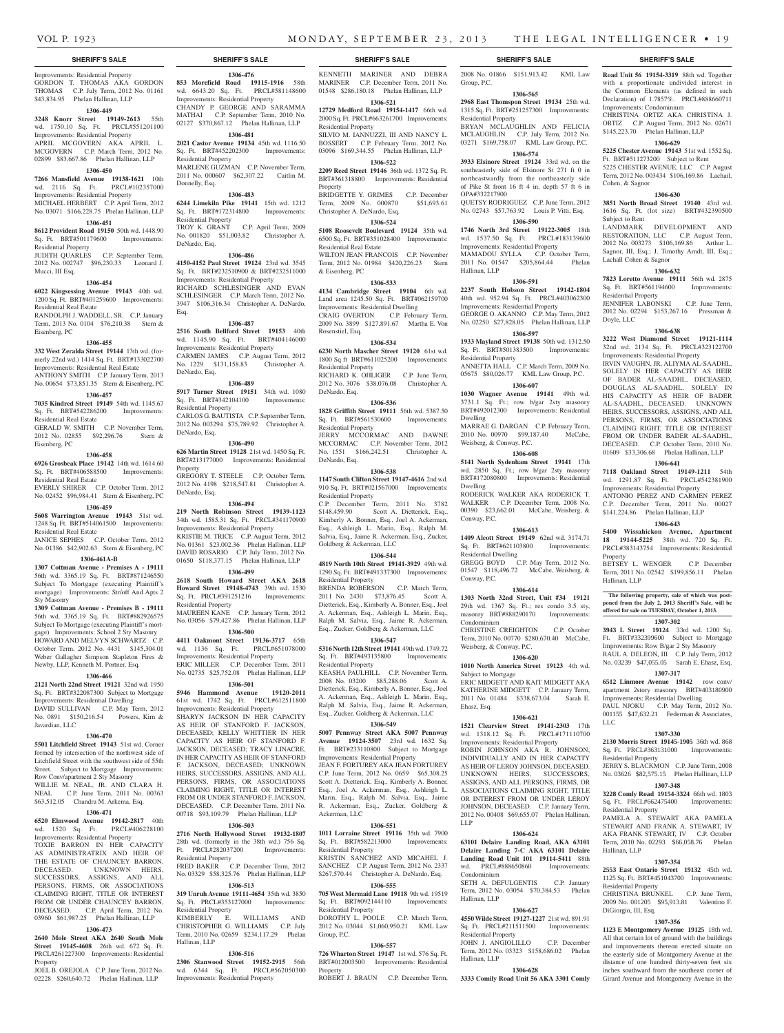Improvements: Residential Property GORDON T. THOMAS AKA GORDON THOMAS C.P. July Term, 2012 No. 01161 \$43,834.95 Phelan Hallinan, LLP

## **1306-449**

**3248 Knorr Street 19149-2613** 55th

#### wd. 1750.10 Sq. Ft. PRCL#551201100

Improvements: Residential Property APRIL MCGOVERN AKA APRIL L. MCGOVERN C.P. March Term, 2012 No.

## 02899 \$83,667.86 Phelan Hallinan, LLP

**1306-450**

#### **7266 Mansfield Avenue 19138-1621** 10th

wd. 2116 Sq. Ft. PRCL#102357000 Improvements: Residential Property MICHAEL HERBERT C.P. April Term, 2012 No. 03071 \$166,228.75 Phelan Hallinan, LLP

#### **1306-451**

**8612 Provident Road 19150** 50th wd. 1448.90 Sq. Ft. BRT#501179600 Improvements: Residential Property

JUDITH QUARLES C.P. September Term, 2012 No. 002747 \$96,230.33 Leonard J. Mucci, III Esq.

#### **1306-454**

**6022 Kingsessing Avenue 19143** 40th wd. 1200 Sq. Ft. BRT#401259600 Improvements: Residential Real Estate

RANDOLPH J. WADDELL, SR. C.P. January Term, 2013 No. 0104 \$76,210.38 Stern & Eisenberg, PC

#### **1306-455**

**332 West Zeralda Street 19144** 13th wd. (formerly 22nd wd.) 1414 Sq. Ft. BRT#133022700 Improvements: Residential Real Estate ANTHONY SMITH C.P. January Term, 2013

## No. 00654 \$73,851.35 Stern & Eisenberg, PC **1306-457**

**7035 Kindred Street 19149** 54th wd. 1145.67 Sq. Ft. BRT#542286200 Improvements: Residential Real Estate

GERALD W. SMITH C.P. November Term, 2012 No. 02855 \$92,296.76 Stern & Eisenberg, PC

#### **1306-458**

**6926 Grosbeak Place 19142** 14th wd. 1614.60 Sq. Ft. BRT#406588500 Improvements: Residential Real Estate EVERLY SHIRER C.P. October Term, 2012

No. 02452 \$96,984.41 Stern & Eisenberg, PC **1306-459**

**5608 Warrington Avenue 19143** 51st wd. 1248 Sq. Ft. BRT#514061500 Improvements: Residential Real Estate

## JANICE SEPHES C.P. October Term, 2012 No. 01386 \$42,902.63 Stern & Eisenberg, PC

## **1306-461A-B**

**1307 Cottman Avenue - Premises A - 19111**  56th wd. 3365.19 Sq. Ft. BRT#871246550 Subject To Mortgage (executing Plaintiff's mortgage) Improvements: Str/off And Apts 2 Sty Masonry

**1309 Cottman Avenue - Premises B - 19111**  56th wd. 3365.19 Sq. Ft. BRT#882926575 Subject To Mortgage (executing Plaintiff's mortgage) Improvements: School 2 Sty Masonry HOWARD AND MELVYN SCHWARTZ C.P. October Term, 2012 No. 4431 \$145,304.01 Weber Gallagher Simpson Stapleton Fires & Newby, LLP, Kenneth M. Portner, Esq.

#### **1306-466**

**2121 North 22nd Street 19121** 32nd wd. 1950 Sq. Ft. BRT#322087300 Subject to Mortgage Improvements: Residential Dwelling DAVID SULLIVAN C.P. May Term, 2012 No. 0891 \$150,216.54 Powers, Kirn & Javardian, LLC

#### **1306-470**

**5501 Litchfield Street 19143** 51st wd. Corner formed by intersection of the northwest side of Litchfield Street with the southwest side of 55th Street. Subject to Mortgage Improvements: Row Conv/apartment 2 Sty Masonry WILLIE M. NEAL, JR. AND CLARA H.

NEAL C.P. June Term, 2011 No. 00363 \$63,512.05 Chandra M. Arkema, Esq.

### **1306-471**

**6520 Elmwood Avenue 19142-2817** 40th wd. 1520 Sq. Ft. PRCL#406228100 Improvements: Residential Property TOXIE BARRON IN HER CAPACITY AS ADMINISTRATRIX AND HEIR OF THE ESTATE OF CHAUNCEY BARRON,<br>DECEASED. UNKNOWN HEIRS. UNKNOWN HEIRS, SUCCESSORS, ASSIGNS, AND ALL PERSONS, FIRMS, OR ASSOCIATIONS CLAIMING RIGHT, TITLE OR INTEREST

FROM OR UNDER CHAUNCEY BARRON, DECEASED. C.P. April Term, 2012 No. 03960 \$61,987.25 Phelan Hallinan, LLP **1306-473 2640 Mole Street AKA 2640 South Mole Street 19145-4608** 26th wd. 672 Sq. Ft. PRCL#261227300 Improvements: Residential

JOEL B. OREJOLA C.P. June Term, 2012 No. 02228 \$260,640.72 Phelan Hallinan, LLP

Property

### Ft. PRCL#282037200 Improvements: Residential Property FRED BAKER C.P. December Term, 2012 No. 03329 \$58,325.76 Phelan Hallinan, LLP **1306-513**

**319 Unruh Avenue 19111-4654** 35th wd. 3850 Sq. Ft. PRCL#353127000 Improvements: Residential Property KIMBERLY E. WILLIAMS AND CHRISTOPHER G. WILLIAMS C.P. July Term, 2010 No. 02659 \$234,117.29 Phelan Hallinan, LLP

#### **1306-516**

**2306 Stanwood Street 19152-2915** 56th<br>wd. 6344 Sq. Ft. PRCL#562050300 wd. 6344 Sq. Ft. Improvements: Residential Property

KENNETH MARINER AND DEBRA

MARINER C.P. December Term, 2011 No. 01548 \$286,180.18 Phelan Hallinan, LLP **1306-521**

#### **12729 Medford Road 19154-1417** 66th wd.

**1306-476 853 Morefield Road 19115-1916** 58th wd. 6643.20 Sq. Ft. PRCL#581148600 Improvements: Residential Property CHANDY P. GEORGE AND SARAMMA MATHAI C.P. September Term, 2010 No. 02127 \$370,867.12 Phelan Hallinan, LLP **1306-481 2021 Castor Avenue 19134** 45th wd. 1116.50 Sq. Ft. BRT#452202300 Improvements:

MARLENE GUZMAN C.P. November Term, 2011 No. 000607 \$62,307.22 Caitlin M.

**1306-483 6244 Limekiln Pike 19141** 15th wd. 1212 Sq. Ft. BRT#172314800 Improvements:

TROY K. GRANT C.P. April Term, 2009 No. 001820 \$51,003.82 Christopher A.

**1306-486 4150-4152 Paul Street 19124** 23rd wd. 3545 Sq. Ft. BRT#232510900 & BRT#232511000 Improvements: Residential Property RICHARD SCHLESINGER AND EVAN SCHLESINGER C.P. March Term, 2012 No. 3947 \$106,316.34 Christopher A. DeNardo,

**1306-487 2516 South Bellford Street 19153** 40th wd. 1145.90 Sq. Ft. BRT#404146000 Improvements: Residential Property CARMEN JAMES C.P. August Term, 2012 No. 1229 \$131,158.83 Christopher A.

**1306-489 5917 Turner Street 19151** 34th wd. 1080 Sq. Ft. BRT#342104100 Improvements:

CARLOS G. BAUTISTA C.P. September Term, 2012 No. 003294 \$75,789.92 Christopher A.

**1306-490 626 Martin Street 19128** 21st wd. 1450 Sq. Ft. BRT#213177000 Improvements: Residential

GREGORY T. STEELE C.P. October Term, 2012 No. 4198 \$218,547.81 Christopher A.

**1306-494 219 North Robinson Street 19139-1123**  34th wd. 1585.31 Sq. Ft. PRCL#341170900 Improvements: Residential Property KRISTIE M. TRICE C.P. August Term, 2012 No. 01361 \$23,002.36 Phelan Hallinan, LLP DAVID ROSARIO C.P. July Term, 2012 No. 01650 \$118,377.15 Phelan Hallinan, LLP **1306-499 2618 South Howard Street AKA 2618 Howard Street 19148-4743** 39th wd. 1530 Sq. Ft. PRCL#391251216 Improvements:

MAUREEN KANE C.P. January Term, 2012 No. 03056 \$79,427.86 Phelan Hallinan, LLP **1306-500 4411 Oakmont Street 19136-3717** 65th<br>wd. 1136 Sq. Ft. PRCL#651078000

Residential Property

Residential Property

Donnelly, Esq.

DeNardo, Esq.

DeNardo, Esq.

DeNardo, Esq.

DeNardo, Esq.

Residential Property

wd. 1136 Sq. Ft. Improvements: Residential Property ERIC MILLER C.P. December Term, 2011 No. 02735 \$25,752.08 Phelan Hallinan, LLP **1306-501 5946 Hammond Avenue 19120-2011**  61st wd. 1742 Sq. Ft. PRCL#612511800 Improvements: Residential Property SHARYN JACKSON IN HER CAPACITY AS HEIR OF STANFORD F. JACKSON DECEASED; KELLY WHITTIER IN HER CAPACITY AS HEIR OF STANFORD F. JACKSON, DECEASED; TRACY LINACRE, IN HER CAPACITY AS HEIR OF STANFORD F. JACKSON, DECEASED; UNKNOWN HEIRS, SUCCESSORS, ASSIGNS, AND ALL PERSONS, FIRMS, OR ASSOCIATIONS CLAIMING RIGHT, TITLE OR INTEREST FROM OR UNDER STANFORD F. JACKSON, DECEASED. C.P. December Term, 2011 No. 00718 \$93,109.79 Phelan Hallinan, LLP **1306-503 2716 North Hollywood Street 19132-1807**  28th wd. (formerly in the 38th wd.) 756 Sq.

Property

Residential Property

Esq.

2000 Sq. Ft. PRCL#663261700 Improvements: Residential Property SILVIO M. IANNUZZI, III AND NANCY L. BOSSERT C.P. February Term, 2012 No.

03096 \$169,344.55 Phelan Hallinan, LLP **1306-522 2209 Reed Street 19146** 36th wd. 1372 Sq. Ft.

BRT#361318800 Improvements: Residential Property BRIDGETTE Y. GRIMES C.P. December Term, 2009 No. 000870 \$51,693.61

Christopher A. DeNardo, Esq. **1306-524**

#### **5108 Roosevelt Boulevard 19124** 35th wd. 6500 Sq. Ft. BRT#351028400 Improvements: Residential Real Estate

WILTON JEAN FRANCOIS C.P. November Term, 2012 No. 01984 \$420,226.23 Stern & Eisenberg, PC

#### **1306-533**

**4134 Cambridge Street 19104** 6th wd. Land area 1245.50 Sq. Ft. BRT#062159700 Improvements: Residential Dwelling CRAIG OVERTON C.P. February Term, 2009 No. 3899 \$127,891.67 Martha E. Von Rosenstiel, Esq.

#### **1306-534**

**6230 North Mascher Street 19120** 61st wd. 1800 Sq ft BRT#611025200 Improvements: Residential Property RICHARD K. OHLIGER C.P. June Term, 2012 No. 3076 \$38,076.08 Christopher A. DeNardo, Esq.

#### **1306-536**

**1828 Griffith Street 19111** 56th wd. 5387.50 Sq. Ft. BRT#561530600 Improvements: Residential Property JERRY MCCORMAC AND DAWNE MCCORMAC C.P. November Term, 2012 No. 1551 \$166,242.51 Christopher A. DeNardo, Esq.

#### **1306-538**

**1147 South Clifton Street 19147-4616** 2nd wd. 910 Sq. Ft. BRT#021567000 Improvements: Residential Property C.P. December Term, 2011 No. 3782 \$148,459.90 Scott A. Dietterick, Esq., Kimberly A. Bonner, Esq., Joel A. Ackerman, Esq., Ashleigh L. Marin, Esq., Ralph M. Salvia, Esq., Jaime R. Ackerman, Esq., Zucker, Goldberg & Ackerman, LLC

### **1306-544**

**4819 North 10th Street 19141-3929** 49th wd. 1290 Sq. Ft. BRT#491337300 Improvements: Residential Property

BRENDA ROBERSON C.P. March Term, 2011 No. 2430 \$73,876.45 Scott A. Dietterick, Esq., Kimberly A. Bonner, Esq., Joel A. Ackerman, Esq., Ashleigh L. Marin, Esq., Ralph M. Salvia, Esq., Jaime R. Ackerman, Esq., Zucker, Goldberg & Ackerman, LLC

#### **1306-547**

**5316 North 12th Street 19141** 49th wd. 1749.72 Sq. Ft. BRT#493135800 Improvements: Residential Property KEASHA PAULHILL C.P. November Term,

2008 No. 03200 \$85,288.06 Scott A. Dietterick, Esq., Kimberly A. Bonner, Esq., Joel A. Ackerman, Esq., Ashleigh L. Marin, Esq., Ralph M. Salvia, Esq., Jaime R. Ackerman, Esq., Zucker, Goldberg & Ackerman, LLC

#### **1306-549**

**5007 Pennway Street AKA 5007 Pennway Avenue 19124-3507** 23rd wd. 1632 Sq. Ft. BRT#233110800 Subject to Mortgage Improvements: Residential Property JEAN F. FORTUREY AKA JEAN FORTUREY C.P. June Term, 2012 No. 0659 \$65,308.25 Scott A. Dietterick, Esq., Kimberly A. Bonner, Esq., Joel A. Ackerman, Esq., Ashleigh L. Marin, Esq., Ralph M. Salvia, Esq., Jaime R. Ackerman, Esq., Zucker, Goldberg & Ackerman, LLC

#### **1306-551**

**1011 Lorraine Street 19116** 35th wd. 7900 Sq. Ft. BRT#582213000 Improvements: Residential Property KRISTIN SANCHEZ AND MICAHEL J. SANCHEZ C.P. August Term, 2012 No. 2337 \$267,570.44 Christopher A. DeNardo, Esq.

### **1306-555**

**705 West Mermaid Lane 19118** 9th wd. 19519 Sq. Ft. BRT#092144110 Improvements: Residential Property DOROTHY L. POOLE C.P. March Term,

2012 No. 03044 \$1,060,950.21 KML Law Group, P.C. **1306-557**

**726 Wharton Street 19147** 1st wd. 576 Sq. Ft. BRT#012003500 Improvements: Residential Property ROBERT J. BRAUN C.P. December Term,

## **SHERIFF'S SALE SHERIFF'S SALE SHERIFF'S SALE SHERIFF'S SALE SHERIFF'S SALE**

2008 No. 01866 \$151,913.42 KML Law Group, P.C.

**Road Unit 56 19154-3319** 88th wd. Together with a proportionate undivided interest in the Common Elements (as defined in such Declaration) of 1.7857%. PRCL#888660711

CHRISTINA ORTIZ AKA CHRISTINA J. ORTIZ C.P. August Term, 2012 No. 02671 \$145,223.70 Phelan Hallinan, LLP **1306-629 5225 Chester Avenue 19143** 51st wd. 1552 Sq. Ft. BRT#511273200 Subject to Rent 5225 CHESTER AVENUE, LLC C.P. August Term, 2012 No. 003434 \$106,169.86 Lachail,

**1306-630 3851 North Broad Street 19140** 43rd wd. 1616 Sq. Ft. (lot size) BRT#432390500

**1306-632 7823 Loretto Avenue 19111** 56th wd. 2875 Sq. Ft. BRT#561194600 Improvements:

JENNIFER LABONSKI C.P. June Term, 2012 No. 02294 \$153,267.16 Pressman &

**1306-638 3222 West Diamond Street 19121-1114**  32nd wd. 2134 Sq. Ft. PRCL#323122700 Improvements: Residential Property IRVIN VAUGHN, JR, ALIYMA AL-SAADHL, SOLELY IN HER CAPACITY AS HEIR OF BADER AL-SAADHL, DECEASED, DOUGLAS AL-SAADHL, SOLELY IN HIS CAPACITY AS HEIR OF BADER AL-SAADHL, DECEASED. UNKNOWN HEIRS, SUCCESSORS, ASSIGNS, AND ALL PERSONS, FIRMS, OR ASSOCIATIONS CLAIMING RIGHT, TITLE OR INTEREST FROM OR UNDER BADER AL-SAADHL, DECEASED. C.P. October Term, 2010 No. 01609 \$33,306.68 Phelan Hallinan, LLP **1306-641 7118 Oakland Street 19149-1211** 54th wd. 1291.87 Sq. Ft. PRCL#542381900 Improvements: Residential Property ANTONIO PEREZ AND CARMEN PEREZ C.P. December Term, 2011 No. 00027 \$141,224.86 Phelan Hallinan, LLP **1306-643 5400 Wissahickon Avenue, Apartment 18 19144-5225** 38th wd. 720 Sq. Ft. PRCL#383143754 Improvements: Residential

BETSEY L. WENGER C.P. December Term, 2011 No. 02542 \$199,856.11 Phelan

**The following property, sale of which was post-poned from the July 2, 2013 Sheriff's Sale, will be offered for sale on TUESDAY, October 1, 2013. 1307-302 3943 L Street 19124** 33rd wd. 1200 Sq. Ft. BRT#332399600 Subject to Mortgage Improvements: Row B/gar 2 Sty Masonry RAUL A. DELEON, III C.P. July Term, 2012 No. 03239 \$47,055.05 Sarah E. Ehasz, Esq. **1307-317 6512 Linmore Avenue 19142** row conv/ apartment 2story masonry BRT#403180900 Improvements: Residential Dwelling PAUL NJOKU C.P. May Term, 2012 No. 001155 \$47,632.21 Federman & Associates,

**1307-330 2130 Morris Street 19145-1905** 36th wd. 868 Sq. Ft. PRCL#363131000 Improvements:

JERRY S. BLACKMON C.P. June Term, 2008 No. 03626 \$82,575.15 Phelan Hallinan, LLP **1307-348 3228 Comly Road 19154-3324** 66th wd. 1803 Sq. Ft. PRCL#662475400 Improvements:

PAMELA A. STEWART AKA PAMELA STEWART AND FRANK A. STEWART, IV AKA FRANK STEWART, IV C.P. October Term, 2010 No. 02293 \$66,058.76 Phelan

**1307-354 2553 East Ontario Street 19132** 45th wd. 1125 Sq. Ft. BRT#451043700 Improvements:

CHRISTINA BRUNKEL C.P. June Term, 2009 No. 001205 \$95,913.81 Valentino F.

**1307-356 1123 E Montgomery Avenue 19125** 18th wd. All that certain lot of ground with the buildings and improvements thereon erected situate on the easterly side of Montgomery Avenue at the distance of one hundred thirty-seven feet six inches southward from the southeast corner of Girard Avenue and Montgomery Avenue in the

LANDMARK DEVELOPMENT RESTORATION, LLC C.P. August Term, 2012 No. 003273 \$106,169.86 Arthur L. Sagnor, III, Esq.; J. Timothy Arndt, III, Esq.;

Improvements: Condominium

Cohen, & Sagnor

Subject to Rent

Lachall Cohen & Sagnor

Residential Property

Doyle, LLC

Property

LLC

Residential Property

Residential Property

Residential Property

DiGiorgio, III, Esq.

Hallinan, LLP

Hallinan, LLP

## **1306-565**

**2968 East Thomspon Street 19134** 25th wd. 1315 Sq. Ft. BRT#251257300 Improvements: Residential Property BRYAN MCLAUGHLIN AND FELICIA MCLAUGHLIN C.P. July Term, 2012 No.

03271 \$169,758.07 KML Law Group, P.C. **1306-574**

#### **3933 Elsinore Street 19124** 33rd wd. on the southeasterly side of Elsinore St 271 ft 0 in

northeastwardly from the northeasterly side of Pike St front 16 ft 4 in, depth 57 ft 6 in OPA#332217900 QUETSY RODRIGUEZ C.P. June Term, 2012 No. 02743 \$57,763.92 Louis P. Vitti, Esq.

#### **1306-590**

**1746 North 3rd Street 19122-3005** 18th wd. 1537.50 Sq. Ft. PRCL#183139600 Improvements: Residential Property MAMADOU SYLLA C.P. October Term, 2011 No. 01547 \$205,864.44 Phelan

## **1306-591**

Hallinan, LLP

**2237 South Hobson Street 19142-1804**  40th wd. 952.94 Sq. Ft. PRCL#403062300

Improvements: Residential Property GEORGE O. AKANNO C.P. May Term, 2012 No. 02250 \$27,828.05 Phelan Hallinan, LLP

## **1306-597**

**1933 Mayland Street 19138** 50th wd. 1312.50 Sq. Ft. BRT#501383500 Improvements: Residential Property

ANNETTA HALL C.P. March Term, 2009 No. 05675 \$80,026.77 KML Law Group, P.C.

## **1306-607**

**1030 Wagner Avenue 19141** 49th wd. 3731.1 Sq. Ft.; row b/gar 2sty masonry BRT#492012300 Improvements: Residential Dwelling MARRAE G. DARGAN C.P. February Term,

2010 No. 00970 \$99,187.40 McCabe, Weisberg, & Conway, P.C. **1306-608**

## **5141 North Sydenham Street 19141** 17th

wd. 2850 Sq. Ft.; row b/gar 2sty masonry BRT#172080800 Improvements: Residential Dwelling RODERICK WALKER AKA RODERICK T.

WALKER C.P. December Term, 2008 No. 00390 \$23,662.01 McCabe, Weisberg, & Conway, P.C.

## **1306-613**

**1409 Alcott Street 19149** 62nd wd. 3174.71 Sq. Ft. BRT#621103800 Improvements: Residential Dwelling GREGG BOYD C.P. May Term, 2012 No. 01547 \$118,496.72 McCabe, Weisberg, & Conway, P.C.

#### **1306-614**

**1303 North 32nd Street, Unit #34 19121**  29th wd. 1367 Sq. Ft.; res condo 3.5 sty, masonry BRT#888290170 Improvements: Condominium CHRISTINE CREIGHTON C.P. October

Term, 2010 No. 00770 \$280,670.40 McCabe, Weisberg, & Conway, P.C. **1306-620**

**1010 North America Street 19123** 4th wd.

ERIC MIDGETT AND KAIT MIDGETT AKA KATHERINE MIDGETT C.P. January Term, 2011 No. 01484 \$338,673.04 Sarah E.

**1306-621 1521 Clearview Street 19141-2303** 17th wd. 1318.12 Sq. Ft. PRCL#171110700 Improvements: Residential Property ROBIN JOHNSON AKA R. JOHNSON, INDIVIDUALLY AND IN HER CAPACITY AS HEIR OF LEROY JOHNSON, DECEASED. UNKNOWN HEIRS, SUCCESSORS, ASSIGNS, AND ALL PERSONS, FIRMS, OR ASSOCIATIONS CLAIMING RIGHT, TITLE OR INTEREST FROM OR UNDER LEROY JOHNSON, DECEASED. C.P. January Term, 2012 No. 00408 \$69,655.07 Phelan Hallinan,

**1306-624 63101 Delaire Landing Road, AKA 63101 Delaire Landing 7-C AKA 63101 Delaire Landing Road Unit 101 19114-5411** 88th wd. PRCL#888650860 Improvements:

SETH A. DEFULGENTIS C.P. January Term, 2012 No. 03054 \$70,384.53 Phelan

**1306-627 4550 Wilde Street 19127-1227** 21st wd. 891.91 Sq. Ft. PRCL#211511500 Improvements:

JOHN J. ANGIOLILLO C.P. December Term, 2012 No. 03323 \$158,686.02 Phelan

**1306-628 3333 Comily Road Unit 56 AKA 3301 Comly** 

Subject to Mortgage

Ehasz, Esq.

LLP

Condominium

Hallinan, LLP

Hallinan, LLP

Residential Property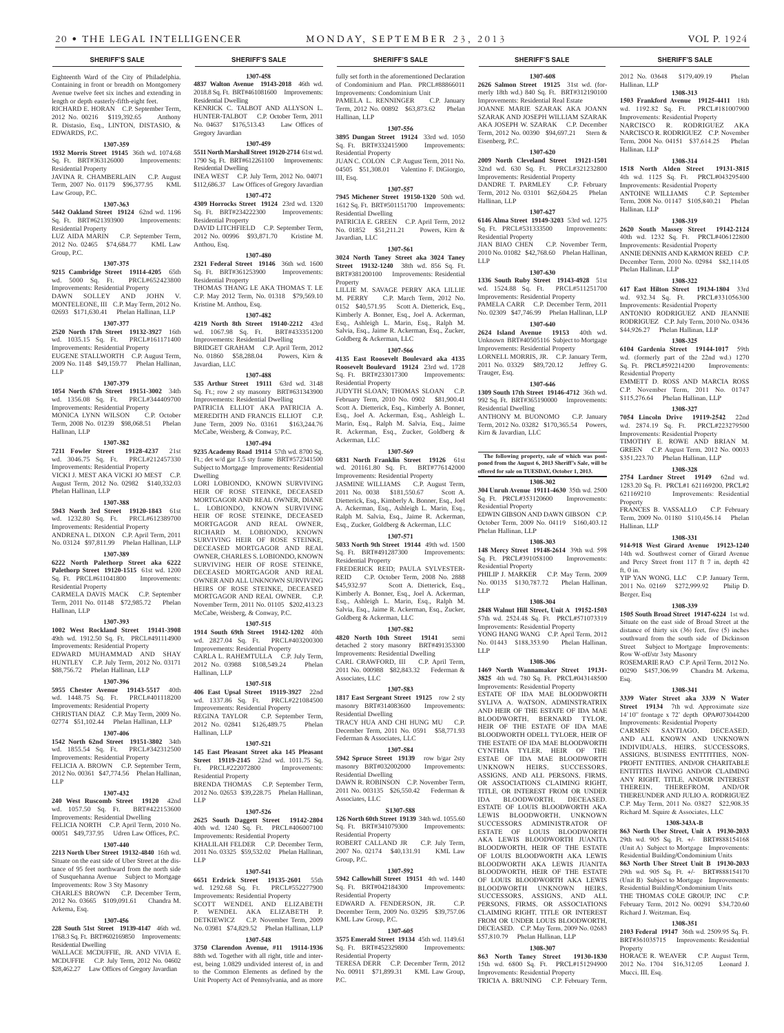Eighteenth Ward of the City of Philadelphia. Containing in front or breadth on Montgomery Avenue twelve feet six inches and extending in length or depth easterly-fifth-eight feet. RICHARD E. HORAN C.P. September Term, 2012 No. 00216 \$119,392.65 Anthony R. Distasio, Esq., LINTON, DISTASIO, & EDWARDS, P.C.

#### **1307-359**

**1932 Morris Street 19145** 36th wd. 1074.68<br>
Sq. Ft. BRT#363126000 Improvements: Sq. Ft. BRT#363126000 Residential Property JAVINA R. CHAMBERLAIN C.P. August

#### Term, 2007 No. 01179 \$96,377.95 KML Law Group, P.C. **1307-363**

**5442 Oakland Street 19124** 62nd wd. 1196 Sq. Ft. BRT#621393900 Improvements:

Residential Property LUZ AIDA MARIN C.P. September Term, 2012 No. 02465 \$74,684.77 KML Law Group, P.C.

#### **1307-375**

**9215 Cambridge Street 19114-4205** 65th wd. 5000 Sq. Ft. PRCL#652423800 Improvements: Residential Property DAWN SOLLEY AND JOHN V. MONTELEONE, III C.P. May Term, 2012 No. 02693 \$171,630.41 Phelan Hallinan, LLP

#### **1307-377**

**2520 North 17th Street 19132-3927** 16th wd. 1035.15 Sq. Ft. PRCL#161171400 Improvements: Residential Property EUGENE STALLWORTH C.P. August Term, 2009 No. 1148 \$49,159.77 Phelan Hallinan, LLP

#### **1307-379**

**1054 North 67th Street 19151-3002** 34th wd. 1356.08 Sq. Ft. PRCL#344409700 Improvements: Residential Property MONICA LYNN WILSON C.P. October Term, 2008 No. 01239 \$98,068.51 Phelan Hallinan, LLP

#### **1307-382**

**7211 Fowler Street 19128-4237** 21st wd. 3046.75 Sq. Ft. PRCL#212457330 Improvements: Residential Property VICKI J. MEST AKA VICKI JO MEST C.P. August Term, 2012 No. 02982 \$140,332.03 Phelan Hallinan, LLP

#### **1307-388**

**5943 North 3rd Street 19120-1843** 61st wd. 1232.80 Sq. Ft. PRCL#612389700 Improvements: Residential Property ANDRENA L. DIXON C.P. April Term, 2011 No. 03124 \$97,811.99 Phelan Hallinan, LLP

## **1307-389**

**6222 North Palethorp Street aka 6222 Palethorp Street 19120-1515** 61st wd. 1200 Sq. Ft. PRCL#611041800 Improvements: Residential Property

#### CARMELA DAVIS MACK C.P. September Term, 2011 No. 01148 \$72,985.72 Phelan Hallinan, LLP

**1307-393**

**1002 West Rockland Street 19141-3908**  49th wd. 1912.50 Sq. Ft. PRCL#491114900 Improvements: Residential Property EDWARD MUHAMMAD AND SHAY HUNTLEY C.P. July Term, 2012 No. 03171 \$88,756.72 Phelan Hallinan, LLP

## **1307-396**

**5955 Chester Avenue 19143-5517** 40th wd. 1448.75 Sq. Ft. PRCL#401118200 Improvements: Residential Property CHRISTIAN DIAZ C.P. May Term, 2009 No. 02774 \$51,102.44 Phelan Hallinan, LLP

## **1307-406**

**1542 North 62nd Street 19151-3802** 34th wd. 1855.54 Sq. Ft. PRCL#342312500 Improvements: Residential Property FELICIA A. BROWN C.P. September Term, 2012 No. 00361 \$47,774.56 Phelan Hallinan,

#### **1307-432**

LLP

**240 West Ruscomb Street 19120** 42nd wd. 1057.50 Sq. Ft. BRT#422153600 Improvements: Residential Dwelling FELICIA NORTH C.P. April Term, 2010 No. 00051 \$49,737.95 Udren Law Offices, P.C.

## **1307-440**

**2213 North Uber Street 19132-4840** 16th wd. Situate on the east side of Uber Street at the distance of 95 feet northward from the north side of Susquehanna Avenue Subject to Mortgage Improvements: Row 3 Sty Masonry CHARLES BROWN C.P. December Term, 2012 No. 03665 \$109,091.61 Chandra M. Arkema, Esq.

## **1307-456**

**228 South 51st Street 19139-4147** 46th wd. 1768.3 Sq. Ft. BRT#602169850 Improvements: Residential Dwelling WALLACE MCDUFFIE, JR. AND VIVIA E.

MCDUFFIE C.P. July Term, 2012 No. 04602 \$28,462.27 Law Offices of Gregory Javardian

## **1307-458 4837 Walton Avenue 19143-2018** 46th wd. 2018.8 Sq. Ft. BRT#461081600 Improvements:

Residential Dwelling KENRICK C. TALBOT AND ALLYSON L. HUNTER-TALBOT C.P. October Term, 2011 No. 04637 \$176,513.43 Law Offices of Gregory Javardian

#### **1307-459 5511 North Marshall Street 19120-2714** 61st wd. 1790 Sq. Ft. BRT#612261100 Improvements: Residential Dwelling INEA WEST C.P. July Term, 2012 No. 04071

\$112,686.37 Law Offices of Gregory Javardian **1307-472 4309 Horrocks Street 19124** 23rd wd. 1320

Sq. Ft. BRT#234222300 Improvements: Residential Property DAVID LITCHFIELD C.P. September Term, 2012 No. 00996 \$93,871.70 Kristine M. Anthou, Esq.

## **1307-480**

**2321 Federal Street 19146** 36th wd. 1600<br>Sq. Ft. BRT#361253900 Improvements: Sq. Ft. BRT#361253900 Residential Property THOMAS THANG LE AKA THOMAS T. LE C.P. May 2012 Term, No. 01318 \$79,569.10 Kristine M. Anthou, Esq.

## **1307-482**

**4219 North 8th Street 19140-2212** 43rd wd. 1067.98 Sq. Ft. BRT#433351200 Improvements: Residential Dwelling BRIDGET GRAHAM C.P. April Term, 2012 No. 01860 \$58,288.04 Powers, Kirn & Javardian, LLC

#### **1307-488 535 Arthur Street 19111** 63rd wd. 3148 Sq. Ft.; row 2 sty masonry BRT#631343900 Improvements: Residential Dwelling PATRICIA ELLIOT AKA PATRICIA A. MEREDITH AND FRANCIS ELLIOT C.P.

June Term, 2009 No. 03161 \$163,244.76 McCabe, Weisberg, & Conway, P.C. **1307-494**

**9235 Academy Road 19114** 57th wd. 8700 Sq. Ft.; det w/d gar 1.5 sty frame BRT#572341500 Subject to Mortgage Improvements: Residential Dwelling

LORI LOBIONDO, KNOWN SURVIVING HEIR OF ROSE STEINKE, DECEASED MORTGAGOR AND REAL OWNER, DIANE L. LOBIONDO, KNOWN SURVIVING HEIR OF ROSE STEINKE, DECEASED MORTGAGOR AND REAL OWNER, RICHARD M. LOBIONDO, KNOWN SURVIVING HEIR OF ROSE STEINKE, DECEASED MORTGAGOR AND REAL OWNER, CHARLES S. LOBIONDO, KNOWN SURVIVING HEIR OF ROSE STEINKE, DECEASED MORTGAGOR AND REAL OWNER AND ALL UNKNOWN SURVIVING HEIRS OF ROSE STEINKE, DECEASED MORTGAGOR AND REAL OWNER. C.P. November Term, 2011 No. 01105 \$202,413.23 McCabe, Weisberg, & Conway, P.C.

#### **1307-515**

**1914 South 69th Street 19142-1202** 40th wd. 2827.04 Sq. Ft. PRCL#403200300 Improvements: Residential Property CARLA L. RAHEMTULLA C.P. July Term, 2012 No. 03988 \$108,549.24 Phelan Hallinan, LLP

### **1307-518**

**406 East Upsal Street 19119-3927** 22nd wd. 1337.86 Sq. Ft. PRCL#221084500 Improvements: Residential Property REGINA TAYLOR C.P. September Term, 2012 No. 02841 \$126,489.75 Phelan Hallinan, LLP

#### **1307-521**

**145 East Pleasant Street aka 145 Pleasant Street 19119-2145** 22nd wd. 1011.75 Sq.<br>Ft. PRCL#222072800 Improvements: Ft. PRCL#222072800

Residential Property BRENDA THOMAS C.P. September Term, 2012 No. 02653 \$39,228.75 Phelan Hallinan, LLP

#### **1307-526**

**2625 South Daggett Street 19142-2804**  40th wd. 1240 Sq. Ft. PRCL#406007100 Improvements: Residential Property KHALILAH FELDER C.P. December Term, 2011 No. 03325 \$59,532.02 Phelan Hallinan, LLP

#### **1307-541**

**6651 Erdrick Street 19135-2601** 55th wd. 1292.68 Sq. Ft. PRCL#552277900 Improvements: Residential Property SCOTT WENDEL AND ELIZABETH

WENDEL AKA ELIZABETH P. DETKIEWICZ C.P. November Term, 2009 No. 03981 \$74,829.52 Phelan Hallinan, LLP **1307-548**

**3750 Clarendon Avenue, #11 19114-1936**  88th wd. Together with all right, title and interest, being 1.0829 undivided interest of, in and to the Common Elements as defined by the Unit Property Act of Pennsylvania, and as more

fully set forth in the aforementioned Declaration of Condominium and Plan. PRCL#88866011 Improvements: Condominium Unit PAMELA L. RENNINGER C.P. January Term, 2012 No. 00892 \$63,873.62 Phelan Hallinan, LLP

## **1307-556**

**3895 Dungan Street 19124** 33rd wd. 1050 Sq. Ft. BRT#332415900 Improvements: Residential Property JUAN C. COLON C.P. August Term, 2011 No.

04505 \$51,308.01 Valentino F. DiGiorgio, III, Esq.

## **1307-557**

**7945 Michener Street 19150-1320** 50th wd. 1612 Sq. Ft. BRT#501151700 Improvements: Residential Dwelling PATRICIA E. GREEN C.P. April Term, 2012 No. 01852 \$51,211.21 Powers, Kirn & Javardian, LLC

### **1307-561**

**3024 North Taney Street aka 3024 Taney Street 19132-1240** 38th wd. 856 Sq. Ft. BRT#381200100 Improvements: Residential Property

LILLIE M. SAVAGE PERRY AKA LILLIE M. PERRY C.P. March Term, 2012 No. 0152 \$40,571.95 Scott A. Dietterick, Esq., Kimberly A. Bonner, Esq., Joel A. Ackerman, Esq., Ashleigh L. Marin, Esq., Ralph M. Salvia, Esq., Jaime R. Ackerman, Esq., Zucker, Goldberg & Ackerman, LLC

#### **1307-566**

**4135 East Roosevelt Boulevard aka 4135 Roosevelt Boulevard 19124** 23rd wd. 1728 Sq. Ft. BRT#233017300 Improvements: Residential Property

JUDYTH SLOAN; THOMAS SLOAN C.P. February Term, 2010 No. 0902 \$81,900.41 Scott A. Dietterick, Esq., Kimberly A. Bonner, Esq., Joel A. Ackerman, Esq., Ashleigh L. Marin, Esq., Ralph M. Salvia, Esq., Jaime R. Ackerman, Esq., Zucker, Goldberg & Ackerman, LLC

#### **1307-569**

**6831 North Franklin Street 19126** 61st wd. 201161.80 Sq. Ft. BRT#776142000 Improvements: Residential Property JASMINE WILLIAMS C.P. August Term, 2011 No. 0038 \$181,550.67 Scott A. Dietterick, Esq., Kimberly A. Bonner, Esq., Joel A. Ackerman, Esq., Ashleigh L. Marin, Esq., Ralph M. Salvia, Esq., Jaime R. Ackerman, Esq., Zucker, Goldberg & Ackerman, LLC

## **1307-571**

**5033 North 9th Street 19144** 49th wd. 1500 Sq. Ft. BRT#491287300 Improvements: Residential Property FREDERICK REID; PAULA SYLVESTER-REID C.P. October Term, 2008 No. 2888<br>\$45.932.97 Scott A. Dietterick. Esq., Scott A. Dietterick, Esq., Kimberly A. Bonner, Esq., Joel A. Ackerman, Esq., Ashleigh L. Marin, Esq., Ralph M. Salvia, Esq., Jaime R. Ackerman, Esq., Zucker, Goldberg & Ackerman, LLC

#### **1307-582**

**4820 North 10th Street 19141** semi detached 2 story masonry BRT#491353300 Improvements: Residential Dwelling CARL CRAWFORD, III C.P. April Term, 2011 No. 000988 \$82,843.32 Federman & Associates, LLC

#### **1307-583**

**1817 East Sergeant Street 19125** row 2 sty<br>masonry BRT#314083600 Improvements: masonry BRT#314083600 Residential Dwelling TRACY HUA AND CHI HUNG MU C.P. December Term, 2011 No. 0591 \$58,771.93

#### Federman & Associates, LLC **1307-584**

**5942 Spruce Street 19139** row b/gar 2sty masonry BRT#032002000 Improvements: Residential Dwelling DAWN R. ROBINSON C.P. November Term, 2011 No. 003135 \$26,550.42 Federman & Associates, LLC

#### **S1307-588**

**126 North 60th Street 19139** 34th wd. 1055.60 Sq. Ft. BRT#341079300 Improvements: Residential Property ROBERT CALLAND JR C.P. July Term, 2007 No. 02174 \$40,131.91 KML Law Group, P.C.

#### **1307-592**

**5942 Callowhill Street 19151** 4th wd. 1440 Sq. Ft. BRT#042184300 Improvements: Residential Property EDWARD A. FENDERSON, JR. C.P.

December Term, 2009 No. 03295 \$39,757.06 KML Law Group, P.C.

## **1307-605**

**3575 Emerald Street 19134** 45th wd. 1149.61 Sq. Ft. BRT#452329800 Improvements: Sq. Ft. BRT#452329800 Residential Property TERESA DERR C.P. December Term, 2012

No. 00911 \$71,899.31 KML Law Group, P.C.

#### **SHERIFF'S SALE SHERIFF'S SALE SHERIFF'S SALE SHERIFF'S SALE SHERIFF'S SALE**

2012 No. 03648 \$179,409.19 Phelan

**1308-313 1503 Frankford Avenue 19125-4411** 18th wd. 1192.82 Sq. Ft. PRCL#181007900 Improvements: Residential Property NARCISCO R. RODRIGUEZ AKA NARCISCO R. RODRIGUEZ C.P. November Term, 2004 No. 04151 \$37,614.25 Phelan

**1308-314 1518 North Alden Street 19131-3815**  4th wd. 1125 Sq. Ft. PRCL#043295400 Improvements: Residential Property ANTOINE WILLIAMS C.P. September Term, 2008 No. 01147 \$105,840.21 Phelan

**1308-319 2620 South Massey Street 19142-2124**  40th wd. 1232 Sq. Ft. PRCL#406122800 Improvements: Residential Property ANNIE DENNIS AND KARMON REED C.P. December Term, 2010 No. 02984 \$82,114.05

**1308-322 617 East Hilton Street 19134-1804** 33rd wd. 932.34 Sq. Ft. PRCL#331056300 Improvements: Residential Property ANTONIO RODRIGUEZ AND JEANNIE RODRIGUEZ C.P. July Term, 2010 No. 03436 \$44,926.27 Phelan Hallinan, LLP **1308-325 6104 Gardenia Street 19144-1017** 59th wd. (formerly part of the 22nd wd.) 1270 Sq. Ft. PRCL#592214200 Improvements:

EMMETT D. ROSS AND MARCIA ROSS C.P. November Term, 2011 No. 01747 \$115,276.64 Phelan Hallinan, LLP **1308-327 7054 Lincoln Drive 19119-2542** 22nd wd. 2874.19 Sq. Ft. PRCL#223279500 Improvements: Residential Property TIMOTHY E. ROWE AND BRIAN M. GREEN C.P. August Term, 2012 No. 00033 \$351,223.70 Phelan Hallinan, LLP **1308-328 2754 Lardner Street 19149** 62nd wd. 1283.20 Sq. Ft. PRCL#1 621169200, PRCL#2 621169210 Improvements: Residential

FRANCES B. VASSALLO C.P. February Term, 2009 No. 01180 \$110,456.14 Phelan

**1308-331 914-918 West Girard Avenue 19123-1240**  14th wd. Southwest corner of Girard Avenue and Percy Street front 117 ft 7 in, depth 42

YIP YAN WONG, LLC C.P. January Term, 2011 No. 02169 \$272,999.92 Philip D.

**1308-339 1505 South Broad Street 19147-6224** 1st wd. Situate on the east side of Broad Street at the distance of thirty six (36) feet, five (5) inches southward from the south side of Dickinson Street Subject to Mortgage Improvements:

ROSEMARIE RAO C.P. April Term, 2012 No. 00290 \$457,306.99 Chandra M. Arkema,

**1308-341 3339 Water Street aka 3339 N Water Street 19134** 7th wd. Approximate size 14'10" frontage x 72' depth OPA#073044200 Improvements: Residential Property

CARMEN SANTIAGO, DECEASED, AND ALL KNOWN AND UNKNOWN INDIVIDUALS, HEIRS, SUCCESSORS, ASSIGNS, BUSINESS ENTITITIES, NON-PROFIT ENTITIES, AND/OR CHARITABLE ENTITITES HAVING AND/OR CLAIMING ANY RIGHT, TITLE, AND/OR INTEREST THEREIN, THEREFROM, AND/OR THEREUNDER AND JULIO A. RODRIGUEZ C.P. May Term, 2011 No. 03827 \$22,908.35 Richard M. Squire & Associates, LLC **1308-343A-B 863 North Uber Street, Unit A 19130-2033**  29th wd. 905 Sq. Ft. +/- BRT#888154168 (Unit A) Subject to Mortgage Improvements: Residential Building/Condominium Units **863 North Uber Street Unit B 19130-2033**  29th wd. 905 Sq. Ft. +/- BRT#888154170 (Unit B) Subject to Mortgage Improvements: Residential Building/Condominium Units THE THOMAS COLE GROUP, INC February Term, 2012 No. 00291 \$34,720.60

Hallinan, LLP

Hallinan, LLP

Hallinan, LLP

Phelan Hallinan, LLP

Residential Property

Property

ft $0$  in.

Esq.

Berger, Esq

Row W-off/str 3sty Masonry

Richard J. Weitzman, Esq.

Property

Mucci, III, Esq.

**1308-351 2103 Federal 19147** 36th wd. 2509.95 Sq. Ft. BRT#361035715 Improvements: Residential

HORACE R. WEAVER C.P. August Term, 2012 No. 1704 \$16,312.05 Leonard J.

Hallinan, LLP

**1307-608 2626 Salmon Street 19125** 31st wd. (formerly 18th wd.) 840 Sq. Ft. BRT#312190100 Improvements: Residential Real Estate JOANNE MARIE SZARAK AKA JOANN SZARAK AND JOSEPH WILLIAM SZARAK AKA JOSEPH W. SZARAK C.P. December Term, 2012 No. 00390 \$94,697.21 Stern & Eisenberg, P.C.

#### **1307-620**

**2009 North Cleveland Street 19121-1501**  32nd wd. 630 Sq. Ft. PRCL#321232800 Improvements: Residential Property<br>DANDRE T. PARMLEY C.P. February DANDRE T. PARMLEY Term, 2012 No. 03101 \$62,604.25 Phelan Hallinan, LLP

### **1307-627**

**6146 Alma Street 19149-3203** 53rd wd. 1275 Sq. Ft. PRCL#531333500 Improvements: Residential Property JIAN BIAO CHEN C.P. November Term, 2010 No. 01082 \$42,768.60 Phelan Hallinan,

LLP **1307-630**

**1307-646 1309 South 17th Street 19146-4712** 36th wd. 992 Sq. Ft. BRT#365190000 Improvements:

ANTHONY M. BUONOMO C.P. January Term, 2012 No. 03282 \$170,365.54 Powers,

**The following property, sale of which was post-poned from the August 6, 2013 Sheriff's Sale, will be offered for sale on TUESDAY, October 1, 2013. 1308-302 304 Unruh Avenue 19111-4630** 35th wd. 2500 Sq. Ft. PRCL#353120600 Improvements:

EDWIN GIBSON AND DAWN GIBSON C.P. October Term, 2009 No. 04119 \$160,403.12

**1308-303 148 Mercy Street 19148-2614** 39th wd. 598 Sq. Ft. PRCL#391058100 Improvements:

PHILIP J. MARKER C.P. May Term, 2009 No. 00135 \$130,787.72 Phelan Hallinan,

**1308-304 2848 Walnut Hill Street, Unit A 19152-1503**  57th wd. 2524.48 Sq. Ft. PRCL#571073319 Improvements: Residential Property YONG HANG WANG C.P. April Term, 2012 No. 01443 \$188,353.90 Phelan Hallinan,

**1308-306 1469 North Wannamaker Street 19131- 3825** 4th wd. 780 Sq. Ft. PRCL#043148500 Improvements: Residential Property ESTATE OF IDA MAE BLOODWORTH SYLIVA A. WATSON, ADMINSTRATRIX AND HEIR OF THE ESTATE OF IDA MAE BLOODWORTH, BERNARD TYLOR, HEIR OF THE ESTATE OF IDA MAE BLOODWORTH ODELL TYLOER, HEIR OF THE ESTATE OF IDA MAE BLOODWORTH CYNTHIA TYLER, HEIR OF THE ESTAE OF IDA MAE BLOODWORTH UNKNOWN HEIRS, SUCCESSORS, ASSIGNS, AND ALL PERSONS, FIRMS, OR ASSOCIATIONS CLAIMING RIGHT, TITLE, OR INTEREST FROM OR UNDER IDA BLOODWORTH, DECEASED. ESTATE OF LOUIS BLOODWORTH AKA LEWIS BLOODWORTH, UNKNOWN SUCCESSORS ADMINISTRATOR OF ESTATE OF LOUIS BLOODWORTH AKA LEWIS BLOODWORTH IIIANITA BLOODWORTH, HEIR OF THE ESTATE OF LOUIS BLOODWORTH AKA LEWIS BLOODWORTH AKA LEWIS JUANITA BLOODWORTH, HEIR OF THE ESTATE OF LOUIS BLOODWORTH AKA LEWIS BLOODWORTH UNKNOWN HEIRS, SUCCESSORS, ASSIGNS, AND ALL PERSONS, FIRMS, OR ASSOCIATIONS CLAIMING RIGHT, TITLE OR INTEREST FROM OR UNDER LOUIS BLOODWORTH, DECEASED. C.P. May Term, 2009 No. 02683 \$57,810.79 Phelan Hallinan, LLP **1308-307 863 North Taney Street 19130-1830**  15th wd. 6800 Sq. Ft. PRCL#151294900 Improvements: Residential Property TRICIA A. BRUNING C.P. February Term,

## **1336 South Ruby Street 19143-4928** 51st wd. 1524.88 Sq. Ft. PRCL#511251700

Improvements: Residential Property PAMELA CARR C.P. December Term, 2011 No. 02309 \$47,746.99 Phelan Hallinan, LLP **1307-640 2624 Island Avenue 19153** 40th wd. Unknown BRT#40505116 Subject to Mortgage Improvements: Residential Property LORNELL MORRIS, JR. C.P. January Term, 2011 No. 03329 \$89,720.12 Jeffrey G.

Trauger, Esq.

Residential Dwelling

Kirn & Javardian, LLC

Residential Property

Phelan Hallinan, LLP

Residential Property

LLP

LLP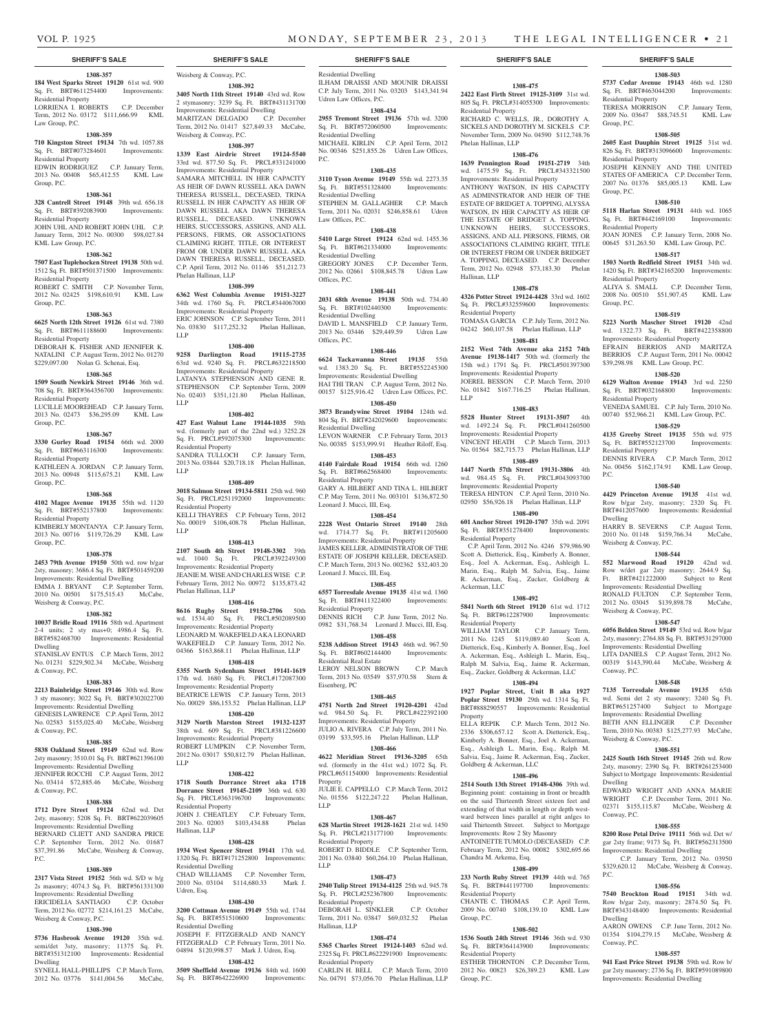Residential Property

Phelan Hallinan, LLP

Hallinan, LLP

LLP

Residential Property

Residential Property

Ackerman, LLC

Residential Property

Property

**1308-475 2422 East Firth Street 19125-3109** 31st wd. 805 Sq. Ft. PRCL#314055300 Improvements:

**1308-503 5737 Cedar Avenue 19143** 46th wd. 1280 Sq. Ft. BRT#463044200 Improvements:

TERESA MORRISON C.P. January Term, 2009 No. 03647 \$88,745.51 KML Law

**1308-505 2605 East Dauphin Street 19125** 31st wd. 826 Sq. Ft. BRT#313096600 Improvements:

JOSEPH KENNEY AND THE UNITED STATES OF AMERICA C.P. December Term, 2007 No. 01376 \$85,005.13 KML Law

**1308-510 5118 Harlan Street 19131** 44th wd. 1065 Sq. Ft. BRT#442169100 Improvements:

JOAN JONES C.P. January Term, 2008 No. 00645 \$31,263.50 KML Law Group, P.C. **1308-517 1503 North Redfield Street 19151** 34th wd. 1420 Sq. Ft. BRT#342165200 Improvements:

ALIYA S. SMALL C.P. December Term, 2008 No. 00510 \$51,907.45 KML Law

**1308-519 5223 North Mascher Street 19120** 42nd wd. 1322.73 Sq. Ft. BRT#422358800 Improvements: Residential Property EFRAIN BERRIOS AND MARITZA BERRIOS C.P. August Term, 2011 No. 00042 \$39,298.98 KML Law Group, P.C. **1308-520 6129 Walton Avenue 19143** 3rd wd. 2250

VENEDA SAMUEL C.P. July Term, 2010 No. 00740 \$52,966.21 KML Law Group, P.C. **1308-529 4135 Greeby Street 19135** 55th wd. 975 Sq. Ft. BRT#552123700 Improvements:

DENNIS RIVERA C.P. March Term, 2012 No. 00456 \$162,174.91 KML Law Group,

**1308-540 4429 Princeton Avenue 19135** 41st wd. Row b/gar 2sty, masonry; 2320 Sq. Ft. BRT#412057600 Improvements: Residential

HARRY B. SEVERNS C.P. August Term, 2010 No. 01148 \$159,766.34 McCabe,

**1308-544 552 Marwood Road 19120** 42nd wd. Row w/det gar 2sty masonry; 2644.9 Sq. Ft. BRT#421222000 Subject to Rent Improvements: Residential Dwelling RONALD FULTON C.P. September Term, 2012 No. 03045 \$139,898.78 McCabe,

**1308-547 6056 Belden Street 19149** 53rd wd. Row b/gar 2sty, masonry; 2764.88 Sq. Ft. BRT#531297000 Improvements: Residential Dwelling LITA DANIELS C.P. August Term, 2012 No. 00319 \$143,390.44 McCabe, Weisberg &

**1308-548 7135 Torresdale Avenue 19135** 65th wd. Semi det 2 sty masonry; 3240 Sq. Ft. BRT#651257400 Subject to Mortgage Improvements: Residential Dwelling BETH ANN ELLINGER C.P. December Term, 2010 No. 00383 \$125,277.93 McCabe,

**1308-551 2425 South 16th Street 19145** 26th wd. Row 2sty, masonry; 2390 Sq. Ft. BRT#261253400 Subject to Mortgage Improvements: Residential

EDWARD WRIGHT AND ANNA MARIE WRIGHT C.P. December Term, 2011 No. 02371 \$155,115.87 McCabe, Weisberg &

**1308-555 8200 Rose Petal Drive 19111** 56th wd. Det w/ gar 2sty frame; 9173 Sq. Ft. BRT#562313500 Improvements: Residential Dwelling  $C.P.$  January Term, 2012 No. \$329,620.12 McCabe, Weisberg & Conway,

**1308-556 7540 Brockton Road 19151** 34th wd. Row b/gar 2sty, masonry; 2874.50 Sq. Ft. BRT#343148400 Improvements: Residential

AARON OWENS C.P. June Term, 2012 No. 01354 \$104,279.15 McCabe, Weisberg &

**1308-557 941 East Price Street 19138** 59th wd. Row b/ gar 2sty masonry; 2736 Sq. Ft. BRT#591089800 Improvements: Residential Dwelling

Residential Property

Residential Property

Residential Property

Residential Property

Sq. Ft. BRT#032168800 Residential Property

Residential Property

Weisberg & Conway, P.C.

Weisberg & Conway, P.C.

Weisberg & Conway, P.C.

Conway, P.C.

Dwelling

Conway, P.C.

P.C.

Dwelling

Conway, P.C.

P.C.

Dwelling

Group, P.C.

Group, P.C.

Group, P.C.

RICHARD C. WELLS, JR., DOROTHY A. SICKELS AND DOROTHY M. SICKELS C.P. November Term, 2009 No. 04590 \$112,748.76

**1308-476 1639 Pennington Road 19151-2719** 34th wd. 1475.59 Sq. Ft. PRCL#343321500 Improvements: Residential Property ANTHONY WATSON, IN HIS CAPACITY AS ADMINSTRATOR AND HEIR OF THE ESTATE OF BRIDGET A. TOPPING, ALYSSA WATSON, IN HER CAPACITY AS HEIR OF THE ESTATE OF BRIDGET A. TOPPING. UNKNOWN HEIRS, SUCCESSORS, ASSIGNS, AND ALL PERSONS, FIRMS, OR ASSOCIATIONS CLAIMING RIGHT, TITLE OR INTEREST FROM OR UNDER BRIDGET A. TOPPING, DECEASED. C.P. December Term, 2012 No. 02948 \$73,183.30 Phelan

**1308-478 4326 Potter Street 19124-4428** 33rd wd. 1602 Sq. Ft. PRCL#332559600 Improvements:

TOMASA GARCIA C.P. July Term, 2012 No. 04242 \$60,107.58 Phelan Hallinan, LLP **1308-481 2152 West 74th Avenue aka 2152 74th Avenue 19138-1417** 50th wd. (formerly the 15th wd.) 1791 Sq. Ft. PRCL#501397300 Improvements: Residential Property JOEREL BESSON C.P. March Term, 2010 No. 01842 \$167.716.25 Phelan Hallinan,

**1308-483 5528 Hunter Street 19131-3507** 4th wd. 1492.24 Sq. Ft. PRCL#041260500 Improvements: Residential Property VINCENT HEATH C.P. March Term, 2013 No. 01564 \$82,715.73 Phelan Hallinan, LLP **1308-489 1447 North 57th Street 19131-3806** 4th wd. 984.45 Sq. Ft. PRCL#043093700 Improvements: Residential Property TERESA HINTON C.P. April Term, 2010 No. 02950 \$56,926.18 Phelan Hallinan, LLP **1308-490 601 Anchor Street 19120-1707** 35th wd. 2091 Sq. Ft. BRT#351278400 Improvements:

 C.P. April Term, 2012 No. 4246 \$79,986.90 Scott A. Dietterick, Esq., Kimberly A. Bonner, Esq., Joel A. Ackerman, Esq., Ashleigh L. Marin, Esq., Ralph M. Salvia, Esq., Jaime R. Ackerman, Esq., Zucker, Goldberg &

**1308-492 5841 North 6th Street 19120** 61st wd. 1712 Sq. Ft. BRT#612287900 Improvements:

WILLIAM TAYLOR C.P. January Term, 2011 No. 1245 \$119,089.40 Scott A. Dietterick, Esq., Kimberly A. Bonner, Esq., Joel A. Ackerman, Esq., Ashleigh L. Marin, Esq., Ralph M. Salvia, Esq., Jaime R. Ackerman, Esq., Zucker, Goldberg & Ackerman, LLC **1308-494 1927 Poplar Street, Unit B aka 1927 Poplar Street 19130** 29th wd. 1314 Sq. Ft. BRT#888290557 Improvements: Residential

ELLA REPIK C.P. March Term, 2012 No. 2336 \$306,657.12 Scott A. Dietterick, Esq., Kimberly A. Bonner, Esq., Joel A. Ackerman, Esq., Ashleigh L. Marin, Esq., Ralph M. Salvia, Esq., Jaime R. Ackerman, Esq., Zucker,

**1308-496 2514 South 13th Street 19148-4306** 39th wd. Beginning point: containing in front or breadth on the said Thirteenth Street sixteen feet and extending of that width in length or depth westward between lines parallel at right anlges to said Thirteenth Streeet. Subject to Mortgage Improvements: Row 2 Sty Masonry ANTOINETTE TUMOLO (DECEASED) C.P. February Term, 2012 No. 00082 \$302,695.66

**1308-499 233 North Ruby Street 19139** 44th wd. 765 Sq. Ft. BRT#441197700 Improvements:

CHANTE C. THOMAS C.P. April Term, 2009 No. 00740 \$108,139.10 KML Law

**1308-502 1536 South 24th Street 19146** 36th wd. 930 Sq. Ft. BRT#364143900 Improvements:

ESTHER THORNTON C.P. December Term, 2012 No. 00823 \$26,389.23 KML Law

Goldberg & Ackerman, LLC

Chandra M. Arkema, Esq.

Residential Property

Residential Property

Group, P.C.

Group, P.C.

## **SHERIFF'S SALE SHERIFF'S SALE SHERIFF'S SALE SHERIFF'S SALE SHERIFF'S SALE**

#### **1308-357 184 West Sparks Street 19120** 61st wd. 900 Sq. Ft. BRT#611254400 Improvements: Residential Property

LORRIENA I. ROBERTS C.P. December Term, 2012 No. 03172 \$111,666.99 KML Law Group, P.C.

### **1308-359**

**710 Kingston Street 19134** 7th wd. 1057.88 Sq. Ft. BRT#073284601 Improvements: Residential Property

EDWIN RODRIGUEZ C.P. January Term, 2013 No. 00408 \$65,412.55 KML Law Group, P.C.

#### **1308-361**

**328 Cantrell Street 19148** 39th wd. 656.18 Sq. Ft. BRT#392083900 Improvements: Residential Property

JOHN UHL AND ROBERT JOHN UHL C.P. January Term, 2012 No. 00300 \$98,027.84 KML Law Group, P.C.

#### **1308-362**

**7507 East Tuplehocken Street 19138** 50th wd.

1512 Sq. Ft. BRT#501371500 Improvements: Residential Property ROBERT C. SMITH C.P. November Term, 2012 No. 02425 \$198,610.91 KML Law

#### **1308-363**

Group, P.C.

**6625 North 12th Street 19126** 61st wd. 7380 Sq. Ft. BRT#611188600 Improvements: Residential Property

DEBORAH K. FISHER AND JENNIFER K. NATALINI C.P. August Term, 2012 No. 01270 \$229,097.00 Nolan G. Schenai, Esq.

## **1308-365**

**1509 South Newkirk Street 19146** 36th wd. 708 Sq. Ft. BRT#364356700 Improvements:

Residential Property LUCILLE MOOREHEAD C.P. January Term,

2013 No. 02473 \$36,295.09 KML Law Group, P.C.

## **1308-367**

**3330 Gurley Road 19154** 66th wd. 2000 Sq. Ft. BRT#663116300 Improvements: Residential Property KATHLEEN A. JORDAN C.P. January Term,

2013 No. 00948 \$115,675.21 KML Law Group, P.C.

## **1308-368**

**4102 Magee Avenue 19135** 55th wd. 1120 Sq. Ft. BRT#552137800 Improvements:

#### Residential Property KIMBERLY MONTANYA C.P. January Term, 2013 No. 00716 \$119,726.29 KML Law

Group, P.C.

## **1308-378**

**2453 79th Avenue 19150** 50th wd. row b/gar 2sty, masonry; 3686.4 Sq. Ft. BRT#501459200 Improvements: Residential Dwelling

EMMA J. BRYANT C.P. September Term, 2010 No. 00501 \$175,515.43 McCabe, Weisberg & Conway, P.C.

## **1308-382**

**10037 Bridle Road 19116** 58th wd. Apartment 2-4 units; 2 sty mas+0; 4986.4 Sq. Ft. BRT#582468700 Improvements: Residential Dwelling STANISLAV ENTUS C.P. March Term, 2012

No. 01231 \$229,502.34 McCabe, Weisberg & Conway, P.C.

### **1308-383**

### **2213 Bainbridge Street 19146** 30th wd. Row 3 sty masonry; 3022 Sq. Ft. BRT#302022700

Improvements: Residential Dwelling GENESIS LAWRENCE C.P. April Term, 2012 No. 02583 \$155,025.40 McCabe, Weisberg & Conway, P.C.

#### **1308-385**

**5838 Oakland Street 19149** 62nd wd. Row 2sty masonry; 3510.01 Sq. Ft. BRT#621396100 Improvements: Residential Dwelling JENNIFER ROCCHI C.P. August Term, 2012 No. 03414 \$72,885.46 McCabe, Weisberg & Conway, P.C.

#### **1308-388**

**1712 Dyre Street 19124** 62nd wd. Det 2sty, masonry; 5208 Sq. Ft. BRT#622039605 Improvements: Residential Dwelling BERNARD CLIETT AND SANDRA PRICE

C.P. September Term, 2012 No. 01687 \$37,391.86 McCabe, Weisberg & Conway, P.C. **1308-389**

## **2317 Vista Street 19152** 56th wd. S/D w b/g

2s masonry; 4074.3 Sq. Ft. BRT#561331300 Improvements: Residential Dwelling<br>ERICIDELIA SANTIAGO C.P. October ERICIDELIA SANTIAGO Term, 2012 No. 02772 \$214,161.23 McCabe, Weisberg & Conway, P.C.

#### **1308-390**

**5736 Hasbrook Avenue 19120** 35th wd. semi/det 3sty, masonry; 11375 Sq. Ft. BRT#351312100 Improvements: Residential Dwelling

SYNELL HALL-PHILLIPS C.P. March Term, 2012 No. 03776 \$141,004.56 McCabe,

Weisberg & Conway, P.C.

#### **1308-392**

**3405 North 11th Street 19140** 43rd wd. Row 2 stymasonry; 3239 Sq. Ft. BRT#431131700 Improvements: Residential Dwelling MARITZAN DELGADO C.P. December Term, 2012 No. 01417 \$27,849.33 McCabe, Weisberg & Conway, P.C.

#### **1308-397**

**1339 East Airdrie Street 19124-5540**  33rd wd. 877.50 Sq. Ft. PRCL#331241000 Improvements: Residential Property SAMARA MITCHELL IN HER CAPACITY AS HEIR OF DAWN RUSSELL AKA DAWN THERESA RUSSELL, DECEASED, TRINA RUSSELL IN HER CAPACITY AS HEIR OF DAWN RUSSELL AKA DAWN THERESA RUSSELL, DECEASED. UNKNOWN

HEIRS, SUCCESSORS, ASSIGNS, AND ALL PERSONS, FIRMS, OR ASSOCIATIONS CLAIMING RIGHT, TITLE, OR INTEREST FROM OR UNDER DAWN RUSSELL AKA DAWN THERESA RUSSELL, DECEASED. C.P. April Term, 2012 No. 01146 \$51,212.73 Phelan Hallinan, LLP

### **1308-399**

**6362 West Columbia Avenue 19151-3227**  34th wd. 1760 Sq. Ft. PRCL#344067000 Improvements: Residential Property

ERIC JOHNSON C.P. September Term, 2011 No. 03830 \$117,252.32 Phelan Hallinan, LLP

#### **1308-400**

**9258 Darlington Road 19115-2735**  63rd wd. 9240 Sq. Ft. PRCL#632218500 Improvements: Residential Property LATANYA STEPHENSON AND GENE R. STEPHENSON C.P. September Term, 2009 No. 02403 \$351,121.80 Phelan Hallinan, LLP

#### **1308-402**

**427 East Walnut Lane 19144-1035** 59th wd. (formerly part of the 22nd wd.) 3252.28 Sq. Ft. PRCL#592075300 Improvements: Residential Property SANDRA TULLOCH C.P. January Term, 2013 No. 03844 \$20,718.18 Phelan Hallinan,

LLP **1308-409**

### **3018 Salmon Street 19134-5811** 25th wd. 960

Sq. Ft. PRCL#251192000 Improvements: Residential Property KELLI THAYRES C.P. February Term, 2012 No. 00019 \$106,408.78 Phelan Hallinan, LLP

#### **1308-413**

**2107 South 4th Street 19148-3302** 39th wd. 1040 Sq. Ft. PRCL#392249300 Improvements: Residential Property JEANIE M. WISE AND CHARLES WISE C.P. February Term, 2012 No. 00972 \$135,873.42 Phelan Hallinan, LLP

#### **1308-416**

**8616 Rugby Street 19150-2706** 50th wd. 1534.40 Sq. Ft. PRCL#502089500 Improvements: Residential Property LEONARD M. WAKEFIELD AKA LEONARD WAKEFIELD C.P. January Term, 2012 No. 04366 \$163,868.11 Phelan Hallinan, LLP **1308-418**

**5355 North Sydenham Street 19141-1619**  17th wd. 1680 Sq. Ft. PRCL#172087300 Improvements: Residential Property BEATRICE LEWIS C.P. January Term, 2013 No. 00029 \$86,153.52 Phelan Hallinan, LLP

## **1308-420**

**3129 North Marston Street 19132-1237**  38th wd. 609 Sq. Ft. PRCL#381226600 Improvements: Residential Property ROBERT LUMPKIN C.P. November Term, 2012 No. 03017 \$50,812.79 Phelan Hallinan, LLP

#### **1308-422**

**1718 South Dorrance Street aka 1718 Dorrance Street 19145-2109** 36th wd. 630 Sq. Ft. PRCL#363196700 Improvements: Residential Property JOHN J. CHEATLEY C.P. February Term,<br>2013 No. 02003 \$103.434.88 Phelan 2013 No. 02003 \$103,434.88

#### Hallinan, LLP **1308-428**

**1934 West Spencer Street 19141** 17th wd. 1320 Sq. Ft. BRT#171252800 Improvements: Residential Dwelling CHAD WILLIAMS C.P. November Term,

## 2010 No. 03104 \$114,680.33 Mark J. Udren, Esq.

## **1308-430**

**3200 Cottman Avenue 19149** 55th wd. 1744 Sq. Ft. BRT#551510600 Residential Dwelling JOSEPH F. FITZGERALD AND NANCY FITZGERALD C.P. February Term, 2011 No. 04894 \$120,998.57 Mark J. Udren, Esq.

#### **1308-432**

**3509 Sheffield Avenue 19136** 84th wd. 1600 Sq. Ft. BRT#642226900 Improvements:

Residential Dwelling ILHAM DRAISSI AND MOUNIR DRAISSI C.P. July Term, 2011 No. 03203 \$143,341.94 Udren Law Offices, P.C.

## **1308-434**

**2955 Tremont Street 19136** 57th wd. 3200<br>Sq. Ft. BRT#572060500 Improvements: Sq. Ft. BRT#572060500 Residential Dwelling MICHAEL KIRLIN C.P. April Term, 2012 No. 00346 \$251,855.26 Udren Law Offices, P.C.

#### **1308-435**

**3110 Tyson Avenue 19149** 55th wd. 2273.35 Sq. Ft. BRT#551328400 Improvements: Residential Dwelling STEPHEN M. GALLAGHER C.P. March Term, 2011 No. 02031 \$246,858.61 Udren Law Offices, P.C.

#### **1308-438**

**5410 Large Street 19124** 62nd wd. 1455.36<br>
Sq. Ft. BRT#621334000 Improvements: Sq. Ft. BRT#621334000 Residential Dwelling GREGORY JONES C.P. December Term, 2012 No. 02661 \$108,845.78 Udren Law Offices, P.C.

#### **1308-441**

**2031 68th Avenue 19138** 50th wd. 734.40 Sq. Ft. BRT#102440300 Improvements: Residential Dwelling DAVID L. MANSFIELD C.P. January Term,

2013 No. 03446 \$29,449.59 Udren Law Offices, P.C.

## **1308-446**

**6624 Tackawanna Street 19135** 55th wd. 1383.20 Sq. Ft. BRT#552245300 Improvements: Residential Dwelling HAI THI TRAN C.P. August Term, 2012 No. 00157 \$125,916.42 Udren Law Offices, P.C. **1308-450**

**3873 Brandywine Street 19104** 124th wd. 804 Sq. Ft. BRT#242029600 Improvements: Residential Dwelling LEVON WARNER C.P. February Term, 2013 No. 00385 \$153,999.91 Heather Riloff, Esq. **1308-453**

**4140 Fairdale Road 19154** 66th wd. 1260 Sq. Ft. BRT#662568400 Improvements: Residential Property GARY A. HILBERT AND TINA L. HILBERT C.P. May Term, 2011 No. 003101 \$136,872.50

Leonard J. Mucci, III, Esq.

**1308-454 2228 West Ontario Street 19140** 28th wd. 1714.77 Sq. Ft. BRT#11205600 Improvements: Residential Property JAMES KELLER, ADMINISTRATOR OF THE ESTATE OF JOSEPH KELLER, DECEASED. C.P. March Term, 2013 No. 002362 \$32,403.20 Leonard J. Mucci, III, Esq.

#### **1308-455**

**6557 Torresdale Avenue 19135** 41st wd. 1360 Sq. Ft. BRT#411322400 Improvements: Residential Property DENNIS RICH C.P. June Term, 2012 No. 0982 \$31,768.34 Leonard J. Mucci, III, Esq.

**1308-458 5238 Addison Street 19143** 46th wd. 967.50 Sq. Ft. BRT#602144400 Improvements: Residential Real Estate

LEROY NELSON BROWN C.P. March Term, 2013 No. 03549 \$37,970.58 Stern &

**1308-465 4751 North 2nd Street 19120-4201** 42nd wd. 984.50 Sq. Ft. PRCL#422392100 Improvements: Residential Property JULIO A. RIVERA C.P. July Term, 2011 No. 03199 \$33,595.16 Phelan Hallinan, LLP **1308-466 4622 Meridian Street 19136-3205** 65th wd. (formerly in the 41st wd.) 1072 Sq. Ft. PRCL#651154000 Improvements: Residential

JULIE E. CAPPELLO C.P. March Term, 2012 No. 01556 \$122,247.22 Phelan Hallinan,

**1308-467 628 Martin Street 19128-1621** 21st wd. 1450 Sq. Ft. PRCL#213177100 Improvements:

ROBERT D. BIDDLE C.P. September Term, 2011 No. 03840 \$60,264.10 Phelan Hallinan,

**1308-473 2940 Tulip Street 19134-4125** 25th wd. 945.78 Sq. Ft. PRCL#252367800 Improvements:

DEBORAH L. SINKLER C.P. October Term, 2011 No. 03847 \$69,032.52 Phelan

**1308-474 5365 Charles Street 19124-1403** 62nd wd. 2325 Sq. Ft. PRCL#622291900 Improvements:

CARLIN H. BELL C.P. March Term, 2010 No. 04791 \$73,056.70 Phelan Hallinan, LLP

Eisenberg, PC

Property

Residential Property

Residential Property

Residential Property

Hallinan, LLP

LLP

LLP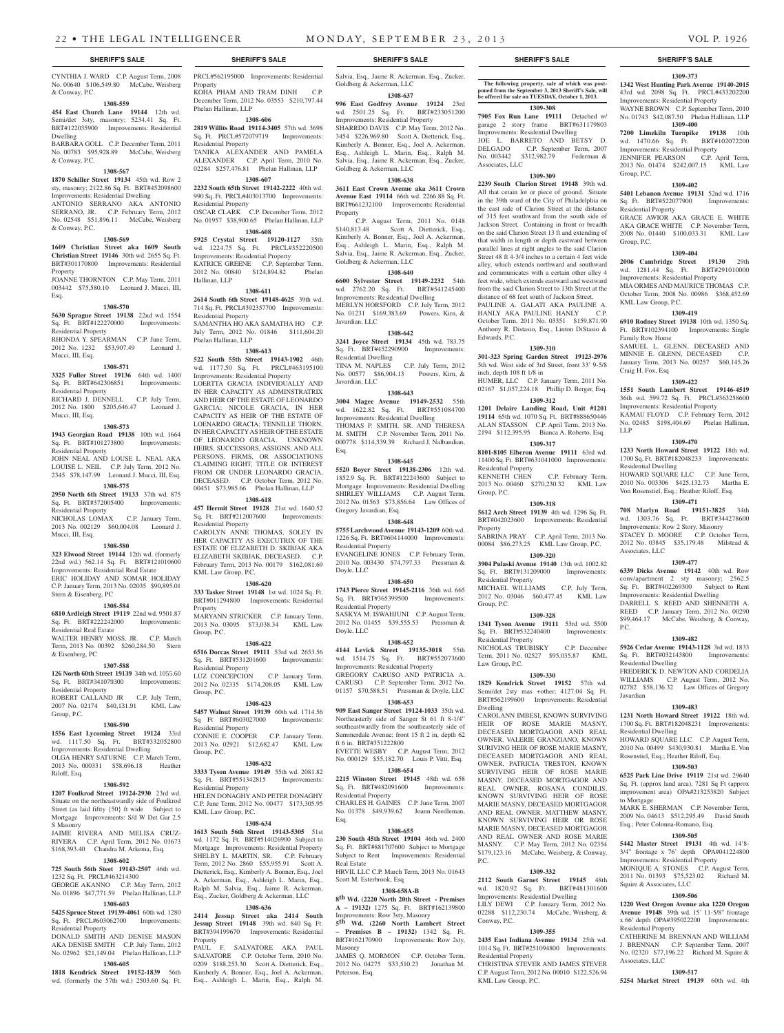CYNTHIA J. WARD C.P. August Term, 2008 No. 00640 \$106,549.80 McCabe, Weisberg & Conway, P.C.

## **1308-559**

**454 East Church Lane 19144** 12th wd. Semi/det 3sty, masonry; 5234.41 Sq. Ft. BRT#122035900 Improvements: Residential Dwelling

BARBARA GOLL C.P. December Term, 2011 No. 00783 \$95,928.89 McCabe, Weisberg & Conway, P.C.

#### **1308-567**

**1870 Schiller Street 19134** 45th wd. Row 2 sty, masonry; 2122.86 Sq. Ft. BRT#452098600 Improvements: Residential Dwelling ANTONIO SERRANO AKA ANTONIO SERRANO, JR. C.P. February Term, 2012

No. 02548 \$51,896.11 McCabe, Weisberg & Conway, P.C. **1308-569**

**1609 Christian Street aka 1609 South Christian Street 19146** 30th wd. 2655 Sq. Ft. BRT#301170800 Improvements: Residential Property JOANNE THORNTON C.P. May Term, 2011 003442 \$75,580.10 Leonard J. Mucci, III, Esq.

#### **1308-570**

**5630 Sprague Street 19138** 22nd wd. 1554 Sq. Ft. BRT#122270000 Improvements: Residential Property RHONDA Y. SPEARMAN C.P. June Term, 2012 No. 1232 \$53,907.49 Leonard J.

#### **1308-571**

Mucci, III, Esq.

**3325 Fuller Street 19136** 64th wd. 1400 Sq. Ft. BRT#642306851 Improvements: Residential Property

RICHARD J. DENNELL C.P. July Term, 2012 No. 1800 \$205,646.47 Leonard J. Mucci, III, Esq.

#### **1308-573**

**1943 Georgian Road 19138** 10th wd. 1664 Sq. Ft. BRT#101273800 Improvements: Residential Property JOHN NEAL AND LOUSE L. NEAL AKA LOUISE L. NEIL C.P. July Term, 2012 No.

2345 \$78,147.99 Leonard J. Mucci, III, Esq. **1308-575 2950 North 6th Street 19133** 37th wd. 875

Sq. Ft. BRT#372005400 Improvements: Residential Property NICHOLAS LOMAX C.P. January Term,

2013 No. 002129 \$60,004.08 Leonard J. Mucci, III, Esq.

#### **1308-580**

**323 Elwood Street 19144** 12th wd. (formerly 22nd wd.) 562.14 Sq. Ft. BRT#121010600 Improvements: Residential Real Estate ERIC HOLIDAY AND SOMAR HOLIDAY C.P. January Term, 2013 No. 02035 \$90,895.01 Stern & Eisenberg, PC

#### **1308-584**

**6810 Ardleigh Street 19119** 22nd wd. 9501.87 Sq. Ft. BRT#222242000 Improvements: Residential Real Estate

WALTER HENRY MOSS, JR. C.P. March Term, 2013 No. 00392 \$260,284.50 Stern & Eisenberg, PC

#### **1307-588**

**126 North 60th Street 19139** 34th wd. 1055.60 Sq. Ft. BRT#341079300 Improvements: Residential Property ROBERT CALLAND JR C.P. July Term, 2007 No. 02174 \$40,131.91 KML Law

## Group, P.C. **1308-590**

**1556 East Lycoming Street 19124** 33rd wd. 1117.50 Sq. Ft. BRT#332052800 Improvements: Residential Dwelling OLGA HENRY SATURNE C.P. March Term,

2013 No. 000331 \$58,696.18 Heather Riloff, Esq. **1308-592**

## **1207 Foulkrod Street 19124-2930** 23rd wd.

Situate on the northeastwardly side of Foulkrod Street (as laid fiftty {50} ft wide Subject to Mortgage Improvements: S/d W Det Gar 2.5 S Masonry JAIME RIVERA AND MELISA CRUZ-RIVERA C.P. April Term, 2012 No. 01673

## \$168,393.40 Chandra M. Arkema, Esq. **1308-602**

### **725 South 56th Steet 19143-2507** 46th wd.

1232 Sq. Ft. PRCL#463214300 GEORGE AKANNO C.P. May Term, 2012 No. 01896 \$47,771.59 Phelan Hallinan, LLP

## **1308-603**

**5425 Spruce Street 19139-4061** 60th wd. 1280 Sq. Ft. PRCL#603062700 Improvements: Residential Property

DONALD SMITH AND DENISE MASON AKA DENISE SMITH C.P. July Term, 2012 No. 02962 \$21,149.04 Phelan Hallinan, LLP **1308-605** Property

**1818 Kendrick Street 19152-1839** 56th wd. (formerly the 57th wd.) 2503.60 Sq. Ft.

## **SHERIFF'S SALE SHERIFF'S SALE SHERIFF'S SALE SHERIFF'S SALE SHERIFF'S SALE** PRCL#562195000 Improvements: Residential

Property KOHA PHAM AND TRAM DINH December Term, 2012 No. 03553 \$210,797.44 Phelan Hallinan, LLP

#### **1308-606 2819 Willits Road 19114-3405** 57th wd. 3698 Sq. Ft. PRCL#572079719 Improvements: Residential Property

TANIKA ALEXANDER AND PAMELA ALEXANDER C.P. April Term, 2010 No. 02284 \$257,476.81 Phelan Hallinan, LLP

**1308-607 2232 South 65th Street 19142-2222** 40th wd. 990 Sq. Ft. PRCL#403013700 Improvements: Residential Property OSCAR CLARK C.P. December Term, 2012 No. 01957 \$38,900.65 Phelan Hallinan, LLP

#### **1308-608**

**5925 Crystal Street 19120-1127** 35th wd. 1224.75 Sq. Ft. PRCL#352220500 Improvements: Residential Property KATRICE GREENE C.P. September Term, 2012 No. 00840 \$124,894.82 Phelan Hallinan, LLP

#### **1308-611**

**2614 South 6th Street 19148-4625** 39th wd. 714 Sq. Ft. PRCL#392357700 Improvements: Residential Property SAMANTHA HO AKA SAMATHA HO C.P. July Term, 2012 No. 01846 \$111,604.20 Phelan Hallinan, LLP

## **1308-613**

**522 South 55th Street 19143-1902** 46th wd. 1177.50 Sq. Ft. PRCL#463195100 Improvements: Residential Property LOERTTA GRACIA INDIVIDUALLY AND IN HER CAPACITY AS ADMINSTRATRIX AND HEIR OF THE ESTATE OF LEONARDO GARCIA; NICOLE GRACIA, IN HER CAPACITY AS HEIR OF THE ESTATE OF LOENARDO GRACIA; TENNILLE THORN, IN HER CAPACITY AS HEIR OF THE ESTATE OF LEONARDO GRACIA. UNKNOWN HEIRS, SUCCESSORS, ASSIGNS, AND ALL PERSONS, FIRMS, OR ASSOCIATIONS CLAIMING RIGHT, TITLE OR INTEREST FROM OR UNDER LEONARDO GRACIA, DECEASED. C.P. October Term, 2012 No. 00451 \$73,985.66 Phelan Hallinan, LLP

**1308-618 457 Hermit Street 19128** 21st wd. 1640.52 Sq. Ft. BRT#212007600 Improvements: Residential Property CAROLYN ANNE THOMAS, SOLEY IN HER CAPACITY AS EXECUTRIX OF THE ESTATE OF ELIZABETH D. SKIBJAK AKA ELIZABETH SKIBJAK, DECEASED. C.P. February Term, 2013 No. 00179 \$162,081.69

#### KML Law Group, P.C. **1308-620**

**333 Tasker Street 19148** 1st wd. 1024 Sq. Ft. BRT#011294800 Improvements: Residential Property MARYANN STRICKER C.P. January Term,

2013 No. 03095 \$73,038.34 KML Law Group, P.C.

## **1308-622**

**6516 Dorcas Street 19111** 53rd wd. 2653.56 Sq. Ft. BRT#531201600 Improvements: Residential Property LUZ CONCEPCION C.P. January Term, 2012 No. 02335 \$174,208.05 KML Law Group, P.C.

#### **1308-623**

**5457 Walnut Street 19139** 60th wd. 1714.56 Sq Ft BRT#603027000 Improvements: Residential Property CONNIE E. COOPER C.P. January Term, 2013 No. 02921 \$12,682.47 KML Law

Group, P.C. **1308-632**

## **3333 Tyson Avenue 19149** 55th wd. 2081.82

Sq. Ft. BRT#551342815 Improvements: Residential Property HELEN DONAGHY AND PETER DONAGHY C.P. June Term, 2012 No. 00477 \$173,305.95 KML Law Group, P.C.

#### **1308-634**

**1613 South 56th Street 19143-5305** 51st wd. 1172 Sq. Ft. BRT#514026900 Subject to Mortgage Improvements: Residential Property<br>SHELBY L. MARTIN, SR. C.P. February SHELBY L. MARTIN, SR. C.P. February Term, 2012 No. 2860 \$55,955.91 Scott A. Dietterick, Esq., Kimberly A. Bonner, Esq., Joel A. Ackerman, Esq., Ashleigh L. Marin, Esq., Ralph M. Salvia, Esq., Jaime R. Ackerman, Esq., Zucker, Goldberg & Ackerman, LLC

#### **1308-636**

**2414 Jessup Street aka 2414 South Jessup Street 19148** 39th wd. 840 Sq. Ft. BRT#394199670 Improvements: Residential

PAUL F. SALVATORE AKA PAUL. SALVATORE C.P. October Term, 2010 No. 0209 \$188,253.30 Scott A. Dietterick, Esq., Kimberly A. Bonner, Esq., Joel A. Ackerman, Esq., Ashleigh L. Marin, Esq., Ralph M.

Salvia, Esq., Jaime R. Ackerman, Esq., Zucker, Goldberg & Ackerman, LLC **1308-637**

**The following property, sale of which was postponed from the September 3, 2013 Sheriff's Sale, will be offered for sale on TUESDAY, October 1, 2013. 1309-308 7905 Fox Run Lane 19111** Detached w/ garage 2 story frame BRT#631179803 Improvements: Residential Dwelling JOE L. BARRETO AND BETSY D. DELGADO C.P. September Term, 2007 No. 003442 \$312,982.79 Federman &

**1309-373 1342 West Hunting Park Avenue 19140-2015**  43rd wd. 2098 Sq. Ft. PRCL#433202200 Improvements: Residential Property WAYNE BROWN C.P. September Term, 2010 No. 01743 \$42,087.50 Phelan Hallinan, LLP **1309-400 7200 Limekiln Turnpike 19138** 10th wd. 1470.66 Sq. Ft. BRT#102072200 Improvements: Residential Property JENNIFER PEARSON C.P. April Term, 2013 No. 01474 \$242,007.15 KML Law

**1309-402 5401 Lebanon Avenue 19131** 52nd wd. 1716 Sq. Ft. BRT#522077900 Improvements:

GRACE AWIOR AKA GRACE E. WHITE AKA GRACE WHITE C.P. November Term, 2008 No. 01440 \$100,033.31 KML Law

**1309-404 2006 Cambridge Street 19130** 29th wd. 1281.44 Sq. Ft. BRT#291010000 Improvements: Residential Property MIA ORMES AND MAURICE THOMAS C.P. October Term, 2008 No. 00986 \$368,452.69

**1309-419 6910 Rodney Street 19138** 10th wd. 1350 Sq. Ft. BRT#102394100 Improvements: Single

SAMUEL L. GLENN, DECEASED AND MINNIE E. GLENN, DECEASED C.P. January Term, 2013 No. 00257 \$60,145.26

**1309-422 1551 South Lambert Street 19146-4519**  36th wd. 599.72 Sq. Ft. PRCL#363258600 Improvements: Residential Property KAMAU FLOYD C.P. February Term, 2012 No. 02485 \$198,404.69 Phelan Hallinan,

**1309-470 1233 North Howard Street 19122** 18th wd. 1700 Sq. Ft. BRT#182048233 Improvements:

HOWARD SQUARE LLC C.P. June Term, 2010 No. 003306 \$425,132.73 Martha E. Von Rosenstiel, Esq.; Heather Riloff, Esq. **1309-471 708 Marlyn Road 19151-3825** 34th wd. 1303.76 Sq. Ft. BRT#344278600 Improvements: Row 2 Story, Masonry STACEY D. MOORE C.P. October Term, 2012 No. 03845 \$35,179.48 Milstead &

**1309-477 6339 Dicks Avenue 19142** 40th wd. Row conv/apartment 2 sty masonry; 2562.5 Sq. Ft. BRT#402269300 Subject to Rent Improvements: Residential Dwelling DARRELL S. REED AND SHENNETH A. REED C.P. January Term, 2012 No. 00290 \$99,464.17 McCabe, Weisberg, & Conway,

**1309-482 5926 Cedar Avenue 19143-1128** 3rd wd. 1833 Sq. Ft. BRT#032143800 Improvements:

FREDERICK D. NEWTON AND CORDELIA WILLIAMS C.P. August Term, 2012 No. 02782 \$58,136.32 Law Offices of Gregory

**1309-483 1231 North Howard Street 19122** 18th wd. 1700 Sq. Ft. BRT#182048231 Improvements:

HOWARD SQUARE LLC C.P. August Term, 2010 No. 00499 \$430,930.81 Martha E. Von Rosenstiel, Esq.; Heather Riloff, Esq. **1309-503 6525 Park Line Drive 19119** 21st wd. 29640 Sq. Ft. (approx land area), 7281 Sq Ft (approx improvement area) OPA#213253820 Subject

MARK E. SHERMAN C.P. November Term, 2009 No. 04613 \$512,295.49 David Smith Esq.; Peter Colonna-Romano, Esq. **1309-505 5442 Master Street 19131** 4th wd. 14'8- 3/4" frontage x 76' depth OPA#041224800 Improvements: Residential Property

MONIQUE A. STONES C.P. August Term, 2011 No. 01393 \$75,523.02 Richard M.

**1309-506 1220 West Oregon Avenue aka 1220 Oregon Avenue 19148** 39th wd. 15' 11-5/8" frontage x 66' depth OPA#395022200 Improvements:

CATHERINE M. BRENNAN AND WILLIAM J. BRENNAN C.P. September Term, 2007 No. 02320 \$77,196.22 Richard M. Squire &

**1309-517 5254 Market Street 19139** 60th wd. 4th

Squire & Associates, LLC

Residential Property

Associates, LLC

Group, P.C.

Group, P.C.

Residential Property

KML Law Group, P.C.

Family Row Home

Craig H. Fox, Esq

Residential Dwelling

Associates, LLC

Residential Dwelling

Residential Dwelling

 $PC$ .

Javardian

to Mortgage

LLP

**1309-309 2239 South Clarion Street 19148** 39th wd. All that cetain lot or piece of ground. Situate in the 39th ward of the City of Philadelphia on the east side of Clarion Street at the distance of 315 feet southward from the south side of Jackson Street. Containing in front or breadth on the said Clarion Street 13 ft and extending of that width in length or depth eastward between parallel lines at right angles to the said Clarion Street 48 ft 4-3/4 inches to a certain 4 feet wide alley, which extends northward and southward and communicates with a certain other alley 4 feet wide, which extends eastward and westward from the said Clarion Street to 13th Street at the distance of 68 feet south of Jackson Street. PAULINE A. GALATI AKA PAULINE A. HANLY AKA PAULINE HANLY C.P. October Term, 2011 No. 03351 \$159,871.90 Anthony R. Distasio, Esq., Linton DiStasio &

**1309-310 301-323 Spring Garden Street 19123-2976**  5th wd. West side of 3rd Street, front 33' 9-5/8

HUMER, LLC C.P. January Term, 2011 No. 02167 \$1,057,224.18 Phillip D. Berger, Esq. **1309-312 1201 Delaire Landing Road, Unit #1201 19114** 65th wd. 1070 Sq. Ft. BRT#888650446 ALAN STASSON C.P. April Term, 2013 No. 2194 \$112,395.95 Bianca A. Roberto, Esq. **1309-317 8101-8105 Elberon Avenue 19111** 63rd wd. 11400 Sq. Ft. BRT#631041000 Improvements:

2013 No. 00460 \$270,230.32 KML Law

**1309-318 5612 Arch Street 19139** 4th wd. 1296 Sq. Ft. BRT#042023600 Improvements: Residential

SABRINA PRAY C.P. April Term, 2013 No. 00084 \$86,273.25 KML Law Group, P.C. **1309-320 3904 Pulaski Avenue 19140** 13th wd. 1002.82 Sq. Ft. BRT#131209000 Improvements:

MICHAEL WILLIAMS C.P. July Term, 2012 No. 03046 \$60,477.45 KML Law

**1309-328 1341 Tyson Avenue 19111** 53rd wd. 5500 Sq. Ft. BRT#532240400 Improvements:

NICHOLAS TRUBISKY C.P. December Term, 2011 No. 02527 \$95,035.87 KML

**1309-330 1829 Kendrick Street 19152** 57th wd. Semi/det 2sty mas +other; 4127.04 Sq. Ft. BRT#562199600 Improvements: Residential

CAROLANN IMBESI, KNOWN SURVIVING HEIR OF ROSE MARIE MASNY, DECEASED MORTGAGOR AND REAL OWNER, VALERIE GRANZIANO, KNOWN SURIVING HEIR OF ROSE MARIE MASNY, DECEASED MORTGAGOR AND REAL OWNER, PATRICIA TRESTON, KNOWN SURVIVING HEIR OF ROSE MARIE MASNY, DECEASED MORTGAGOR AND REAL OWNER, ROSANA CONDILIS, KNOWN SURVIVING HEIR OF ROSE MARIE MASNY, DECEASED MORTGAGOR AND REAL OWNER, MATTHEW MASNY, KNOWN SURVIVING HEIR OR ROSE MARIE MASNY, DECEASED MORTGAGOR AND REAL OWNER AND ROSE MARIE MASNY. C.P. May Term, 2012 No. 02354 \$179,123.16 McCabe, Weisberg, & Conway,

**1309-332 2112 South Garnet Street 19145** 48th wd. 1820.92 Sq. Ft. BRT#481301600 Improvements: Residential Dwelling LILY DEWI C.P. January Term, 2012 No. 02288 \$112,230.74 McCabe, Weisberg, &

**1309-355 2435 East Indiana Avenue 19134** 25th wd. 1014 Sq. Ft. BRT#251094800 Improvements:

CHRISTINA STEVER AND JAMES STEVER C.P. August Term, 2012 No. 00010 \$122,526.94

C.P. February Term,

Associates, LLC

Edwards, P.C.

inch, depth 108 ft 1/8 in

Residential Property<br>KENNETH CHEN

Residential Property

Residential Property

Law Group, P.C.

Dwelling

P.C.

Conway, P.C.

Residential Property

KML Law Group, P.C.

Group, P.C.

Group, P.C.

Property

**996 East Godfrey Avenue 19124** 23rd wd. 2501.25 Sq. Ft. BRT#233051200 Improvements: Residential Property SHARRDO DAVIS C.P. May Term, 2012 No. 3454 \$226,969.80 Scott A. Dietterick, Esq.,

Kimberly A. Bonner, Esq., Joel A. Ackerman, Esq., Ashleigh L. Marin, Esq., Ralph M. Salvia, Esq., Jaime R. Ackerman, Esq., Zucker, Goldberg & Ackerman, LLC

## **1308-638**

**3611 East Crown Avenue aka 3611 Crown Avenue East 19114** 66th wd. 2266.88 Sq. Ft. BRT#661232100 Improvements: Residential Property

C.P. August Term, 2011 No. 0148<br>\$140,813.48 Scott A. Dietterick, Esq., Scott A. Dietterick, Esq., Kimberly A. Bonner, Esq., Joel A. Ackerman, Esq., Ashleigh L. Marin, Esq., Ralph M. Salvia, Esq., Jaime R. Ackerman, Esq., Zucker, Goldberg & Ackerman, LLC **1308-640**

**6600 Sylvester Street 19149-2232** 54th wd. 2762.20 Sq. Ft. BRT#541245400 Improvements: Residential Dwelling MERLYN HORSFORD C.P. July Term, 2012 No. 01231 \$169,383.69 Powers, Kirn, & Javardian, LLC

## **1308-642**

**3241 Joyce Street 19134** 45th wd. 783.75 Sq. Ft. BRT#452290900 Improvements: Residential Dwelling TINA M. NAPLES C.P. July Term, 2012 No. 00577 \$86,904.13 Powers, Kirn, & Javardian, LLC

#### **1308-643**

**3004 Magee Avenue 19149-2532** 55th wd. 1622.82 Sq. Ft. BRT#551084700 Improvements: Residential Dwelling THOMAS P. SMITH, SR. AND THERESA M. SMITH C.P. November Term, 2011 No. 000778 \$114,339.39 Richard J. Nalbandian, Esq.

#### **1308-645**

**5520 Boyer Street 19138-2306** 12th wd. 1852.9 Sq. Ft. BRT#122243600 Subject to Mortgage Improvements: Residential Dwelling SHIRLEY WILLIAMS C.P. August Term, 2012 No. 01563 \$73,856.64 Law Offices of Gregory Javardian, Esq.

#### **1308-648**

**5755 Larchwood Avenue 19143-1209** 60th wd. 1226 Sq. Ft. BRT#604144000 Improvements: Residential Property EVANGELINE JONES C.P. February Term, 2010 No. 003430 \$74,797.33 Pressman &

## Doyle, LLC

**1308-650 1743 Pierce Street 19145-2116** 36th wd. 665 Sq. Ft. BRT#365399500 Improvements: Residential Property SASKYA M. ISWAHJUNI C.P. August Term,

2012 No. 01455 \$39,555.53 Pressman & Doyle, LLC

## **1308-652**

**4144 Levick Street 19135-3018** 55th wd. 1514.75 Sq. Ft. BRT#552073600 Improvements: Residential Property GREGORY CARUSO AND PATRICIA A.

CARUSO C.P. September Term, 2012 No. 01157 \$70,588.51 Pressman & Doyle, LLC

## **1308-653**

**909 East Sanger Street 19124-1033** 35th wd. Northeasterly side of Sanger St 61 ft 8-1/4" southeastwardly from the southeasterly side of Summerdale Avenue; front 15 ft 2 in, depth 62 ft 6 in. BRT#351222800 EVETTE WESBY C.P. August Term, 2012

No. 000129 \$55,182.70 Louis P. Vitti, Esq. **1308-654**

**2215 Winston Street 19145** 48th wd. 658 Sq. Ft. BRT#482091600 Residential Property

CHARLES H. GAINES C.P. June Term, 2007 No. 01378 \$49,939.62 Joann Needleman, Esq.

#### **1308-655**

**230 South 45th Street 19104** 46th wd. 2400 Sq. Ft. BRT#881707600 Subject to Mortgage<br>Subject to Rent Improvements: Residential Improvements: Residential Real Estate HRVII, LLC C.P. March Term, 2013 No. 01643

Scott M. Esterbrook, Esq **1308-658A-B**

Masonry

Peterson, Esq.

**8th Wd. (2220 North 20th Street - Premises A – 19132)** 1275 Sq. Ft. BRT#162139800 Improvements: Row 3sty, Masonry **5th Wd. (2260 North Lambert Street** 

**– Premises B – 19132)** 1342 Sq. Ft. BRT#162170900 Improvements: Row 2sty,

JAMES Q. MORMON C.P. October Term, 2012 No. 04275 \$33,510.23 Jonathan M.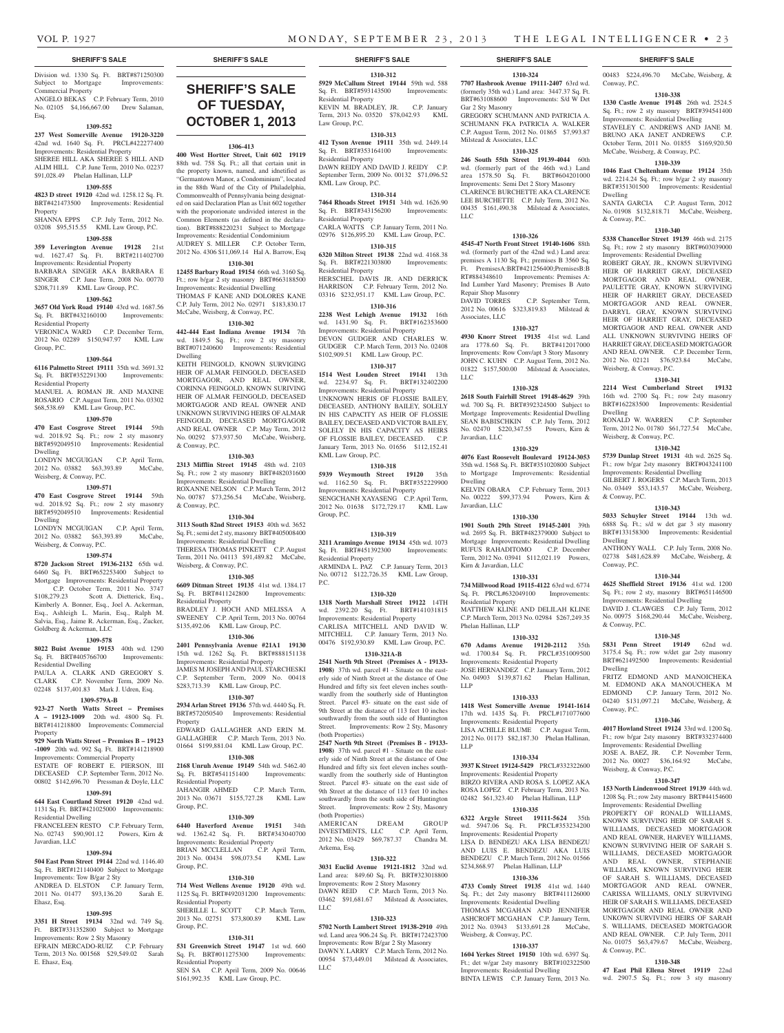Gar 2 Sty Masonry

LLC

Repair Shop Masonry<br>DAVID TORRES

Associates, LLC

Javardian, LLC

Dwelling

Javardian, LLC

Kirn & Javardian, LLC

Residential Property

Phelan Hallinan, LLP

LLP

LLP

LLC

Milstead & Associates, LLC

**1310-324 7707 Hasbrook Avenue 19111-2407** 63rd wd. (formerly 35th wd.) Land area: 3447.37 Sq. Ft. BRT#631088600 Improvements: S/d W Det 00483 \$224,496.70 McCabe, Weisberg, &

**1310-338 1330 Castle Avenue 19148** 26th wd. 2524.5 Sq. Ft.; row 2 sty masonry BRT#394541400 Improvements: Residential Dwelling STAVELEY C. ANDREWS AND JANE M. BRUNO AKA JANET ANDREWS C.P. October Term, 2011 No. 01855 \$169,920.50 McCabe, Weisberg, & Conway, P.C. **1310-339 1046 East Cheltenham Avenue 19124** 35th wd. 2214.24 Sq. Ft.; row b/gar 2 sty masonry BRT#351301500 Improvements: Residential

SANTA GARCIA C.P. August Term, 2012 No. 01908 \$132,818.71 McCabe, Weisberg,

**1310-340 5338 Chancellor Street 19139** 46th wd. 2175 Sq. Ft.; row 2 sty masonry BRT#603039000 Improvements: Residential Dwelling ROBERT GRAY, JR., KNOWN SURVIVING HEIR OF HARRIET GRAY DECEASED MORTGAGOR AND REAL OWNER, PAULETTE GRAY, KNOWN SURVIVING HEIR OF HARRIET GRAY, DECEASED MORTGAGOR AND REAL OWNER, DARRYL GRAY, KNOWN SURVIVING HEIR OF HARRIET GRAY, DECEASED MORTGAGOR AND REAL OWNER AND ALL UNKNOWN SURVIVING HEIRS OF HARRIET GRAY, DECEASED MORTGAGOR AND REAL OWNER. C.P. December Term, 2012 No. 02121 \$76,923.84 McCabe,

Conway, P.C.

Dwelling

& Conway, P.C.

Weisberg, & Conway, P.C.

Weisberg, & Conway, P.C.

Dwelling

& Conway, P.C.

Dwelling

Conway, P.C.

& Conway, P.C.

Dwelling

Conway, P.C.

Weisberg, & Conway, P.C.

& Conway, P.C.

**1310-341 2214 West Cumberland Street 19132**  16th wd. 2700 Sq. Ft.; row 2sty masonry BRT#162283500 Improvements: Residential

RONALD W. WARREN C.P. September Term, 2012 No. 01780 \$61,727.54 McCabe,

**1310-342 5739 Dunlap Street 19131** 4th wd. 2625 Sq. Ft.; row b/gar 2sty masonry BRT#043241100 Improvements: Residential Dwelling GILBERT J. ROGERS C.P. March Term, 2013 No. 03449 \$53,143.57 McCabe, Weisberg,

**1310-343 5033 Schuyler Street 19144** 13th wd. 6888 Sq. Ft.; s/d w det gar 3 sty masonry BRT#133158300 Improvements: Residential

ANTHONY WALL C.P. July Term, 2008 No. 02738 \$481,628.89 McCabe, Weisberg, &

**1310-344 4625 Sheffield Street 19136** 41st wd. 1200 Sq. Ft.; row 2 sty, masonry BRT#651146500 Improvements: Residential Dwelling DAVID J. CLAWGES C.P. July Term, 2012 No. 00975 \$168,290.44 McCabe, Weisberg,

**1310-345 5831 Penn Street 19149** 62nd wd. 3175.4 Sq. Ft.; row w/det gar 2sty masonry BRT#621492500 Improvements: Residential

FRITZ EDMOND AND MANOICHEKA M. EDMOND AKA MANOUCHEKA M EDMOND C.P. January Term, 2012 No. 04240 \$131,097.21 McCabe, Weisberg, &

**1310-346 4017 Howland Street 19124** 33rd wd. 1200 Sq. Ft.; row b/gar 2sty masonry BRT#332374400 Improvements: Residential Dwelling JOSE A. BAEZ, JR. C.P. November Term, 2012 No. 00027 \$36,164.92 McCabe,

**1310-347 153 North Lindenwood Street 19139** 44th wd. 1208 Sq. Ft.; row 2sty masonry BRT#44154600 Improvements: Residential Dwelling PROPERTY OF RONALD WILLIAMS, KNOWN SURVIVING HEIR OF SARAH S. WILLIAMS, DECEASED MORTGAGOR AND REAL OWNER, HARVEY WILLIAMS, KNOWN SURVIVING HEIR OF SARAH S. WILLIAMS, DECEASED MORTGAGOR AND REAL OWNER, STEPHANIE WILLIAMS, KNOWN SURVIVING HEIR OF SARAH S. WILLIAMS, DECEASED MORTGAGOR AND REAL OWNER, CARISSA WILLIAMS, ONLY SURVIVING HEIR OF SARAH S. WILLIAMS, DECEASED MORTGAGOR AND REAL OWNER AND UNKOWN SURVIVING HEIRS OF SARAH S. WILLIAMS, DECEASED MORTGAGOR AND REAL OWNER. C.P. July Term, 2011 No. 01075 \$63,479.67 McCabe, Weisberg,

**1310-348 47 East Phil Ellena Street 19119** 22nd wd. 2907.5 Sq. Ft.; row 3 sty masonry

GREGORY SCHUMANN AND PATRICIA A. SCHUMANN FKA PATRICIA A. WALKER C.P. August Term, 2012 No. 01865 \$7,993.87

**1310-325 246 South 55th Street 19139-4044** 60th wd. (formerly part of the 46th wd.) Land area 1578.50 Sq. Ft. BRT#604201000 Improvements: Semi Det 2 Story Masonry CLARENCE BURCHETTE AKA CLARENCE LEE BURCHETTE C.P. July Term, 2012 No. 00435 \$161,490.38 Milstead & Associates,

**1310-326 4545-47 North Front Street 19140-1606** 88th wd. (formerly part of the 42nd wd.) Land area: premises A 1130 Sq. Ft.; premises B 3560 Sq. Ft. PremisesA:BRT#421256400;PremisesB:B RT#884348610 Improvements: Premises A: Ind Lumber Yard Masonry; Premises B Auto

2012 No. 00616 \$323,819.83 Milstead &

**1310-327 4930 Knorr Street 19135** 41st wd. Land ara 1778.60 Sq. Ft. BRT#412017000 Improvements: Row Conv/apt 3 Story Masonry JOHN C. KUHN C.P. August Term, 2012 No. 01822 \$157,500.00 Milstead & Associates,

**1310-328 2618 South Fairhill Street 19148-4629** 39th wd. 700 Sq. Ft. BRT#392324500 Subject to Mortgage Improvements: Residential Dwelling SEAN BABISCHKIN C.P. July Term, 2012 No. 02470 \$220,347.55 Powers, Kirn &

**1310-329 4076 East Roosevelt Boulevard 19124-3053**  35th wd. 1568 Sq. Ft. BRT#351020800 Subject to Mortgage Improvements: Residential

KELVIN OBARA C.P. February Term, 2013 No. 00222 \$99,373.94 Powers, Kirn &

**1310-330 1901 South 29th Street 19145-2401** 39th wd. 2695 Sq. Ft. BRT#482379000 Subject to Mortgage Improvements: Residential Dwelling RUFUS RAHADITOMO C.P. December Term, 2012 No. 03941 \$112,021.19 Powers,

**1310-331 734 Millwood Road 19115-4122** 63rd wd. 6774 Sq. Ft. PRCL#632049100 Improvements:

MATTHEW KLINE AND DELILAH KLINE C.P. March Term, 2013 No. 02984 \$267,249.35

**1310-332 670 Adams Avenue 19120-2112** 35th wd. 1700.84 Sq. Ft. PRCL#351009500 Improvements: Residential Property JOSE HERNANDEZ C.P. January Term, 2012 No. 04903 \$139,871.62 Phelan Hallinan,

**1310-333 1418 West Somerville Avenue 19141-1614**  17th wd. 1435 Sq. Ft. PRCL#171077600 Improvements: Residential Property LISA ACHILLE BLUME C.P. August Term, 2012 No. 01173 \$82,187.30 Phelan Hallinan,

**1310-334 3937 K Street 19124-5429** PRCL#332322600 Improvements: Residential Property BIRZO RIVERA AND ROSA S. LOPEZ AKA ROSA LOPEZ C.P. February Term, 2013 No. 02482 \$61,323.40 Phelan Hallinan, LLP **1310-335 6322 Argyle Street 19111-5624** 35th wd. 5947.06 Sq. Ft. PRCL#353234200 Improvements: Residential Property LISA D. BENDEZU AKA LISA BENDEZU AND LUIS E. BENDEZU AKA LUIS BENDEZU C.P. March Term, 2012 No. 01566 \$234,868.97 Phelan Hallinan, LLP **1310-336 4733 Comly Street 19135** 41st wd. 1440 Sq. Ft.; det 2sty masonry BRT#411126000 Improvements: Residential Dwelling THOMAS MCGAHAN AND JENNIFER ASHCROFT MCGAHAN C.P. January Term, 2012 No. 03943 \$133,691.28 McCabe,

Weisberg, & Conway, P.C.

**1310-337 1604 Yerkes Street 19150** 10th wd. 6397 Sq. Ft.; det w/gar 2sty masonry BRT#102322500 Improvements: Residential Dwelling BINTA LEWIS C.P. January Term, 2013 No.

C.P. September Term,

#### **SHERIFF'S SALE SHERIFF'S SALE SHERIFF'S SALE SHERIFF'S SALE SHERIFF'S SALE**

Division wd. 1330 Sq. Ft. BRT#871250300 Subject to Mortgage Improvements: Commercial Property

ANGELO BEKAS C.P. February Term, 2010 No. 02105 \$4,166,667.00 Drew Salaman, Esq.

#### **1309-552**

**237 West Somerville Avenue 19120-3220**  42nd wd. 1640 Sq. Ft. PRCL#422277400 Improvements: Residential Property SHEREE HILL AKA SHEREE S HILL AND ALIM HILL C.P. June Term, 2010 No. 02237

## \$91,028.49 Phelan Hallinan, LLP

#### **1309-555**

**4823 D street 19120** 42nd wd. 1258.12 Sq. Ft. BRT#421473500 Improvements: Residential Property

SHANNA EPPS C.P. July Term, 2012 No. 03208 \$95,515.55 KML Law Group, P.C.

### **1309-558**

**359 Leverington Avenue 19128** 21st wd. 1627.47 Sq. Ft. BRT#211402700 Improvements: Residential Property BARBARA SINGER AKA BARBARA E SINGER C.P. June Term, 2008 No. 00770

\$208,711.89 KML Law Group, P.C. **1309-562**

**3657 Old York Road 19140** 43rd wd. 1687.56 Sq. Ft. BRT#432160100 Improvements: Residential Property VERONICA WARD C.P. December Term,

2012 No. 02289 \$150,947.97 KML Law Group, P.C.

### **1309-564**

**6116 Palmetto Street 19111** 35th wd. 3691.32 Sq. Ft. BRT#352291300 Improvements: Residential Property

MANUEL A. ROMAN JR. AND MAXINE ROSARIO C.P. August Term, 2011 No. 03302 \$68,538.69 KML Law Group, P.C.

#### **1309-570**

**470 East Cosgrove Street 19144** 59th wd. 2018.92 Sq. Ft.; row 2 sty masonry BRT#592049510 Improvements: Residential Dwelling

LONDYN MCGUIGAN C.P. April Term, 2012 No. 03882 \$63,393.89 McCabe, Weisberg, & Conway, P.C.

#### **1309-571**

**470 East Cosgrove Street 19144** 59th wd. 2018.92 Sq. Ft.; row 2 sty masonry BRT#592049510 Improvements: Residential Dwelling

LONDYN MCGUIGAN C.P. April Term, 2012 No. 03882 \$63,393.89 McCabe, Weisberg, & Conway, P.C.

## **1309-574**

**8720 Jackson Street 19136-2132** 65th wd. 6460 Sq. Ft. BRT#652253400 Subject to Mortgage Improvements: Residential Property

C.P. October Term, 2011 No. 3747<br>\$108,279.23 Scott A. Dietterick, Esq., Scott A. Dietterick, Esq., Kimberly A. Bonner, Esq., Joel A. Ackerman, Esq., Ashleigh L. Marin, Esq., Ralph M. Salvia, Esq., Jaime R. Ackerman, Esq., Zucker, Goldberg & Ackerman, LLC

#### **1309-578**

**8022 Buist Avenue 19153** 40th wd. 1290 Sq. Ft. BRT#405766700 Improvements:

#### Residential Dwelling PAULA A. CLARK AND GREGORY S. CLARK C.P. November Term, 2009 No.

02248 \$137,401.83 Mark J. Udren, Esq. **1309-579A-B**

#### **923-27 North Watts Street – Premises A – 19123-1009** 20th wd. 4800 Sq. Ft. BRT#141218800 Improvements: Commercial Property

**929 North Watts Street – Premises B – 19123 -1009** 20th wd. 992 Sq. Ft. BRT#141218900

- Improvements: Commercial Property ESTATE OF ROBERT E. PIERSON, III
- DECEASED C.P. September Term, 2012 No. 00802 \$142,696.70 Pressman & Doyle, LLC

## **1309-591**

**644 East Courtland Street 19120** 42nd wd. 1131 Sq. Ft. BRT#421025000 Improvements: Residential Dwelling

FRANCELEEN RESTO C.P. February Term, No. 02743 \$90,901.12 Powers, Kirn & Javardian, LLC

#### **1309-594**

**504 East Penn Street 19144** 22nd wd. 1146.40 Sq. Ft. BRT#121140400 Subject to Mortgage Improvements: Tow B/gar 2 Sty ANDREA D. ELSTON C.P. January Term, 2011 No. 01477 \$93,136.20 Sarah E. Ehasz, Esq.

#### **1309-595**

**3351 H Street 19134** 32nd wd. 749 Sq. Ft. BRT#331352800 Subject to Mortgage Improvements: Row 2 Sty Masonry EFRAIN MERCADO-RUIZ C.P. February

Term, 2013 No. 001568 \$29,549.02 Sarah E. Ehasz, Esq.

## **SHERIFF'S SALE OF TUESDAY, October 1, 2013**

**1306-413**

**400 West Hortter Street, Unit 602 19119**  88th wd. 758 Sq. Ft.; all that certain unit in the property known, named, and idnetified as "Germantown Manor, a Condominium", located in the 88th Ward of the City of Philadelphia, Commonwealth of Pennsylvania being designated on said Declaration Plan as Unit 602 together with the proporionate undivided interest in the Common Elements (as defined in the declaration). BRT#888220231 Subject to Mortgage Improvements: Residential Condominium AUDREY S. MILLER C.P. October Term, 2012 No. 4306 \$11,069.14 Hal A. Barrow, Esq

## **1310-301**

**12455 Barbary Road 19154** 66th wd. 3160 Sq. Ft.; row b/gar 2 sty masonry BRT#663188500 Improvements: Residential Dwelling THOMAS F KANE AND DOLORES KANE

C.P. July Term, 2012 No. 02971 \$183,830.17 McCabe, Weisberg, & Conway, P.C.

**1310-302 442-444 East Indiana Avenue 19134** 7th wd. 1849.5 Sq. Ft.; row 2 sty masonry BRT#071240600 Improvements: Residential Dwelling KEITH FEINGOLD, KNOWN SURVIGING

HEIR OF ALMAR FEINGOLD, DECEASED MORTGAGOR, AND REAL OWNER, CORINNA FEINGOLD, KNOWN SURIVING HEIR OF ALMAR FEINGOLD, DECEASED MORTGAGOR AND REAL OWNER AND UNKNOWN SURVIVING HEIRS OF ALMAR FEINGOLD, DECEASED MORTGAGOR AND REAL OWNER C.P. May Term, 2012 No. 00292 \$73,937.50 McCabe, Weisberg, & Conway, P.C.

#### **1310-303**

**2313 Mifflin Street 19145** 48th wd. 2103 Sq. Ft.; row 2 sty masonry BRT#482031600 Improvements: Residential Dwelling ROXANNE NELSON C.P. March Term, 2012 No. 00787 \$73,256.54 McCabe, Weisberg, & Conway, P.C.

#### **1310-304**

**3113 South 82nd Street 19153** 40th wd. 3652 Sq. Ft.; semi det 2 sty, masonry BRT#405008400 Improvements: Residential Dwelling THERESA THOMAS PINKETT C.P. August Term, 2011 No. 04113 \$91,489.82 McCabe, Weisberg, & Conway, P.C.

## **1310-305**

**6609 Ditman Street 19135** 41st wd. 1384.17 Sq. Ft. BRT#411242800 Improvements: Residential Property

BRADLEY J. HOCH AND MELISSA A SWEENEY C.P. April Term, 2013 No. 00764 \$135,492.06 KML Law Group, P.C.

## **1310-306**

**2401 Pennsylvania Avenue #21A1 19130**  15th wd. 1262 Sq. Ft. BRT#888151138 Improvements: Residential Property JAMES M JOSEPH AND PAUL STARCHESKI C.P. September Term, 2009 No. 00418 \$283,713.39 KML Law Group, P.C.

#### **1310-307**

**2934 Arlan Street 19136** 57th wd. 4440 Sq. Ft. BRT#572050540 Improvements: Residential Property

EDWARD GALLAGHER AND ERIN M. GALLAGHER C.P. March Term, 2013 No. 01664 \$199,881.04 KML Law Group, P.C.

## **1310-308**

**2168 Unruh Avenue 19149** 54th wd. 5462.40 Sq. Ft. BRT#541151400 Improvements: Residential Property<br>JAHANGIR AHMED C.P. March Term, 2013 No. 03671 \$155,727.28 KML Law

#### **1310-309**

Group, P.C.

**6440 Haverford Avenue 19151** 34th wd. 1362.42 Sq. Ft. Improvements: Residential Property BRIAN MCCLELLAN C.P. April Term, 2013 No. 00434 \$98,073.54 KML Law Group, P.C.

#### **1310-310**

**714 West Wellens Avenue 19120** 49th wd. 1125 Sq. Ft. BRT#492031200 Improvements: Residential Property SHERILLE L. SCOTT C.P. March Term, 2013 No. 02751 \$73,800.89 KML Law Group, P.C.

#### **1310-311**

**531 Greenwich Street 19147** 1st wd. 660 Sq. Ft. BRT#011275300 Improvements:

Residential Property SEN SA C.P. April Term, 2009 No. 00646 \$161,992.35 KML Law Group, P.C.

## **1310-312**

**5929 McCallum Street 19144** 59th wd. 588 Sq. Ft. BRT#593143500 Improvements: Residential Property KEVIN M. BRADLEY, JR. C.P. January Term, 2013 No. 03520 \$78,042.93 KML Law Group, P.C.

#### **1310-313**

**412 Tyson Avenue 19111** 35th wd. 2449.14 Sq. Ft. BRT#353164100 Improvements: Residential Property DAWN REIDY AND DAVID J. REIDY C.P. September Term, 2009 No. 00132 \$71,096.52 KML Law Group, P.C.

## **1310-314**

**7464 Rhoads Street 19151** 34th wd. 1626.90 Sq. Ft. BRT#343156200 Improvements: Residential Property CARLA WATTS C.P. January Term, 2011 No. 02976 \$126,895.20 KML Law Group, P.C.

**1310-315 6320 Milton Street 19138** 22nd wd. 4168.38

Sq. Ft. BRT#221303800 Improvements: Residential Property HERSCHEL DAVIS JR. AND DERRICK

HARRISON C.P. February Term, 2012 No. 03316 \$232,951.17 KML Law Group, P.C. **1310-316**

#### **2238 West Lehigh Avenue 19132** 16th wd. 1431.90 Sq. Ft. BRT#162353600 Improvements: Residential Property DEVON GUDGER AND CHARLES W. GUDGER C.P. March Term, 2013 No. 02408

\$102,909.51 KML Law Group, P.C. **1310-317**

## **1514 West Louden Street 19141** 13th

wd. 2234.97 Sq. Ft. BRT#132402200 Improvements: Residential Property UNKNOWN HERIS OF FLOSSIE BAILEY, DECEASED, ANTHONY BAILEY, SOLELY IN HIS CAPACITY AS HEIR OF FLOSSIE BAILEY, DECEASED AND VICTOR BAILEY, SOLELY IN HIS CAPACITY AS HEIRS OF FLOSSIE BAILEY, DECEASED. C.P. January Term, 2013 No. 01656 \$112,152.41 KML Law Group, P.C.

#### **1310-318**

**5939 Weymouth Street 19120** 35th wd. 1162.50 Sq. Ft. BRT#352229900 Improvements: Residential Property SENGCHANH XAYASENG C.P. April Term, 2012 No. 01638 \$172,729.17 KML Law Group, P.C.

#### **1310-319**

**3211 Aramingo Avenue 19134** 45th wd. 1073 Sq. Ft. BRT#451392300 Improvements: Residential Property ARMINDA L. PAZ C.P. January Term, 2013 No. 00712 \$122,726.35 KML Law Group, P.C.

## **1310-320**

**1318 North Marshall Street 19122** 14TH wd. 2392.20 Sq. Ft. BRT#141031815 Improvements: Residential Property CARLISA MITCHELL AND DAVID W. MITCHELL C.P. January Term, 2013 No. 00476 \$192,930.89 KML Law Group, P.C.

## **1310-321A-B**

**2541 North 9th Street (Premises A - 19133- 1908)** 37th wd. parcel #1 - Situate on the easterly side of Ninth Street at the distance of One Hundred and fifty six feet eleven inches southwardly from the southerly side of Huntington Street. Parcel #3- situate on the east side of 9th Street at the distance of 113 feet 10 inches southwardly from the south side of Huntington Street. Improvements: Row 2 Sty, Masonry (both Properties)

**2547 North 9th Street (Premises B - 19133- 1908)** 37th wd. parcel #1 - Situate on the easterly side of Ninth Street at the distance of One Hundred and fifty six feet eleven inches southwardly from the southerly side of Huntington Street. Parcel #3- situate on the east side of 9th Street at the distance of 113 feet 10 inches southwardly from the south side of Huntington Street. Improvements: Row 2 Sty, Masonry (both Properties) AMERICAN DREAM GROUP

INVESTMENTS, LLC C.P. April Term, 2012 No. 03429 \$69,787.37 Chandra M. Arkema, Esq.

## **1310-322**

**3031 Euclid Avenue 19121-1812** 32nd wd. Land area: 849.60 Sq. Ft. BRT#323018800 Improvements: Row 2 Story Masonry DAWN REID C.P. March Term, 2013 No. 03462 \$91,681.67 Milstead & Associates, LLC

#### **1310-323 5702 North Lambert Street 19138-2910** 49th wd. Land area 906.24 Sq. Ft. BRT#172423700

Improvements: Row B/gar 2 Sty Masonry DAWN Y. LARRY C.P. March Term, 2012 No. 00954 \$73,449.01 Milstead & Associates,

LLC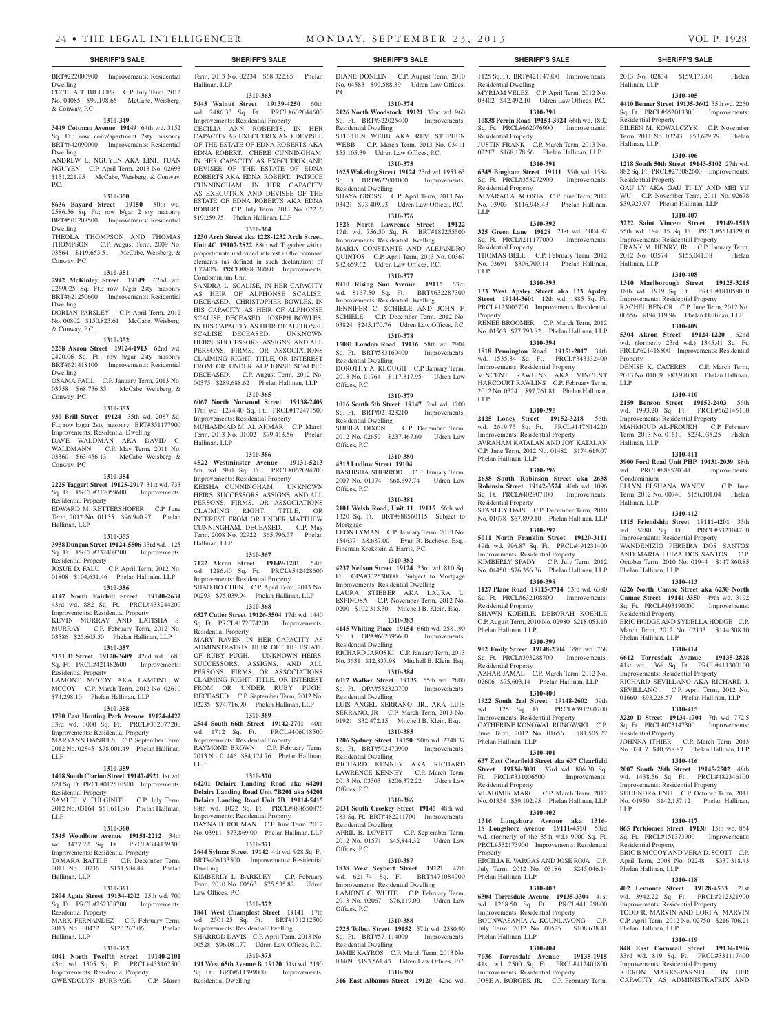BRT#222000900 Improvements: Residential Dwelling CECILIA T. BILLUPS C.P. July Term, 2012 No. 04085 \$99,198.65 McCabe, Weisberg, & Conway, P.C.

#### **1310-349**

**3449 Cottman Avenue 19149** 64th wd. 3152 Sq. Ft.; row conv/apartment 2sty masonry BRT#642090000 Improvements: Residential Dwelling ANDREW L. NGUYEN AKA LINH TUAN

NGUYEN C.P. April Term, 2013 No. 02693 \$151,221.95 McCabe, Weisberg, & Conway, P.C.

### **1310-350**

**8636 Bayard Street 19150** 50th wd. 2586.56 Sq. Ft.; row b/gar 2 sty masonry BRT#501208500 Improvements: Residential Dwelling THEOLA THOMPSON AND THOMAS

THOMPSON C.P. August Term, 2009 No. 03564 \$119,653.51 McCabe, Weisberg, & Conway, P.C.

## **1310-351**

**2942 McKinley Street 19149** 62nd wd. 2269025 Sq. Ft.; row b/gar 2sty masonry BRT#621250600 Improvements: Residential Dwelling DORIAN PARSLEY C.P. April Term, 2012

No. 00802 \$150,823.61 McCabe, Weisberg, & Conway, P.C.

#### **1310-352**

**5258 Akron Street 19124-1913** 62nd wd. 2420.06 Sq. Ft.; row b/gar 2sty masonry BRT#621418100 Improvements: Residential Dwelling

OSAMA FADL C.P. January Term, 2013 No. 03758 \$68,736.35 McCabe, Weisberg, & Conway, P.C.

#### **1310-353**

**930 Brill Street 19124** 35th wd. 2087 Sq. Ft.; row b/gar 2sty masonry BRT#351177900 Improvements: Residential Dwelling DAVE WALDMAN AKA DAVID C. WALDMANN C.P. May Term, 2011 No. 03360 \$63,456.13 McCabe, Weisberg, & Conway, P.C.

## **1310-354**

**2225 Taggert Street 19125-2917** 31st wd. 733 Sq. Ft. PRCL#312059600 Improvements: Residential Property

### EDWARD M. RETTERSHOFER C.P. June Term, 2012 No. 01135 \$96,940.97 Phelan

Hallinan, LLP

#### **1310-355**

**3938 Dungan Street 19124-5506** 33rd wd. 1125 Sq. Ft. PRCL#332408700 Improvements: Residential Property JOSUE D. FALU C.P. April Term, 2012 No. 01808 \$104,631.46 Phelan Hallinan, LLP

#### **1310-356**

**4147 North Fairhill Street 19140-2634**  43rd wd. 882 Sq. Ft. PRCL#433244200 Improvements: Residential Property KEVIN MURRAY AND LATISHA S.

MURRAY C.P. February Term, 2012 No. 03586 \$25,605.50 Phelan Hallinan, LLP **1310-357**

#### **5151 D Street 19120-3609** 42nd wd. 1680 Sq. Ft. PRCL#421482600 Improvements:

Residential Property LAMONT MCCOY AKA LAMONT W. MCCOY C.P. March Term, 2012 No. 02610

## \$74,298.10 Phelan Hallinan, LLP

**1310-358 1700 East Hunting Park Avenue 19124-4422** 

## 33rd wd. 3000 Sq. Ft. PRCL#332077200

Improvements: Residential Property MARYANN DANIELS C.P. September Term, 2012 No. 02845 \$78,001.49 Phelan Hallinan, LLP

## **1310-359**

**1408 South Clarion Street 19147-4921** 1st wd. 624 Sq. Ft. PRCL#012510500 Improvements: Residential Property SAMUEL V. FULGINITI C.P. July Term,

2012 No. 03164 \$51,611.96 Phelan Hallinan, LLP

## **1310-360**

**7345 Woodbine Avenue 19151-2212** 34th wd. 1477.22 Sq. Ft. PRCL#344139300 Improvements: Residential Property MARA BATTLE C.P. December Term 2011 No. 00736 \$131,584.44 Phelan Hallinan, LLP

#### **1310-361**

**2804 Agate Street 19134-4202** 25th wd. 700 Sq. Ft. PRCL#252338700 Improvements: Residential Property

#### MARK FERNANDEZ C.P. February Term, 2013 No. 00472 \$123,267.06 Phelan Hallinan, LLP

#### **1310-362**

**4041 North Twelfth Street 19140-2101**  43rd wd. 1305 Sq. Ft. PRCL#433162500 Improvements: Residential Property

## GWENDOLYN BURBAGE C.P. March

**SHERIFF'S SALE SHERIFF'S SALE SHERIFF'S SALE SHERIFF'S SALE SHERIFF'S SALE** Term, 2013 No. 02234 \$68,322.85 Phelan

#### Hallinan, LLP **1310-363**

#### **5045 Walnut Street 19139-4250** 60th wd. 2486.33 Sq. Ft. PRCL#602044600 Improvements: Residential Property

CECILIA ANN ROBERTS, IN HER CAPACITY AS EXECUTRIX AND DEVISEE OF THE ESTATE OF EDNA ROBERTS AKA EDNA ROBERT. CHERE CUNNINGHAM, IN HER CAPACITY AS EXECUTRIX AND DEVISEE OF THE ESTATE OF EDNA ROBERTS AKA EDNA ROBERT. PATRICE CUNNINGHAM, IN HER CAPACITY AS EXECUTRIX AND DEVISEE OF THE ESTATE OF EDNA ROBERTS AKA EDNA ROBERT. C.P. July Term, 2011 No. 02216 \$19,259.75 Phelan Hallinan, LLP

#### **1310-364**

**1230 Arch Street aka 1228-1232 Arch Street, Unit 4C 19107-2822** 88th wd. Together with a proportionate undivided interest in the common elements (as defined in such declaration) of 1.7740%. PRCL#888038080 Improvements: Condominium Unit

SANDRA L. SCALISE, IN HER CAPACITY AS HEIR OF ALPHONSE SCALISE, DECEASED. CHRISTOPHER BOWLES, IN HIS CAPACITY AS HEIR OF ALPHONSE SCALISE, DECEASED. JOSEPH BOWLES, IN HIS CAPACITY AS HEIR OF ALPHONSE SCALISE, DECEASED. UNKNOWN HEIRS, SUCCESSORS, ASSIGNS, AND ALL PERSONS, FIRMS, OR ASSOCIATIONS CLAIMING RIGHT, TITLE, OR INTEREST FROM OR UNDER ALPHONSE SCALISE. DECEASED. C.P. August Term, 2012 No. 00375 \$289,688.62 Phelan Hallinan, LLP

## **1310-365**

**6067 North Norwood Street 19138-2409**  17th wd. 1274.40 Sq. Ft. PRCL#172471500 Improvements: Residential Property

MUHAMMAD M. AL AHMAR C.P. March Term, 2013 No. 01002 \$79,413.56 Phelan Hallinan, LLP **1310-366**

**4522 Westminster Avenue 19131-5213**  6th wd. 980 Sq. Ft. PRCL#062094700 Improvements: Residential Property

KEISHA CUNNINGHAM. UNKNOWN HEIRS, SUCCESSORS, ASSIGNS, AND ALL PERSONS, FIRMS, OR ASSOCIATIONS CLAIMING RIGHT, TITLE, OR INTEREST FROM OR UNDER MATTHEW CUNNINGHAM, DECEASED. C.P. May Term, 2008 No. 02922 \$65,796.57 Phelan Hallinan, LLP

#### **1310-367**

**7122 Akron Street 19149-1201** 54th wd. 1286.40 Sq. Ft. PRCL#542428600 Improvements: Residential Property SHAO BO CHEN C.P. April Term, 2013 No. 00293 \$75,039.94 Phelan Hallinan, LLP

#### **1310-368**

**6527 Cutler Street 19126-3504** 17th wd. 1440 Sq. Ft. PRCL#172074200 Improvements: Residential Property

MARY RAVEN IN HER CAPACITY AS ADMINSTRATRIX HEIR OF THE ESTATE OF RUBY PUGH. UNKNOWN HEIRS, SUCCESSORS, ASSIGNS, AND ALL PERSONS, FIRMS, OR ASSOCIATIONS CLAIMING RIGHT, TITLE, OR INTEREST FROM OR UNDER RUBY PUGH, DECEASED. C.P. September Term, 2012 No. 02235 \$74,716.90 Phelan Hallinan, LLP

## **1310-369**

**2544 South 66th Street 19142-2701** 40th wd. 1712 Sq. Ft. PRCL#406018500 Improvements: Residential Property RAYMOND BROWN C.P. February Term, 2013 No. 01446 \$84,124.76 Phelan Hallinan, LLP

#### **1310-370**

**64201 Delaire Landing Road aka 64201 Delaire Landing Road Unit 7B201 aka 64201 Delaire Landing Road Unit 7B 19114-5415**  88th wd. 1022 Sq. Ft. PRCL#888650876 Improvements: Residential Property DAYNA B. ROUMAN C.P. June Term, 2012 No. 03911 \$73,869.00 Phelan Hallinan, LLP

**1310-371 2644 Sylmar Street 19142** 4th wd. 928 Sq. Ft. BRT#406133500 Improvements: Resid Dwelling

KIMBERLY L. BARKLEY C.P. February Term, 2010 No. 00563 \$75,535.82 Udren Law Offices, P.C.

## **1310-372**

**1841 West Champlost Street 19141** 17th wd. 2501.25 Sq. Ft. BRT#171212500 Improvements: Residential Dwelling SHARROD DAVIS C.P. April Term, 2013 No. 00528 \$96,081.77 Udren Law Offices, P.C. **1310-373**

**191 West 65th Avenue B 19120** 51st wd. 2190 Sq. Ft. BRT#611399000 Improvements: Residential Dwelling

DIANE DONLEN C.P. August Term, 2010 No. 04583 \$99,588.39 Udren Law Offices, P.C.

1125 Sq. Ft. BRT#421147800 Improvements:

2013 No. 02834 \$159,177.80 Phelan

**1310-405 4410 Benner Street 19135-3602** 55th wd. 2250 Sq. Ft. PRCL#552013300 Improvements:

EILEEN M. KOWALCZYK C.P. November Term, 2011 No. 03243 \$53,629.79 Phelan

**1310-406 1218 South 50th Street 19143-5102** 27th wd. 882 Sq. Ft. PRCL#273082600 Improvements:

GAU LY AKA GAU TI LY AND MEI YU WU C.P. November Term, 2011 No. 02678 \$39,927.97 Phelan Hallinan, LLP **1310-407 3222 Saint Vincent Street 19149-1513**  55th wd. 1840.15 Sq. Ft. PRCL#551432900 Improvements: Residential Property FRANK M. HENRY, JR. C.P. January Term, 2012 No. 03574 \$155,041.38 Phelan

**1310-408 1310 Marlborough Street 19125-3215**  18th wd. 1919 Sq. Ft. PRCL#181058000 Improvements: Residential Property RACHEL BEN-OR C.P. June Term, 2012 No. 00556 \$194,319.96 Phelan Hallinan, LLP **1310-409 5304 Akron Street 19124-1220** 62nd wd. (formerly 23rd wd.) 1345.41 Sq. Ft. PRCL#621418500 Improvements: Residential

DENISE K. CACERES C.P. March Term, 2013 No. 01009 \$83,970.81 Phelan Hallinan,

**1310-410 2159 Benson Street 19152-2403** 56th wd. 1993.20 Sq. Ft. PRCL#562145100 Improvements: Residential Property

MAHMOUD AL-FROUKH C.P. February Term, 2013 No. 01610 \$234,035.25 Phelan

**1310-411 3900 Ford Road Unit PHP 19131-2039** 88th

ELLYN ELSHANA WANEY CP June Term, 2012 No. 00740 \$156,101.04 Phelan

**1310-412 1115 Friendship Street 19111-4201** 35th wd. 5280 Sq. Ft. PRCL#532304700 Improvements: Residential Property WANDENIZIO PEREIRA DOS SANTOS AND MARIA LUIZA DOS SANTOS C.P. October Term, 2010 No. 01944 \$147,860.85

**1310-413 6226 North Camac Street aka 6230 North Camac Street 19141-3350** 49th wd. 3192 Sq. Ft. PRCL#493190000 Improvements:

ERIC HODGE AND SYDELL A HODGE C.P. March Term, 2012 No. 02133 \$144,308.10

**1310-414 6612 Torresdale Avenue 19135-2828**  41st wd. 1368 Sq. Ft. PRCL#411300100 Improvements: Residential Property RICHARD SEVILLANO AKA RICHARD J. SEVILLANO C.P. April Term, 2012 No. 01660 \$93,228.57 Phelan Hallinan, LLP **1310-415 3220 D Street 19134-1704** 7th wd. 772.5 Sq. Ft. PRCL#073147300 Improvements:

JOHNNA ITHIER C.P. March Term, 2013 No. 02417 \$40,558.87 Phelan Hallinan, LLP **1310-416 2007 South 28th Street 19145-2502** 48th wd. 1438.56 Sq. Ft. PRCL#482346100 Improvements: Residential Property SUHENDRA FNU C.P. October Term, 2011 No. 01950 \$142,157.12 Phelan Hallinan,

**1310-417 865 Perkiomen Street 19130** 15th wd. 854 Sq. Ft. PRCL#151373900 Improvements:

ERIC B MCCOY AND VERA D. SCOTT C.P.

**1310-418 402 Lemonte Street 19128-4533** 21st wd. 3942.22 Sq. Ft. PRCL#212321900 Improvements: Residential Property TODD R. MARVIN AND LORI A. MARVIN C.P. April Term, 2012 No. 02750 \$216,706.21

**1310-419 848 East Cornwall Street 19134-1906**  33rd wd. 819 Sq. Ft. PRCL#331117400 Improvements: Residential Property KIERON MARKS-PARNELL, IN HER CAPACITY AS ADMINISTRATRIX AND

Hallinan, LLP

Hallinan, LLP

Residential Property

Residential Property

Hallinan, LLP

Property

Hallinan, LLP

Condominium

Hallinan, LLP

Phelan Hallinan, LLP

Residential Property

Phelan Hallinan, LLP

Residential Property

Residential Property

Phelan Hallinan, LLP

April Term, 2008 No. 02248 Phelan Hallinan, LLP

LLP

wd. PRCL#888520341

LLP

MYRIAM VELEZ C.P. April Term, 2012 No. 03402 \$42,492.10 Udren Law Offices, P.C. **1310-390 10838 Perrin Road 19154-3924** 66th wd. 1802 Sq. Ft. PRCL#662076900 Improvements:

JUSTIN FRANK C.P. March Term, 2013 No. 02217 \$168,178.56 Phelan Hallinan, LLP **1310-391 6345 Bingham Street 19111** 35th wd. 1584 Sq. Ft. PRCL#353272900 Improvements:

ALVARAO A. ACOSTA C.P. June Term, 2012 No. 03903 \$116,948.43 Phelan Hallinan,

**1310-392 325 Green Lane 19128** 21st wd. 6004.87 Sq. Ft. PRCL#211177000 Improvements:

THOMAS BELL C.P. February Term, 2012 No. 03691 \$306,700.14 Phelan Hallinan,

**1310-393 133 West Apsley Street aka 133 Apsley Street 19144-3601** 12th wd. 1885 Sq. Ft. PRCL#123005700 Improvements: Residential

RENEE BROOMER C.P. March Term, 2012 No. 01563 \$77,793.82 Phelan Hallinan, LLP **1310-394 1818 Pennington Road 19151-2017** 34th wd. 1535.34 Sq. Ft. PRCL#343332400 Improvements: Residential Property VINCENT RAWLINS AKA VINCENT HARCOURT RAWLINS C.P. February Term, 2012 No. 03241 \$97,761.81 Phelan Hallinan,

**1310-395 2125 Loney Street 19152-3218** 56th wd. 2619.75 Sq. Ft. PRCL#147N14220 Improvements: Residential Property AVRAHAM KATALAN AND JOY KATALAN C.P. June Term, 2012 No. 01482 \$174,619.07

**1310-396 2638 South Robinson Street aka 2638 Robinsin Street 19142-3524** 40th wd. 1096 Sq. Ft. PRCL#402907100 Improvements:

STANLEY DAIS C.P. December Term, 2010 No. 01078 \$67,899.10 Phelan Hallinan, LLP **1310-397 5011 North Franklin Street 19120-3111**  49th wd. 996.87 Sq. Ft. PRCL#491231400 Improvements: Residential Property KIMBERLY SPADY C.P. July Term, 2012 No. 04450 \$76,356.36 Phelan Hallinan, LLP **1310-398 1127 Plane Road 19115-3714** 63rd wd. 6380 Sq. Ft. PRCL#632108800 Improvements:

SHAWN KOEHLE, DEBORAH KOEHLE C.P. August Term, 2010 No. 02980 \$218,053.10

**1310-399 902 Emily Street 19148-2304** 39th wd. 768 Sq. Ft. PRCL#393288700 Improvements:

AZHAR JAMAL C.P. March Term, 2012 No. 02606 \$75,603.14 Phelan Hallinan, LLP **1310-400 1922 South 2nd Street 19148-2602** 39th wd. 1125 Sq. Ft. PRCL#391280700 Improvements: Residential Property CATHERINE KONOWAL RUNOWSKI C.P. June Term, 2012 No. 01656 \$81,505.22

**1310-401 637 East Clearfield Street aka 637 Clearfield Street 19134-3001** 33rd wd. 806.30 Sq.<br>Ft. PRCL#331006500 Improvements:

VLADIMIR MARC C.P. March Term, 2012 No. 01354 \$59,102.95 Phelan Hallinan, LLP **1310-402 1316 Longshore Avenue aka 1316- 18 Longshore Avenue 19111-4510** 53rd wd. (formerly of the 35th wd.) 9000 Sq. Ft. PRCL#532173900 Improvements: Residential

ERCILIA E. VARGAS AND JOSE ROJA C.P. July Term, 2012 No. 03186 \$245,046.14

**1310-403 6304 Torresdale Avenue 19135-3304** 41st wd. 1268.50 Sq. Ft. PRCL#41129800 Improvements: Residential Property BOUNWASANIA A. KOUNLAVONG C.P. July Term, 2012 No. 00525 \$108,638.41

**1310-404 7036 Torresdale Avenue 19135-1915**  41st wd. 2500 Sq. Ft. PRCL#412401800 Improvements: Residential Property JOSE A. BORGES, JR. C.P. February Term,

Residential Dwelling

Residential Property

Residential Property

Residential Property

LLP

LLP

Property

LLP

Phelan Hallinan, LLP

Residential Property

Residential Property

Phelan Hallinan, LLP

Residential Property

Phelan Hallinan, LLP

Ft. PRCL#331006500 Residential Property

Property

Phelan Hallinan, LLP

Phelan Hallinan, LLP

## **1310-374**

**2126 North Woodstock 19121** 32nd wd. 960 Sq. Ft. BRT#322025400 Residential Dwelling STEPHEN WEBB AKA REV. STEPHEN WEBB C.P. March Term, 2013 No. 03411 \$55,105.39 Udren Law Offices, P.C.

### **1310-375**

**1625 Wakeling Street 19124** 23rd wd. 1953.63 Sq. Ft. BRT#622001000 Improvements: Residential Dwelling

SHAYA GROSS C.P. April Term, 2013 No. 03421 \$93,409.93 Udren Law Offices, P.C. **1310-376**

**1526 North Lawrence Street 19122**  17th wd. 756.50 Sq. Ft. BRT#182255500 Improvements: Residential Dwelling MARIA CONSTANTE AND ALEJANDRO QUINTOS C.P. April Term, 2013 No. 00367 \$82,659.62 Udren Law Offices, P.C.

#### **1310-377**

**8910 Rising Sun Avenue 19115** 63rd wd. 8167.50 Sq. Ft. BRT#632287300 Improvements: Residential Dwelling JENNIFER C. SCHIELE AND JOHN F. SCHIELE C.P. December Term, 2012 No. 03824 \$245,170.76 Udren Law Offices, P.C. **1310-378**

## **15081 London Road 19116** 58th wd. 2904 Sq. Ft. BRT#583169400 Improvements: Residential Dwelling

DOROTHY A. KEOUGH C.P. January Term, 2013 No. 01764 \$117,317.95 Udren Law Offices, P.C.

## **1310-379**

**1016 South 5th Street 19147** 2nd wd. 1200 Sq. Ft. BRT#021423210 Improvements: Residential Dwelling SHEILA DIXON C.P. December Term, 2012 No. 02659 \$237,467.60 Udren Law Offices, P.C.

#### **1310-380**

**4313 Ludlow Street 19104**  BASHISHA SHERROD C.P. January Term, 2007 No. 01374 \$68,697.74 Udren Law Offices, P.C.

#### **1310-381**

**2101 Welsh Road, Unit 11 19115** 56th wd. 1320 Sq. Ft. BRT#888560115 Subject to Mortgage

LEON LYMAN C.P. January Term, 2013 No. 154637 \$8,687.00 Evan R. Bachove, Esq., Fineman Krekstein & Harris, P.C. **1310-382**

**4237 Neilson Street 19124** 33rd wd. 810 Sq. Ft. OPA#332530000 Subject to Mortgage Improvements: Residential Dwelling LAURA STIEBER AKA LAURA L. ESPINOSA C.P. November Term, 2012 No.

0200 \$102,315.30 Mitchell B. Klein, Esq. **1310-383**

**4145 Whiting Place 19154** 66th wd. 2581.90 Sq. Ft. OPA#662596600 Improvements: Residential Dwelling

RICHARD JAROSKI C.P. January Term, 2013 No. 3631 \$12,837.98 Mitchell B. Klein, Esq. **1310-384**

#### **6017 Walker Street 19135** 55th wd. 2800 Sq. Ft. OPA#552320700 Improvements: Residential Dwelling LUIS ANGEL SERRANO, JR., AKA LUIS

SERRANO, JR C.P. March Term, 2013 No. 01921 \$32,472.15 Mitchell B. Klein, Esq. **1310-385**

**1206 Sydney Street 19150** 50th wd. 2748.37 Sq. Ft. BRT#502470900 Improvements: Residential Dwelling RICHARD KENNEY AKA RICHARD LAWRENCE KENNEY C.P. March Term, 2013 No. 03303 \$206,372.22 Udren Law Offices, P.C.

#### **1310-386**

**2031 South Croskey Street 19145** 48th wd. 783 Sq. Ft. BRT#482211700 Improvements: Residential Dwelling APRIL B. LOVETT C.P. September Term, 2012 No. 01571 \$45,844.32 Udren Law Offices, P.C.

#### **1310-387**

**1838 West Seybert Street 19121** 47th wd. 621.74 Sq. Ft. BRT#471084900 Improvements: Residential Dwelling LAMONT C. WHITE C.P. February Term, 2013 No. 02067 \$76,119.00 Udren Law Offices, P.C.

#### **1310-388**

**2725 Tolbut Street 19152** 57th wd. 2580.90 Sq. Ft. BRT#571114000 Improvements: Residential Dwelling JAMIE KAYROS C.P. March Term, 2013 No.

03409 \$193,561.43 Udren Law Offices, P.C. **1310-389 316 East Albanus Street 19120** 42nd wd.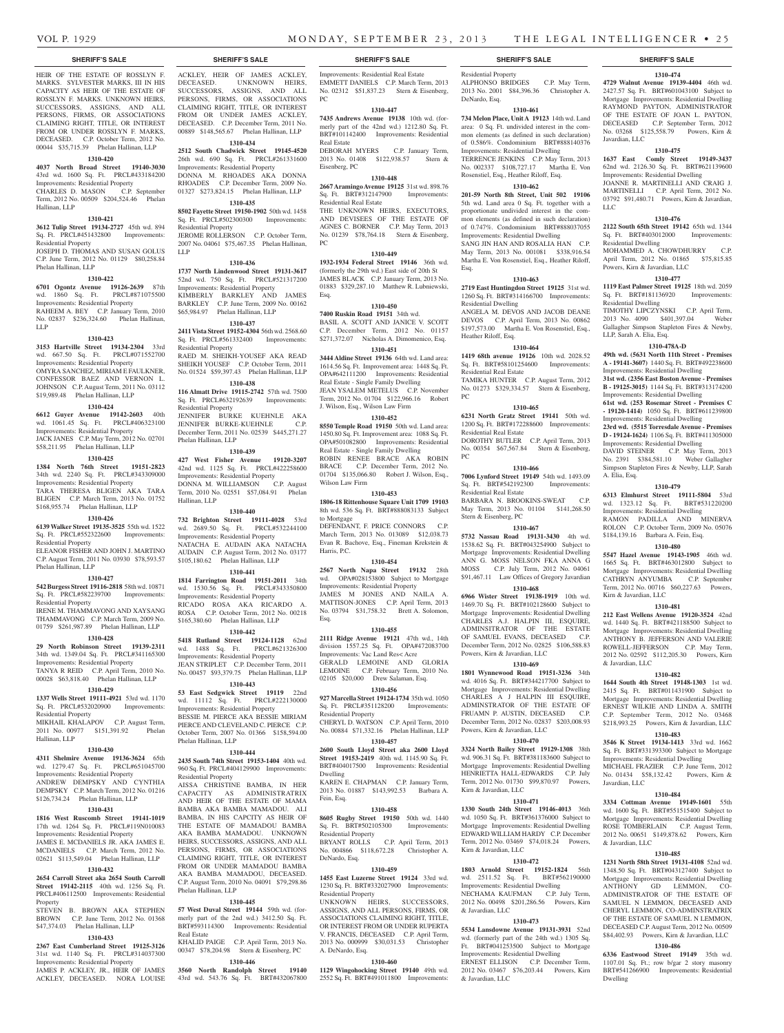ALPHONSO BRIDGES C.P. May Term, 2013 No. 2001 \$84,396.36 Christopher A.

**1310-474 4729 Walnut Avenue 19139-4404** 46th wd. 2427.57 Sq. Ft. BRT#601043100 Subject to Mortgage Improvements: Residential Dwelling RAYMOND PAYTON, ADMINISTRATOR OF THE ESTATE OF JOAN L. PAYTON, DECEASED C.P. September Term, 2012 No. 03268 \$125,558.79 Powers, Kirn &

**1310-475 1637 East Comly Street 19149-3437**  62nd wd. 2126.30 Sq. Ft. BRT#621139600 Improvements: Residential Dwelling JOANNE R. MARTINELLI AND CRAIG J. MARTINELLI C.P. April Term, 2012 No. 03792 \$91,480.71 Powers, Kirn & Javardian,

**1310-476 2122 South 65th Street 19142** 65th wd. 1344 Sq. Ft. BRT#403012000 Improvements:

MOHAMMED A. CHOWDHURRY C.P. April Term, 2012 No. 01865 \$75,815.85

**1310-477 1119 East Palmer Street 19125** 18th wd. 2059 Sq. Ft. BRT#181136920 Improvements:

TIMOTHY LIPCZYNSKI C.P. April Term, 2013 No. 4090 \$401,397.04 Weber Gallagher Simpson Stapleton Fires & Newby,

**1310-478A-D 49th wd. (5631 North 11th Street - Premises A - 19141-3607)** 1440 Sq. Ft. BRT#492238600 Improvements: Residential Dwelling **31st wd. (2356 East Boston Avenue - Premises B - 19125-3015)** 1144 Sq. Ft. BRT#313174200 Improvements: Residential Dwelling **61st wd. (253 Rosemar Street - Premises C - 19120-1414)** 1050 Sq. Ft. BRT#611239800 Improvements: Residential Dwelling **23rd wd. (5515 Torresdale Avenue - Premises D - 19124-1624)** 1106 Sq. Ft. BRT#411305000 Improvements: Residential Dwelling DAVID STEINER C.P. May Term, 2013 No. 2391 \$384,581.10 Weber Gallagher Simpson Stapleton Fires & Newby, LLP, Sarah

**1310-479 6313 Elmhurst Street 19111-5804** 53rd wd. 1323.12 Sq. Ft. BRT#531220200 Improvements: Residential Dwelling RAMON PADILLA AND MINERVA ROLON C.P. October Term, 2009 No. 05076 \$184,139.16 Barbara A. Fein, Esq. **1310-480 5547 Hazel Avenue 19143-1905** 46th wd. 1665 Sq. Ft. BRT#463012800 Subject to Mortgage Improvements: Residential Dwelling CATHRYN ANYUMBA C.P. September Term, 2012 No. 00716 \$60,227.63 Powers,

**1310-481 212 East Wellens Avenue 19120-3524** 42nd wd. 1440 Sq. Ft. BRT#421188500 Subject to Mortgage Improvements: Residential Dwelling ANTHONY B. JEFFERSON AND VALERIE ROWELL-JEFFERSON C.P. May Term, 2012 No. 02592 \$112,205.30 Powers, Kirn

**1310-482 1644 South 4th Street 19148-1303** 1st wd. 2415 Sq. Ft. BRT#011431900 Subject to Mortgage Improvements: Residential Dwelling ERNEST WILKIE AND LINDA A. SMITH C.P. September Term, 2012 No. 03468 \$218,993.25 Powers, Kirn & Javardian, LLC **1310-483 3546 K Street 19134-1413** 33rd wd. 1662 Sq. Ft. BRT#331393300 Subject to Mortgage Improvements: Residential Dwelling MICHAEL FRAZIER C.P. June Term, 2012 No. 01434 \$58,132.42 Powers, Kirn &

**1310-484 3334 Cottman Avenue 19149-1601** 55th wd. 1600 Sq. Ft. BRT#551515400 Subject to Mortgage Improvements: Residential Dwelling ROSE TOMBERLAIN C.P. August Term, 2012 No. 00651 \$149,878.62 Powers, Kirn

**1310-485 1231 North 58th Street 19131-4108** 52nd wd. 1348.50 Sq. Ft. BRT#043127400 Subject to Mortgage Improvements: Residential Dwelling ANTHONY GD LEMMON, CO-ADMINISTRATOR OF THE ESTATE OF SAMUEL N LEMMON, DECEASED AND CHERYL LEMMON, CO-ADMINSTRATRIX OF THE ESTATE OF SAMUEL N LEMMON, DECEASED C.P. August Term, 2012 No. 00509 \$84,402.93 Powers, Kirn & Javardian, LLC **1310-486 6336 Eastwood Street 19149** 35th wd. 1107.01 Sq. Ft.; row b/gar 2 story masonry BRT#541266900 Improvements: Residential

Javardian, LLC

Residential Dwelling

Residential Dwelling

LLP, Sarah A. Elia, Esq.

A. Elia, Esq.

Kirn & Javardian, LLC

& Javardian, LLC

Javardian, LLC

& Javardian, LLC

Dwelling

Powers, Kirn & Javardian, LLC

LLC

**1310-461 734 Melon Place, Unit A 19123** 14th wd. Land area: 0 Sq. Ft. undivided interest in the common elements (as defined in such declaration) of 0.586%. Condominium BRT#888140376 Improvements: Residential Dwelling TERRENCE JENKINS C.P. May Term, 2013 No. 002337 \$108,727.17 Martha E. Von Rosenstiel, Esq., Heather Riloff, Esq. **1310-462 201-59 North 8th Street, Unit 502 19106**  5th wd. Land area 0 Sq. Ft. together with a proportionate undivided interest in the common elements (as defined in such declaration) of 0.747%. Condominium BRT#888037055 Improvements: Residential Dwelling SANG JIN HAN AND ROSALIA HAN C.P. May Term, 2013 No. 001081 \$338,916.54 Martha E. Von Rosenstiel, Esq., Heather Riloff,

**1310-463 2719 East Huntingdon Street 19125** 31st wd. 1260 Sq. Ft. BRT#314166700 Improvements:

ANGELA M. DEVOS AND JACOB DEANE DEVOS C.P. April Term, 2013 No. 00862 \$197,573.00 Martha E. Von Rosenstiel, Esq.,

**1310-464 1419 68th avenue 19126** 10th wd. 2028.52 Sq. Ft. BRT#58101254600 Improvements:

TAMIKA HUNTER C.P. August Term, 2012 No. 01273 \$329,334.57 Stern & Eisenberg,

**1310-465 6231 North Gratz Street 19141** 50th wd. 1200 Sq. Ft. BRT#172288600 Improvements:

DOROTHY BUTLER C.P. April Term, 2013 No. 00354 \$67,567.84 Stern & Eisenberg,

**1310-466 7006 Lynford Street 19149** 54th wd. 1493.09 Sq. Ft. BRT#542192300 Improvements:

BARBARA N. BROOKINS-SWEAT C.P. May Term, 2013 No. 01104 \$141,268.50

**1310-467 5732 Nassau Road 19131-3430** 4th wd. 1538.62 Sq. Ft. BRT#043254900 Subject to Mortgage Improvements: Residential Dwelling ANN G. MOSS NELSON FKA ANNA G MOSS C.P. July Term, 2012 No. 04061 \$91,467.11 Law Offices of Gregory Javardian **1310-468 6966 Wister Street 19138-1919** 10th wd. 1469.70 Sq. Ft. BRT#102128600 Subject to Mortgage Improvements: Residential Dwelling CHARLES A.J. HALPIN III, ESOUIRE, ADMINSITRATOR OF THE ESTATE OF SAMUEL EVANS, DECEASED C.P. December Term, 2012 No. 02825 \$106,588.83

Residential Property

DeNardo, Esq.

Esq.

PC

PC

Residential Dwelling

Heather Riloff, Esq.

Residential Real Estate

Residential Real Estate

Residential Real Estate

Stern & Eisenberg, PC

Powers, Kirn & Javardian, LLC

Powers, Kirn & Javardian, LLC

Kirn & Javardian, LLC

Kirn & Javardian, LLC

& Javardian, LLC

& Javardian, LLC

**1310-469 1801 Wynnewood Road 19151-3236** 34th wd. 4016 Sq. Ft. BRT#344217700 Subject to Mortgage Improvements: Residential Dwelling CHARLES A J HALPIN III ESQUIRE. ADMINSTRATOR OF THE ESTATE OF FRUAMN P. AUSTIN, DECEASED C.P. December Term, 2012 No. 02837 \$203,008.93

**1310-470 3324 North Bailey Street 19129-1308** 38th wd. 906.31 Sq. Ft. BRT#381183600 Subject to Mortgage Improvements: Residential Dwelling HENRIETTA HALL-EDWARDS C.P. July Term, 2012 No. 01730 \$99,870.97 Powers,

**1310-471 1330 South 24th Street 19146-4013** 36th wd. 1050 Sq. Ft. BRT#361376000 Subject to Mortgage Improvements: Residential Dwelling EDWARD WILLIAM HARDY C.P. December Term, 2012 No. 03469 \$74,018.24 Powers,

**1310-472 1803 Arnold Street 19152-1824** 56th wd. 2511.52 Sq. Ft. BRT#562190000 Improvements: Residential Dwelling NECHAMA KAUFMAN C.P. July Term, 2012 No. 00498 \$201,286.56 Powers, Kirn

**1310-473 5534 Lansdowne Avenue 19131-3931** 52nd wd. (formerly part of the 24th wd.) 1305 Sq. Ft. BRT#041253500 Subject to Mortgage Improvements: Residential Dwelling ERNEST ELLISON C.P. December Term, 2012 No. 03467 \$76,203.44 Powers, Kirn

#### **SHERIFF'S SALE SHERIFF'S SALE SHERIFF'S SALE SHERIFF'S SALE SHERIFF'S SALE**

HEIR OF THE ESTATE OF ROSSLYN F. MARKS. SYLVESTER MARKS, III IN HIS CAPACITY AS HEIR OF THE ESTATE OF ROSSLYN F. MARKS. UNKNOWN HEIRS, SUCCESSORS, ASSIGNS, AND ALL PERSONS, FIRMS, OR ASSOCIATIONS CLAIMING RIGHT, TITLE, OR INTEREST FROM OR UNDER ROSSLYN F. MARKS DECEASED. C.P. October Term, 2012 No. 00044 \$35,715.39 Phelan Hallinan, LLP

## **1310-420**

**4037 North Broad Street 19140-3030**  43rd wd. 1600 Sq. Ft. PRCL#433184200 Improvements: Residential Property<br>CHARLES D. MASON C.P. September CHARLES D. MASON Term, 2012 No. 00509 \$204,524.46 Phelan Hallinan, LLP

#### **1310-421**

**3612 Tulip Street 19134-2727** 45th wd. 894 Sq. Ft. PRCL#451432800 Improvements: Residential Property JOSEPH D. THOMAS AND SUSAN GOLUS

C.P. June Term, 2012 No. 01129 \$80,258.84 Phelan Hallinan, LLP **1310-422**

## **6701 Ogontz Avenue 19126-2639** 87th

wd. 1860 Sq. Ft. PRCL#871075500 Improvements: Residential Property RAHEEM A. BEY C.P. January Term, 2010 No. 02837 \$236,324.60 Phelan Hallinan, LLP

#### **1310-423**

**3153 Hartville Street 19134-2304** 33rd wd. 667.50 Sq. Ft. PRCL#071552700 Improvements: Residential Property OMYRA SANCHEZ, MIRIAM E FAULKNER, CONFESSOR BAEZ AND VERNON L. JOHNSON C.P. August Term, 2011 No. 03112

### \$19,989.48 Phelan Hallinan, LLP **1310-424**

**6612 Guyer Avenue 19142-2603** 40th wd. 1061.45 Sq. Ft. PRCL#406323100 Improvements: Residential Property

JACK JANES C.P. May Term, 2012 No. 02701 \$58,211.95 Phelan Hallinan, LLP **1310-425**

**1384 North 76th Street 19151-2823**  34th wd. 2240 Sq. Ft. PRCL#343309000 Improvements: Residential Property TARA THERESA BLIGEN AKA TARA BLIGEN C.P. March Term, 2013 No. 01752 \$168,955.74 Phelan Hallinan, LLP **1310-426**

**6139 Walker Street 19135-3525** 55th wd. 1522 Sq. Ft. PRCL#552322600 Improvements: Residential Property ELEANOR FISHER AND JOHN J. MARTINO

C.P. August Term, 2011 No. 03930 \$78,593.57 Phelan Hallinan, LLP

#### **1310-427**

**542 Burgess Street 19116-2818** 58th wd. 10871 Sq. Ft. PRCL#582239700 Improvements:

Residential Property IRENE M. THAMMAVONG AND XAYSANG THAMMAVONG C.P. March Term, 2009 No.

01759 \$261,987.89 Phelan Hallinan, LLP

## **1310-428**

**29 North Robinson Street 19139-2311**  34th wd. 1349.04 Sq. Ft. PRCL#341165300 Improvements: Residential Property TANYA R REID C.P. April Term, 2010 No. 00028 \$63,818.40 Phelan Hallinan, LLP

#### **1310-429**

**1337 Wells Street 19111-4921** 53rd wd. 1170 Sq. Ft. PRCL#532020900 Improvements: Residential Property MIKHAIL KHALAPOV C.P. August Term,

## 2011 No. 00977 \$151,391.92 Phelan Hallinan, LLP

#### **1310-430**

**4311 Shelmire Avenue 19136-3624** 65th wd. 1279.47 Sq. Ft. PRCL#651045700 Improvements: Residential Property ANDREW DEMPSKY AND CYNTHIA

DEMPSKY C.P. March Term, 2012 No. 01216 \$126,734.24 Phelan Hallinan, LLP **1310-431**

**1816 West Ruscomb Street 19141-1019**  17th wd. 1264 Sq. Ft. PRCL#119N010083 Improvements: Residential Property JAMES E. MCDANIELS JR. AKA JAMES E.

MCDANIELS C.P. March Term, 2012 No. 02621 \$113,549.04 Phelan Hallinan, LLP **1310-432**

## **2654 Carroll Street aka 2654 South Carroll**

**Street 19142-2115** 40th wd. 1256 Sq. Ft. PRCL#406112500 Improvements: Residential Property

STEVEN B. BROWN AKA STEPHEN BROWN C.P. June Term, 2012 No. 01368 \$47,374.03 Phelan Hallinan, LLP

## **1310-433**

**2367 East Cumberland Street 19125-3126**  31st wd. 1140 Sq. Ft. PRCL#314037300 Improvements: Residential Property JAMES P. ACKLEY, JR., HEIR OF JAMES

ACKLEY, DECEASED. NORA LOUISE

ACKLEY, HEIR OF JAMES ACKLEY, DECEASED. UNKNOWN HEIRS, UNKNOWN HEIRS, SUCCESSORS, ASSIGNS, AND ALL PERSONS, FIRMS, OR ASSOCIATIONS CLAIMING RIGHT, TITLE, OR INTEREST FROM OR UNDER JAMES ACKLEY, DECEASED. C.P. December Term, 2011 No. 00889 \$148,565.67 Phelan Hallinan, LLP

## **1310-434 2512 South Chadwick Street 19145-4520**

26th wd. 690 Sq. Ft. PRCL#261331600 Improvements: Residential Property DONNA M. RHOADES AKA DONNA RHOADES C.P. December Term, 2009 No. 01327 \$273,824.15 Phelan Hallinan, LLP

#### **1310-435 8502 Fayette Street 19150-1902** 50th wd. 1458

Sq. Ft. PRCL#502300300 Improvements: Residential Property JEROME ROLLERSON C.P. October Term, 2007 No. 04061 \$75,467.35 Phelan Hallinan, LLP

#### **1310-436**

**1737 North Lindenwood Street 19131-3617**  52nd wd. 750 Sq. Ft. PRCL#521317200 Improvements: Residential Property KIMBERLY BARKLEY AND JAMES BARKLEY C.P. June Term, 2009 No. 00162 \$65,984.97 Phelan Hallinan, LLP

#### **1310-437**

**2411 Vista Street 19152-4304** 56th wd. 2568.60 Sq. Ft. PRCL#561332400 Improvements: Residential Property RAED M. SHEIKH-YOUSEF AKA READ SHEIKH YOUSEF C.P. October Term, 2011 No. 01524 \$59,397.43 Phelan Hallinan, LLP

#### **1310-438 116 Almatt Drive 19115-2742** 57th wd. 7500

Sq. Ft. PRCL#632192639 Improvements: Residential Property JENNIFER BURKE KUEHNLE AKA JENNIFER BURKE-KUEHNLE C.P. December Term, 2011 No. 02539 \$445,271.27 Phelan Hallinan, LLP

#### **1310-439**

**427 West Fisher Avenue 19120-3207**  42nd wd. 1125 Sq. Ft. PRCL#422258600 Improvements: Residential Property DONNA M. WILLIAMSON C.P. August Term, 2010 No. 02551 \$57,084.91 Phelan Hallinan, LLP

#### **1310-440**

**732 Brighton Street 19111-4028** 53rd wd. 2689.50 Sq. Ft. PRCL#532244100 Improvements: Residential Property NATACHA E. AUDAIN AKA NATACHA AUDAIN C.P. August Term, 2012 No. 03177 \$105,180.62 Phelan Hallinan, LLP

#### **1310-441**

**1814 Farrington Road 19151-2011** 34th wd. 1530.56 Sq. Ft. PRCL#343350800 Improvements: Residential Property RICADO ROSA AKA RICARDO A. ROSA C.P. October Term, 2012 No. 00218 \$165,380.60 Phelan Hallinan, LLP

#### **1310-442**

**5418 Rutland Street 19124-1128** 62nd wd. 1488 Sq. Ft. Improvements: Residential Property JEAN STRIPLET C.P. December Term, 2011 No. 00457 \$93,379.75 Phelan Hallinan, LLP

#### **1310-443**

**53 East Sedgwick Street 19119** 22nd wd. 11112 Sq. Ft. PRCL#222130000 Improvements: Residential Property BESSIE M. PIERCE AKA BESSIE MIRIAM PIERCE AND CLEVELAND C. PIERCE C.P. October Term, 2007 No. 01366 \$158,594.00 Phelan Hallinan, LLP

#### **1310-444**

**2435 South 74th Street 19153-1404** 40th wd. 960 Sq. Ft. PRCL#404129900 Improvements: Residential Property

AISSA CHRISTINE BAMBA, IN HER CAPACITY AS ADMINISTRATRIX AND HEIR OF THE ESTATE OF MAMA BAMBA AKA BAMBA MAMADOU. ALI BAMBA, IN HIS CAPCITY AS HEIR OF THE ESTATE OF MAMADOU BAMBA AKA BAMBA MAMADOU. UNKNOWN HEIRS, SUCCESSORS, ASSIGNS, AND ALL PERSONS, FIRMS, OR ASSOCIATIONS CLAIMING RIGHT, TITLE, OR INTEREST FROM OR UNDER MAMADOU BAMBA AKA BAMBA MAMADOU, DECEASED. C.P. August Term, 2010 No. 04091 \$79,298.86 Phelan Hallinan, LLP

#### **1310-445**

**57 West Duval Street 19144** 59th wd. (formerly part of the 2nd wd.) 3412.50 Sq. Ft. BRT#593114300 Improvements: Residential Real Estate KHALID PAIGE C.P. April Term, 2013 No.

00347 \$78,204.98 Stern & Eisenberg, PC **1310-446 3560 North Randolph Street 19140** 

43rd wd. 543.76 Sq. Ft. BRT#432067800

Improvements: Residential Real Estate EMMETT DANIELS C.P. March Term, 2013 No. 02312 \$51,837.23 Stern & Eisenberg, PC

#### **1310-447**

**7435 Andrews Avenue 19138** 10th wd. (formerly part of the 42nd wd.) 1212.80 Sq. Ft. BRT#101142400 Improvements: Residential Real Estate DEBORAH MYERS C.P. January Term,

2013 No. 01408 \$122,938.57 Stern & Eisenberg, PC

#### **1310-448**

**2667 Aramingo Avenue 19125** 31st wd. 898.76 Sq. Ft. BRT#312147900 Improvements: Residential Real Estate THE UNKNOWN HEIRS, EXECUTORS, AND DEVISEES OF THE ESTATE OF

AGNES C. BORNER C.P. May Term, 2013 No. 01239 \$78,764.18 Stern & Eisenberg, PC

## **1310-449**

**1932-1934 Federal Street 19146** 36th wd. (formerly the 29th wd.) East side of 20th St JAMES BLACK C.P. January Term, 2013 No. 01883 \$329,287.10 Matthew R. Lubniewski, Esq.

#### **1310-450**

**7400 Ruskin Road 19151** 34th wd. BASIL A. SCOTT AND JANICE V. SCOTT C.P. December Term, 2012 No. 01157 \$271,372.07 Nicholas A. Dimomenico, Esq. **1310-451**

**3444 Aldine Street 19136** 64th wd. Land area: 1614.56 Sq. Ft. Improvement area: 1448 Sq. Ft. OPA#642111200 Improvements: Residential Real Estate - Single Family Dwelling JEAN YSALEM METELUS C.P. November

Term, 2012 No. 01704 \$122,966.16 Robert J. Wilson, Esq., Wilson Law Firm **1310-452**

**8550 Temple Road 19150** 50th wd. Land area:

1450.80 Sq. Ft. Improvement area: 1088 Sq. Ft. OPA#501082800 Improvements: Residential Real Estate - Single Family Dwelling ROBIN RENEE BRACE AKA ROBIN BRACE C.P. December Term, 2012 No. 01704 \$135,066.80 Robert J. Wilson, Esq., Wilson Law Firm

## **1310-453**

**1806-18 Rittenhouse Square Unit 1709 19103**  8th wd. 536 Sq. Ft. BRT#888083133 Subject to Mortgage DEFENDANT, F. PRICE CONNORS C.P.

March Term, 2013 No. 013089 \$12,038.73 Evan R. Bachove, Esq., Fineman Krekstein & Harris, P.C.

## **1310-454**

**2567 North Napa Street 19132** 28th wd. OPA#028153800 Subject to Mortgage Improvements: Residential Property JAMES M JONES AND NAILA MATTISON-JONES C.P. April Term, 2013 No. 03794 \$31,758.32 Brett A. Solomon, Esq.

#### **1310-455**

**2111 Ridge Avenue 19121** 47th wd., 14th division 1557.25 Sq. Ft. OPA#472083700 Improvements: Vac Land Res< Acre GERALD LEMOINE AND GLORIA LEMOINE C.P. February Term, 2010 No. 02105 \$20,000 Drew Salaman, Esq.

#### **1310-456**

**927 Marcella Street 19124-1734** 35th wd. 1050 Sq. Ft. PRCL#351128200 Improvements: Residential Property CHERYL D. WATSON C.P. April Term, 2010 No. 00884 \$71,332.16 Phelan Hallinan, LLP

### **1310-457**

**2600 South Lloyd Street aka 2600 Lloyd Street 19153-2419** 40th wd. 1145.90 Sq. Ft. BRT#404017500 Improvements: Residential Dwelling KAREN E. CHAPMAN C.P. January Term

2013 No. 01887 \$143,992.53 Barbara A. Fein, Esq.

BRYANT ROLLS C.P. April Term, 2013 No. 004866 \$118,672.28 Christopher A.

**1310-459 1455 East Luzerne Street 19124** 33rd wd. 1230 Sq. Ft. BRT#332027900 Improvements:

UNKNOWN HEIRS, SUCCESSORS, ASSIGNS, AND ALL PERSONS, FIRMS, OR ASSOCIATIONS CLAIMING RIGHT, TITLE, OR INTEREST FROM OR UNDER RUPERTA V. FRANCIS, DECEASED C.P. April Term, 2013 No. 000999 \$30,031.53 Christopher

**1310-460 1129 Wingohocking Street 19140** 49th wd. 2552 Sq. Ft. BRT#491011800 Improvements:

#### **1310-458 8605 Rugby Street 19150** 50th wd. 1440 Sq. Ft. BRT#502105300 Improvements:

Residential Property

Residential Property

A. DeNardo, Esq.

DeNardo, Esq.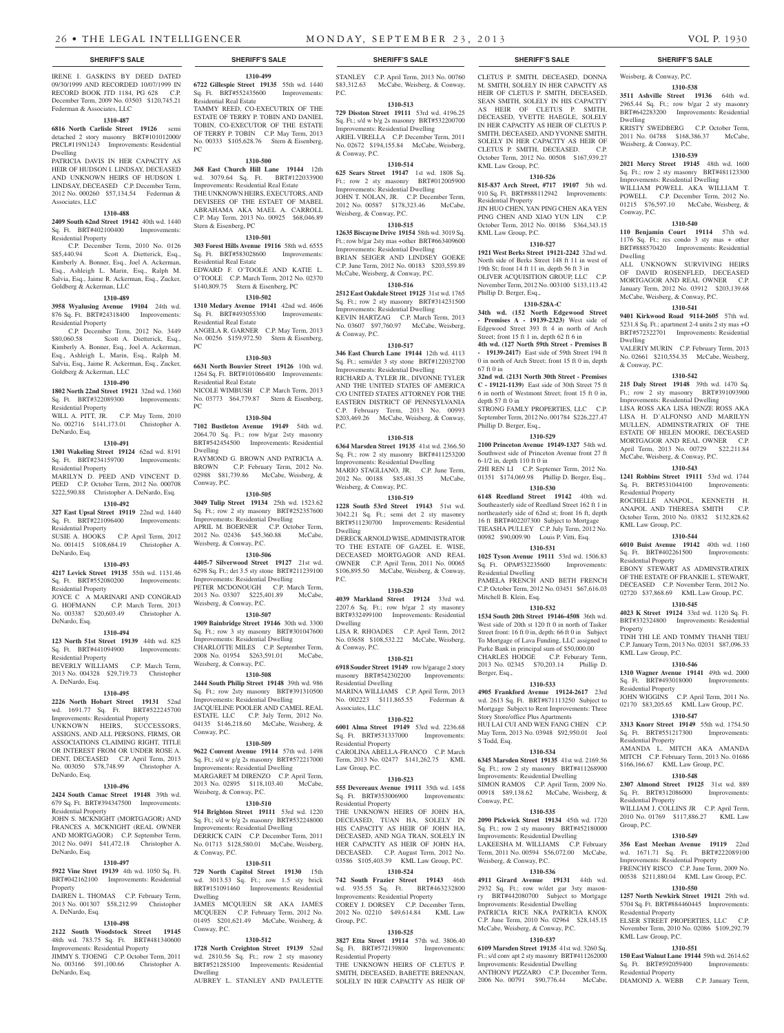IRENE I. GASKINS BY DEED DATED 09/30/1999 AND RECORDED 10/07/1999 IN RECORD BOOK JTD 1184, PG 628 C.P. December Term, 2009 No. 03503 \$120,745.21 Federman & Associates, LLC

#### **1310-487**

**6816 North Carlisle Street 19126** semi detached 2 story masonry BRT#101012000/ PRCL#119N1243 Improvements: Residential Dwelling

PATRICIA DAVIS IN HER CAPACITY AS HEIR OF HUDSON I. LINDSAY, DECEASED AND UNKNOWN HEIRS OF HUDSON I. LINDSAY, DECEASED C.P. December Term, 2012 No. 000260 \$57,134.54 Federman & Associates, LLC

#### **1310-488**

**2409 South 62nd Street 19142** 40th wd. 1440 Sq. Ft. BRT#402100400 Improvements: Residential Property

 C.P. December Term, 2010 No. 0126 \$85,440.94 Scott A. Dietterick, Esq., Kimberly A. Bonner, Esq., Joel A. Ackerman, Esq., Ashleigh L. Marin, Esq., Ralph M. Salvia, Esq., Jaime R. Ackerman, Esq., Zucker, Goldberg & Ackerman, LLC

## **1310-489**

**3958 Wyalusing Avenue 19104** 24th wd. 876 Sq. Ft. BRT#24318400 Improvements: Residential Property

C.P. December Term, 2012 No. 3449<br>\$80.060.58 Scott A. Dietterick. Esq., Scott A. Dietterick, Esq., Kimberly A. Bonner, Esq., Joel A. Ackerman, Esq., Ashleigh L. Marin, Esq., Ralph M. Salvia, Esq., Jaime R. Ackerman, Esq., Zucker, Goldberg & Ackerman, LLC

### **1310-490**

**1802 North 22nd Street 19121** 32nd wd. 1360

#### Sq. Ft. BRT#322089300 Improvements: Residential Property WILL A. PITT, JR. C.P. May Term, 2010 No. 002716 \$141,173.01 Christopher A.

DeNardo, Esq.

## **1310-491**

**1301 Wakeling Street 19124** 62nd wd. 8191 Sq. Ft. BRT#234159700 Improvements: Residential Property MARILYN D. PEED AND VINCENT D.

PEED C.P. October Term, 2012 No. 000708 \$222,590.88 Christopher A. DeNardo, Esq. **1310-492**

**327 East Upsal Street 19119** 22nd wd. 1440 Sq. Ft. BRT#221096400 Improvements: Residential Property<br>SUSIE A. HOOKS C.P. April Term, 2012

No. 001415 \$108,684.19 Christopher A. DeNardo, Esq.

## **1310-493**

**4217 Levick Street 19135** 55th wd. 1131.46 Sq. Ft. BRT#552080200 Improvements: Residential Property JOYCE C A MARINARI AND CONGRAD

G. HOFMANN C.P. March Term, 2013 No. 003387 \$20,603.49 Christopher A. DeNardo, Esq.

## **1310-494**

**123 North 51st Street 19139** 44th wd. 825 Sq. Ft. BRT#441094900 Improvements: Residential Property BEVERLY WILLIAMS C.P. March Term, 2013 No. 004328 \$29,719.73 Christopher A. DeNardo, Esq.

#### **1310-495**

**2226 North Hobart Street 19131** 52nd wd. 1691.77 Sq. Ft. BRT#522245700 Improvements: Residential Property UNKNOWN HEIRS, SUCCESSORS, ASSIGNS, AND ALL PERSONS, FIRMS, OR ASSOCIATIONS CLAIMING RIGHT, TITLE OR INTEREST FROM OR UNDER ROSE A. DENT, DECEASED C.P. April Term, 2013 No. 003050 \$78,748.99 Christopher A. DeNardo, Esq.

#### **1310-496**

**2424 South Camac Street 19148** 39th wd. 679 Sq. Ft. BRT#394347500 Improvements: Residential Property

JOHN S. MCKNIGHT (MORTGAGOR) AND FRANCES A. MCKNIGHT (REAL OWNER AND MORTGAGOR) C.P. September Term, 2012 No. 0491 \$41,472.18 Christopher A. DeNardo, Esq.

## **1310-497**

**5922 Vine Stret 19139** 4th wd. 1050 Sq. Ft. BRT#042162100 Improvements: Residential Property DAIREN L. THOMAS C.P. February Term,

#### 2013 No. 001307 \$58,212.99 Christopher A. DeNardo, Esq. **1310-498** JAMES MCQUEEN SR AKA JAMES MCQUEEN C.P. February Term, 2012 No. 01495 \$201,621.49 McCabe, Weisberg, &

**2122 South Woodstock Street 19145**  48th wd. 783.75 Sq. Ft. BRT#481340600 Improvements: Residential Property JIMMY S. TJOENG C.P. October Term, 2011 No. 003166 \$91,100.66 Christopher A.

DeNardo, Esq.

**1310-512 1728 North Creighton Street 19139** 52nd wd. 2810.56 Sq. Ft.; row 2 sty masonry BRT#521285100 Improvements: Residential

Dwelling AUBREY L. STANLEY AND PAULETTE

**1310-499 6722 Gillespie Street 19135** 55th wd. 1440 Sq. Ft. BRT#552435600 Improvements:

TAMMY REED, CO-EXECUTRIX OF THE ESTATE OF TERRY P. TOBIN AND DANIEL TOBIN, CO-EXECUTOR OF THE ESTATE OF TERRY P. TOBIN C.P. May Term, 2013 No. 00333 \$105,628.76 Stern & Eisenberg,

**1310-500 368 East Church Hill Lane 19144** 12th wd. 3079.64 Sq. Ft. BRT#122033900 Improvements: Residential Real Estate THE UNKNOWN HEIRS, EXECUTORS, AND DEVISEES OF THE ESTAET OF MABEL ABRAHAMA AKA MAEL A. CARROLL C.P. May Term, 2013 No. 00925 \$68,046.89

**1310-501 303 Forest Hills Avenue 19116** 58th wd. 6555 Sq. Ft. BRT#583028600 Improvements:

EDWARD F. O'TOOLE AND KATIE L. O'TOOLE C.P. March Term, 2012 No. 02370 \$140,809.75 Stern & Eisenberg, PC **1310-502 1310 Medary Avenue 19141** 42nd wd. 4606 Sq. Ft. BRT#493055300 Improvements:

ANGELA R. GARNER C.P. May Term, 2013 No. 00256 \$159,972.50 Stern & Eisenberg,

**1310-503 6631 North Bouvier Street 19126** 10th wd. 1264 Sq. Ft. BRT#101066400 Improvements:

NICOLE WIMBUSH C.P. March Term, 2013 No. 03773 \$64,779.87 Stern & Eisenberg,

**1310-504 7102 Bustleton Avenue 19149** 54th wd. 2064.70 Sq. Ft.; row b/gar 2sty masonry BRT#542454500 Improvements: Residential

RAYMOND G. BROWN AND PATRICIA A. BROWN C.P. February Term, 2012 No. 02988 \$81,739.86 McCabe, Weisberg, &

**1310-505 3049 Tulip Street 19134** 25th wd. 1523.62 Sq. Ft.; row 2 sty masonry BRT#252357600 Improvements: Residential Dwelling APRIL M. BOERNER C.P. October Term, 2012 No. 02436 \$45,360.88 McCabe,

**1310-506 4405-7 Silverwood Street 19127** 21st wd. 6298 Sq. Ft.; det 3.5 sty stone BRT#211239100 Improvements: Residential Dwelling PETER MCDONOUGH C.P. March Term, 2013 No. 03307 \$225,401.89 McCabe,

**1310-507 1909 Bainbridge Street 19146** 30th wd. 3300 Sq. Ft.; row 3 sty masonry BRT#301047600 Improvements: Residential Dwelling CHARLOTTE MILES C.P. September Term, 2008 No. 01954 \$263,591.01 McCabe,

**1310-508 2444 South Philip Street 19148** 39th wd. 986 Sq. Ft.; row 2sty masonry BRT#391310500 Improvements: Residential Dwelling JACQUELINE POOLER AND CAMEL REAL ESTATE, LLC C.P. July Term, 2012 No. 04135 \$146,218.60 McCabe, Weisberg, &

**1310-509 9622 Convent Avenue 19114** 57th wd. 1498 Sq. Ft.; s/d w g/g 2s masonry BRT#572217000 Improvements: Residential Dwelling MARGARET M DIRENZO C.P. April Term, 2013 No. 02895 \$118,103.40 McCabe,

**1310-510 914 Brighton Street 19111** 53rd wd. 1220 Sq. Ft.; s/d w b/g 2s masonry BRT#532248000 Improvements: Residential Dwelling DERRICK CAIN C.P. December Term, 2011 No. 01713 \$128,580.01 McCabe, Weisberg,

**1310-511 729 North Capitol Street 19130** 15th wd. 3013.53 Sq. Ft.; row 1.5 sty brick BRT#151091460 Improvements: Residential

Residential Real Estate

Stern & Eisenberg, PC

Residential Real Estate

Residential Real Estate

Residential Real Estate

PC

PC

Dwelling

Conway, P.C.

Weisberg, & Conway, P.C.

Weisberg, & Conway, P.C.

Weisberg, & Conway, P.C.

Weisberg, & Conway, P.C.

& Conway, P.C.

Dwelling

Conway, P.C.

Conway, P.C.

PC

STANLEY C.P. April Term, 2013 No. 00760 \$83,312.63 McCabe, Weisberg, & Conway, P.C.

## **1310-513**

**729 Disston Street 19111** 53rd wd. 4196.25 Sq. Ft.; s/d w b/g 2s masonry BRT#532200700 Improvements: Residential Dwelling ARIEL VIRELLA C.P. December Term, 2011 No. 02672 \$194,155.84 McCabe, Weisberg, & Conway, P.C.

## **1310-514**

**625 Sears Street 19147** 1st wd. 1808 Sq. Ft.; row 2 sty masonry BRT#012005900 Improvements: Residential Dwelling JOHN T. NOLAN, JR. C.P. December Term, 2012 No. 00587 \$178,323.46 McCabe, Weisberg, & Conway, P.C.

#### **1310-515 12635 Biscayne Drive 19154** 58th wd. 3019 Sq.

Ft.; row b/gar 2sty mas +other BRT#663409600 Improvements: Residential Dwelling BRIAN SEIGER AND LINDSEY GOEKE C.P. June Term, 2012 No. 00183 \$203,559.89 McCabe, Weisberg, & Conway, P.C.

## **1310-516**

**2512 East Oakdale Street 19125** 31st wd. 1765 Sq. Ft.; row 2 sty masonry BRT#314231500 Improvements: Residential Dwelling KEVIN HARTZAG C.P. March Term, 2013 No. 03607 \$97,760.97 McCabe, Weisberg, & Conway, P.C.

#### **1310-517**

**346 East Church Lane 19144** 12th wd. 4113 Sq. Ft.; semi/det 3 sty stone BRT#122032700

Improvements: Residential Dwelling RICHARD A. TYLER JR., DIVONNE TYLER AND THE UNITED STATES OF AMERICA C/O UNITED STATES ATTORNEY FOR THE EASTERN DISTRICT OF PENNSYLVANIA C.P. February Term, 2013 No. 00993 \$203,469.26 McCabe, Weisberg, & Conway,  $PC$ .

#### **1310-518**

**6364 Marsden Street 19135** 41st wd. 2366.50 Sq. Ft.; row 2 sty masonry BRT#411253200 Improvements: Residential Dwelling MARIO STAGLIANO, JR. C.P. June Term,

2012 No. 00188 \$85,481.35 McCabe, Weisberg, & Conway, P.C. **1310-519**

**1228 South 53rd Street 19143** 51st wd. 3042.21 Sq. Ft.; semi det 2 sty masonry BRT#511230700 Improvements: Residential Dwelling

DERECK ARNOLD WISE, ADMINISTRATOR TO THE ESTATE OF GAZEL E. WISE, DECEASED MORTGAGOR AND REAL OWNER C.P. April Term, 2011 No. 00065 \$106,895.50 McCabe, Weisberg, & Conway, P.C.

#### **1310-520**

**4039 Markland Street 19124** 33rd wd. 2207.6 Sq. Ft.; row b/gar 2 sty masonry BRT#332499100 Improvements: Residential Dwelling

LISA R. RHOADES C.P. April Term, 2012 No. 03658 \$108,532.22 McCabe, Weisberg, & Conway, P.C.

#### **1310-521**

**6918 Souder Street 19149** row b/garage 2 story masonry BRT#542302200 Improvements: Residential Dwelling MARINA WILLIAMS C.P. April Term, 2013

No. 002223 \$111,865.55 Federman & Associates, LLC

## **1310-522**

**6001 Alma Street 19149** 53rd wd. 2236.68 Sq. Ft. BRT#531337000 Improvements: Residential Property CAROLINA ABELLA-FRANCO C.P. March Term, 2013 No. 02477 \$141,262.75 KML

#### Law Group, P.C.

**1310-523 555 Devereaux Avenue 19111** 35th wd. 1458

Sq. Ft. BRT#353006900 Improvements: Residential Property THE UNKNOWN HEIRS OF JOHN HA, DECEASED, TUAN HA, SOLELY IN HIS CAPACITY AS HEIR OF JOHN HA, DECEASED, AND NGA TRAN, SOLELY IN HER CAPACITY AS HEIR OF JOHN HA, DECEASED. C.P. August Term, 2012 No.

## 03586 \$105,403.39 KML Law Group, P.C. **1310-524**

**742 South Frazier Street 19143** 46th wd. 935.55 Sq. Ft. BRT#463232800 Improvements: Residential Property COREY J. DORSEY C.P. December Term, 2012 No. 02210 \$49,614.84 KML Law Group, P.C.

## **1310-525**

**3827 Etta Street 19114** 57th wd. 3806.40 Sq. Ft. BRT#572139800 Improvements: Residential Property

THE UNKNOWN HEIRS OF CLETUS P. SMITH, DECEASED, BABETTE BRENNAN, SOLELY IN HER CAPACITY AS HEIR OF

#### **SHERIFF'S SALE SHERIFF'S SALE SHERIFF'S SALE SHERIFF'S SALE SHERIFF'S SALE**

Weisberg, & Conway, P.C.

Weisberg, & Conway, P.C.

Dwelling

Conway, P.C.

Dwelling

Dwelling

& Conway, P.C.

Residential Property

KML Law Group, P.C.

Residential Property

KML Law Group, P.C.

Residential Property

Residential Property

Residential Property

Residential Property

KML Law Group, P.C.

Residential Property

Group, P.C.

Property

**1310-538 3511 Ashville Street 19136** 64th wd. 2965.44 Sq. Ft.; row b/gar 2 sty masonry BRT#642283200 Improvements: Residential

KRISTY SWEDBERG C.P. October Term, 2011 No. 04788 \$168,386.37 McCabe,

**1310-539 2021 Mercy Street 19145** 48th wd. 1600 Sq. Ft.; row 2 sty masonry BRT#481123300 Improvements: Residential Dwelling WILLIAM POWELL AKA WILLIAM T. POWELL C.P. December Term, 2012 No. 01215 \$76,597.10 McCabe, Weisberg, &

**1310-540 110 Benjamin Court 19114** 57th wd. 1176 Sq. Ft.; res condo 3 sty mas + other BRT#888570420 Improvements: Residential

ALL UNKNOWN SURVIVING HEIRS OF DAVID ROSENFLED, DECEASED MORTGAGOR AND REAL OWNER C.P. January Term, 2012 No. 03912 \$203,139.68 McCabe, Weisberg, & Conway, P.C. **1310-541 9401 Kirkwood Road 9114-2605** 57th wd. 5231.8 Sq. Ft.; apartment 2-4 units 2 sty mas +O BRT#572322701 Improvements: Residential

VALERIY MURIN C.P. February Term, 2013 No. 02661 \$210,554.35 McCabe, Weisberg,

**1310-542 215 Daly Street 19148** 39th wd. 1470 Sq. Ft.; row 2 sty masonry BRT#391093900 Improvements: Residential Dwelling LISA ROSS AKA LISA HENZE ROSS AKA LISA H. D'ALFONSO AND MARILYN MULLEN, ADMINSTRATRIX OF THE ESTATE OF HELEN MOORE, DECEASED MORTGAGOR AND REAL OWNER C.P. April Term, 2013 No. 00729 \$22,211.84 McCabe, Weisberg, & Conway, P.C. **1310-543 1241 Robbins Street 19111** 53rd wd. 1744 Sq. Ft. BRT#531044100 Improvements:

ROCHELLE ANAPOL, KENNETH H. ANAPOL AND THERESA SMITH C.P. October Term, 2010 No. 03832 \$132,828.62

**1310-544 6010 Buist Avenue 19142** 40th wd. 1160 Sq. Ft. BRT#402261500 Improvements:

EBONY STEWART AS ADMINSTRATRIX OF THE ESTATE OF FRANKIE L. STEWART, DECEASED C.P. November Term, 2012 No. 02720 \$37,868.69 KML Law Group, P.C. **1310-545 4023 K Street 19124** 33rd wd. 1120 Sq. Ft. BRT#332324800 Improvements: Residential

TINH THI LE AND TOMMY THANH TIEU C.P. January Term, 2013 No. 02031 \$87,096.33

**1310-546 1310 Wagner Avenue 19141** 49th wd. 2000 Sq. Ft. BRT#493018000 Improvements:

JOHN WIGGINS C.P. April Term, 2011 No. 02170 \$83,205.65 KML Law Group, P.C. **1310-547 3313 Knorr Street 19149** 55th wd. 1754.50 Sq. Ft. BRT#551217300 Improvements:

AMANDA L. MITCH AKA AMANDA MITCH C.P. February Term, 2013 No. 01686 \$166,166.67 KML Law Group, P.C. **1310-548 2307 Almond Street 19125** 31st wd. 889 Sq. Ft. BRT#312086000 Improvements:

WILLIAM J. COLLINS JR C.P. April Term, 2010 No. 01769 \$117,886.27 KML Law

**1310-549 356 East Meehan Avenue 19119** 22nd wd. 1671.71 Sq. Ft. BRT#222089100 Residential Property FRENCHY RISCO C.P. June Term, 2009 No. 00538 \$211,880.04 KML Law Group, P.C. **1310-550 1257 North Newkirk Street 19121** 29th wd. 5704 Sq. Ft. BRT#884460445 Improvements:

ELSER STREET PROPERTIES, LLC C.P. November Term, 2010 No. 02086 \$109,292.79

**1310-551 150 East Walnut Lane 19144** 59th wd. 2614.62 Sq. Ft. BRT#592059400 Improvements:

DIAMOND A. WEBB C.P. January Term,

CLETUS P. SMITH, DECEASED, DONNA M. SMITH, SOLELY IN HER CAPACITY AS HEIR OF CLETUS P. SMITH, DECEASED, SEAN SMITH, SOLELY IN HIS CAPACITY AS HEIR OF CLETUS P. SMITH, DECEASED, YVETTE HAEGLE, SOLELY IN HER CAPACITY AS HEIR OF CLETUS P. SMITH, DECEASED, AND YVONNE SMITH, SOLELY IN HER CAPACITY AS HEIR OF CLETUS P. SMITH, DECEASED. C.P. October Term, 2012 No. 00508 \$167,939.27 KML Law Group, P.C.

#### **1310-526**

**815-837 Arch Street, #717 19107** 5th wd. 910 Sq. Ft. BRT#888112942 Improvements: Residential Property JIN HUO CHEN, YAN PING CHEN AKA YEN PING CHEN AND XIAO YUN LIN C.P. October Term, 2012 No. 00186 \$364,343.15 KML Law Group, P.C.

#### **1310-527**

**1921 West Berks Street 19121-2242** 32nd wd. North side of Berks Street 148 ft 11 in west of 19th St; front 14 ft 11 in, depth 56 ft 3 in OLIVER ACQUISITION GROUP, LLC C.P. November Term, 2012 No. 003100 \$133,113.42 Phillip D. Berger, Esq.,

#### **1310-528A-C**

**34th wd. (152 North Edgewood Street - Premises A - 19139-2323)** West side of Edgewood Street 393 ft 4 in north of Arch Street; front 15 ft 1 in, depth 62 ft 6 in

**4th wd. (127 North 59th Street - Premises B - 19139-2417)** East side of 59th Street 194 ft 0 in north of Arch Street; front 15 ft 0 in, depth 67 ft 0 in

**32nd wd. (2131 North 30th Street - Premises C - 19121-1139)** East side of 30th Street 75 ft 6 in north of Westmont Street; front 15 ft 0 in,

depth 57 ft  $0$  in STRONG FAMLY PROPERTIES, LLC C.P. September Term, 2012 No. 001784 \$226,227.47 Phillip D. Berger, Esq.,

#### **1310-529**

**2100 Princeton Avenue 19149-1327** 54th wd. Southwest side of Princeton Avenue front 27 ft 6-1/2 in, depth 110 ft 0 in ZHI REN LI C.P. Septemer Term, 2012 No. 01351 \$174,069.98 Phillip D. Berger, Esq.,

## **1310-530**

**6148 Reedland Street 19142** 40th wd. Southeasterly side of Reedland Street 162 ft 1 in northeasterly side of 62nd st; front 16 ft, depth 16 ft BRT#402207300 Subject to Mortgage TIEASHA PULLEY C.P. July Term, 2012 No. 00982 \$90,009.90 Louis P. Vitti, Esq.

## **1310-531**

**1025 Tyson Avenue 19111** 53rd wd. 1506.83 Sq. Ft. OPA#532235600 Improvements: Residential Dwelling PAMELA FRENCH AND BETH FRENCH

C.P. October Term, 2012 No. 03451 \$67,616.03 Mitchell B. Klein, Esq. **1310-532**

**1534 South 20th Street 19146-4508** 36th wd. West side of 20th st 120 ft 0 in north of Tasker Street front: 16 ft 0 in, depth: 66 ft 0 in Subject To Mortgage of Lava Funding, LLC assigned to Parke Bank in principal sum of \$50,000.00 CHARLES HODGE C.P. Feburary Term, 2013 No. 02345 \$70,203.14 Phillip D. Berger, Esq.,

## **1310-533**

**4905 Frankford Avenue 19124-2617** 23rd wd. 2613 Sq. Ft. BRT#871113250 Subject to Mortgage Subject to Rent Improvements: Three Story Store/office Plus Apartments HUI LAI CUI AND WEN FANG CHEN C.P. May Term, 2013 No. 03948 \$92,950.01 Jeol S Todd, Esq.

## **1310-534**

**6345 Marsden Street 19135** 41st wd. 2169.56 Sq. Ft.; row 2 sty masonry BRT#411268900 Improvements: Residential Dwelling SIMON RAMOS C.P. April Term, 2009 No. 00918 \$89,138.62 McCabe, Weisberg, & Conway, P.C.

## **1310-535**

**2090 Pickwick Street 19134** 45th wd. 1720 Sq. Ft.; row 2 sty masonry BRT#452180000 Improvements: Residential Dwelling LAKEESHA M. WILLIAMS C.P. February Term, 2011 No. 00594 \$56,072.00 McCabe, Weisberg, & Conway, P.C.

#### **1310-536 4911 Girard Avenue 19131** 44th wd.

2932 Sq. Ft.; row w/det gar 3sty masonry BRT#442080700 Subject to Mortgage Improvements: Residential Dwelling PATRICIA RICE NKA PATRICIA KNOX C.P. June Term, 2010 No. 02964 \$28,145.15 McCabe, Weisberg, & Conway, P.C. **1310-537 6109 Marsden Street 19135** 41st wd. 3260 Sq. Ft.; s/d conv apt 2 sty masonry BRT#411262000 Improvements: Residential Dwelling ANTHONY PIZZARO C.P. December Term, 2006 No. 00791 \$90,776.44 McCabe,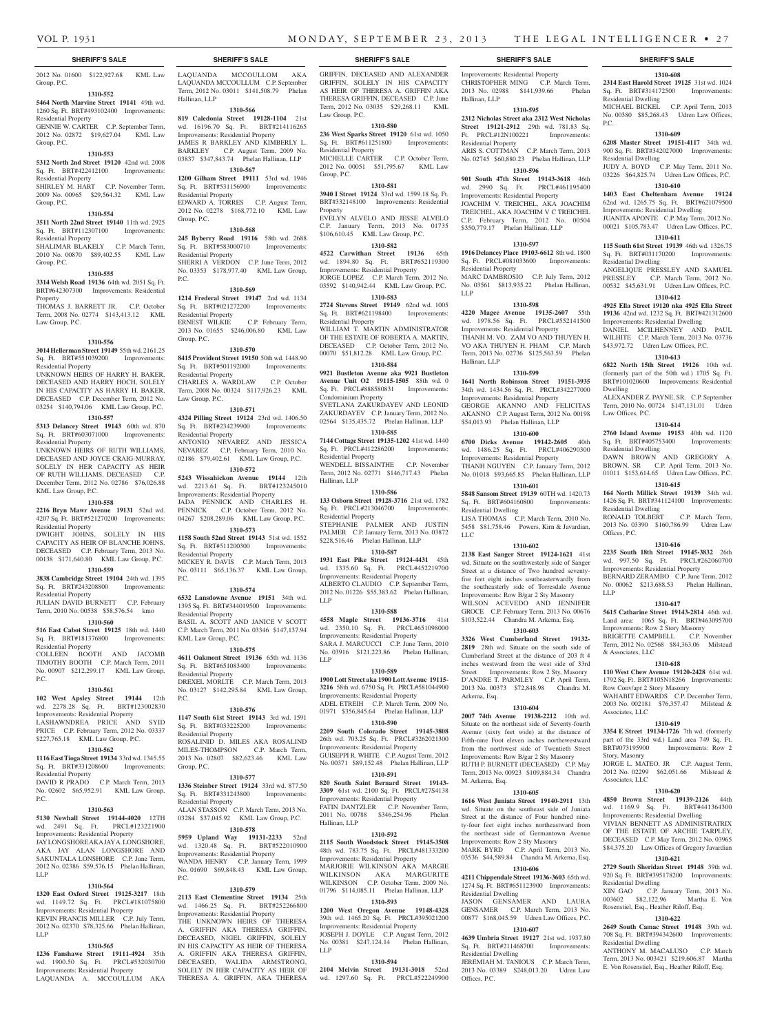Improvements: Residential Property CHRISTOPHER MING C.P. March Term, 2013 No. 02988 \$141,939.66 Phelan

**1310-595 2312 Nicholas Street aka 2312 West Nicholas Street 19121-2912** 29th wd. 781.83 Sq. Ft. PRCL#12N100221 Improvements:

**1310-608 2314 East Harold Street 19125** 31st wd. 1024 Sq. Ft. BRT#314172500 Improvements:

MICHAEL BICKEL C.P. April Term, 2013 No. 00380 \$85,268.43 Udren Law Offices,

**1310-609 6208 Master Street 19151-4117** 34th wd. 900 Sq. Ft. BRT#342027000 Improvements:

JUDY A. BOYD C.P. May Term, 2011 No. 03226 \$64,825.74 Udren Law Offices, P.C. **1310-610 1403 East Cheltenham Avenue 19124**  62nd wd. 1265.75 Sq. Ft. BRT#621079500 Improvements: Residential Dwelling JUANITA APONTE C.P. May Term, 2012 No. 00021 \$105,783.47 Udren Law Offices, P.C. **1310-611 115 South 61st Street 19139** 46th wd. 1326.75 Sq. Ft. BRT#031170200 Improvements:

ANGELIQUE PRESSLEY AND SAMUEL PRESSLEY C.P. March Term, 2012 No. 00532 \$45,631.91 Udren Law Offices, P.C. **1310-612 4925 Ella Street 19120 nka 4925 Ella Street 19136** 42nd wd. 1232 Sq. Ft. BRT#421312600 Improvements: Residential Dwelling DANIEL MCILHENNEY AND PAUL WILHITE C.P. March Term, 2013 No. 03736 \$43,972.72 Udren Law Offices, P.C. **1310-613 6822 North 15th Street 19126** 10th wd. (formerly part of the 50th wd.) 1705 Sq. Ft. BRT#101020600 Improvements: Residential

ALEXANDER Z. PAYNE, SR. C.P. September Term, 2010 No. 00724 \$147,131.01 Udren

**1310-614 2760 Island Avenue 19153** 40th wd. 1120 Sq. Ft. BRT#405753400 Improvements:

DAWN BROWN AND GREGORY A. BROWN, SR C.P. April Term, 2013 No. 01011 \$153,614.65 Udren Law Offices, P.C. **1310-615 164 North Millick Street 19139** 34th wd. 1426 Sq. Ft. BRT#341124100 Improvements:

2013 No. 03390 \$160,786.99 Udren Law

**1310-616 2235 South 18th Street 19145-3832** 26th wd. 997.50 Sq. Ft. PRCL#262060700 Improvements: Residential Property BERNARD ZERAMBO C.P. June Term, 2012 No. 00062 \$213,688.53 Phelan Hallinan,

**1310-617 5615 Catharine Street 19143-2814** 46th wd. Land area: 1065 Sq. Ft. BRT#463095700 Improvements: Row 2 Story Masonry BRIGETTE CAMPBELL C.P. November Term, 2012 No. 02568 \$84,363.06 Milstead

**1310-618 110 West Chew Avenue 19120-2428** 61st wd. 1792 Sq. Ft. BRT#105N18266 Improvements:

WAHABIT EDWARDS C.P. December Term, 2003 No. 002181 \$76,357.47 Milstead &

**1310-619 3354 E Street 19134-1726** 7th wd. (formerly part of the 33rd wd.) Land area 749 Sq. Ft.<br>BRT#073195900 Improvements: Row 2

JORGE L. MATEO, JR C.P. August Term, 2012 No. 02299 \$62,051.66 Milstead &

**1310-620 4850 Brown Street 19139-2126** 44th wd. 1169.9 Sq. Ft. BRT#441364300 Improvements: Residential Dwelling VIVIAN BENNETT AS ADMINISTRATRIX OF THE ESTATE OF ARCHIE TARPLEY, DECEASED C.P. May Term, 2012 No. 03965 \$84,375.20 Law Offices of Gregory Javardian **1310-621 2729 South Sheridan Street 19148** 39th wd. 920 Sq. Ft. BRT#395178200 Improvements:

XIN GAO C.P. January Term, 2013 No. 003602 \$82,122.96 Martha E. Von Rosenstiel, Esq., Heather Riloff, Esq. **1310-622 2649 South Camac Street 19148** 39th wd. 708 Sq. Ft. BRT#394342600 Improvements:

ANTHONY M. MACALUSO C.P. March Term, 2013 No. 003421 \$219,606.87 Martha E. Von Rosenstiel, Esq., Heather Riloff, Esq.

Improvements: Row 2

C.P. March Term,

Residential Dwelling

Residential Dwelling

Residential Dwelling

Dwelling

Law Offices, P.C.

Residential Dwelling

Residential Dwelling

& Associates, LLC

Associates, LLC

Story, Masonry

Associates, LLC

Residential Dwelling

Residential Dwelling

Row Conv/apr 2 Story Masonry

 $Office$  P $C$ .

LLP

P.C.

ARIS S. COTTMAN C.P. March Term, 2013 No. 02745 \$60,880.23 Phelan Hallinan, LLP **1310-596 901 South 47th Street 19143-3618** 46th<br>wd. 2990 Sq. Ft. PRCL#461195400

MARC DAMBROSIO C.P. July Term, 2012 No. 03561 \$813,935.22 Phelan Hallinan,

**1310-598 4220 Magee Avenue 19135-2607** 55th wd. 1978.56 Sq. Ft. PRCL#552141500 Improvements: Residential Property THANH M. VO, ZAM VO AND THUYEN H. VO AKA THUYEN H. PHAM C.P. March Term, 2013 No. 02736 \$125,563.59 Phelan

**1310-599 1641 North Robinson Street 19151-3935**  34th wd. 1434.56 Sq. Ft. PRCL#342277000 Improvements: Residential Property GEORGE AKANNO AND FELICITAS AKANNO C.P. August Term, 2012 No. 00198 \$54,013.93 Phelan Hallinan, LLP **1310-600 6700 Dicks Avenue 19142-2605** 40th wd. 1486.25 Sq. Ft. PRCL#406290300 Improvements: Residential Property THANH NGUYEN C.P. January Term, 2012 No. 01018 \$93,665.85 Phelan Hallinan, LLP **1310-601 5848 Sansom Street 19139** 60TH wd. 1420.73 Sq. Ft. BRT#604160800 Improvements:

LISA THOMAS C.P. March Term, 2010 No. 5458 \$81,758.46 Powers, Kirn & Javardian,

**1310-602 2138 East Sanger Street 19124-1621** 41st wd. Situate on the southwesterly side of Sanger Street at a distance of Two hundred seventyfive feet eight inches southeasterwardly from the southeasterly side of Torresdale Avenue Improvements: Row B/gar 2 Sty Masonry WILSON ACEVEDO AND JENNIFER GROCE C.P. February Term, 2013 No. 00676 \$103,522.44 Chandra M. Arkema, Esq. **1310-603 3326 West Cumberland Street 19132- 2819** 28th wd. Situate on the south side of Cumberland Street at the distance of 203 ft 4 inches westward from the west side of 33rd Street Improvements: Row 2 Sty, Masonry D'ANDRE T. PARMLEY C.P. April Term, 2013 No. 00373 \$72,848.98 Chandra M.

**1310-604 2007 74th Avenue 19138-2212** 10th wd. Situate on the northeast side of Seventy-fourth Avenue (sixty feet wide) at the distance of Fifth-nine Foot eleven inches northewestward from the northwest side of Twentieth Street Improvements: Row B/gar 2 Sty Masonry RUTH P. BURNETT (DECEASED) C.P. May Term, 2013 No. 00923 \$109,884.34 Chandra

**1310-605 1616 West Juniata Street 19140-2911** 13th wd. Situate on the southeast side of Juniata Street at the distance of Four hundred ninety-four feet eight inches northeastward from the northeast side of Germantown Avenue Improvements: Row 2 Sty Masonry MARK BYRD C.P. April Term, 2013 No. 03536 \$44,589.84 Chandra M. Arkema, Esq. **1310-606 4211 Chippendale Street 19136-3603** 65th wd. 1274 Sq. Ft. BRT#651123900 Improvements:

JASON GENSAMER AND LAURA GENSAMER C.P. March Term, 2013 No. 00877 \$168,045.59 Udren Law Offices, P.C. **1310-607 4639 Umbria Street 19127** 21st wd. 1937.80 Sq. Ft. BRT#211468700 Improvements:

JEREMIAH M. TANIOUS C.P. March Term, 2013 No. 03389 \$248,013.20 Udren Law

Hallinan, LLP

Residential Property

wd. 2990 Sq. Ft. Improvements: Residential Property JOACHIM V. TREICHEL, AKA JOACHIM TREICHEL, AKA JOACHIM V C TREICHEL C.P. February Term, 2012 No. 00504 \$350,779.17 Phelan Hallinan, LLP **1310-597 1916 Delancey Place 19103-6612** 8th wd. 1800 Sq. Ft. PRCL#081033600 Improvements:

Residential Property

Hallinan, LLP

Residential Dwelling

LLC

Arkema, Esq.

M. Arkema, Esq.

Residential Dwelling

Residential Dwelling

Offices, P.C.

LLP

2012 No. 01600 \$122,927.68 KML Law Group, P.C.

#### **1310-552**

**5464 North Marvine Street 19141** 49th wd. 1260 Sq. Ft. BRT#493102400 Improvements: Residential Property

GENNIE W. CARTER C.P. September Term, 2012 No. 02872 \$19,627.04 KML Law Group, P.C.

### **1310-553**

**5312 North 2nd Street 19120** 42nd wd. 2008 Sq. Ft. BRT#422412100 Improvements: Residential Property SHIRLEY M. HART C.P. November Term,

#### 2009 No. 00965 \$29,564.32 KML Law Group, P.C. **1310-554**

**3511 North 22nd Street 19140** 11th wd. 2925 Sq. Ft. BRT#112307100 Improvements:

## Residential Property SHALIMAR BLAKELY C.P. March Term,

2010 No. 00870 \$89,402.55 KML Law Group, P.C.

#### **1310-555**

**3314 Welsh Road 19136** 64th wd. 2051 Sq. Ft. BRT#642307300 Improvements: Residential Property THOMAS J. BARRETT JR. C.P. October

Term, 2008 No. 02774 \$143,413.12 KML Law Group, P.C.

#### **1310-556**

**3014 Hellerman Street 19149** 55th wd. 2161.25 Sq. Ft. BRT#551039200 Improvements:

Residential Property UNKNOWN HEIRS OF HARRY H. BAKER, DECEASED AND HARRY HOCH, SOLELY IN HIS CAPACITY AS HARRY H. BAKER, DECEASED C.P. December Term, 2012 No. 03254 \$140,794.06 KML Law Group, P.C.

#### **1310-557**

**5313 Delancey Street 19143** 60th wd. 870 Sq. Ft. BRT#603071000 Improvements: Residential Property UNKNOWN HEIRS OF RUTH WILLIAMS, DECEASED AND JOYCE CRAIG-MURRAY, SOLELY IN HER CAPACITY AS HEIR

OF RUTH WILLIAMS, DECEASED C.P. December Term, 2012 No. 02786 \$76,026.88 KML Law Group, P.C.

### **1310-558**

**2216 Bryn Mawr Avenue 19131** 52nd wd. 4207 Sq. Ft. BRT#521270200 Improvements: Residential Property

DWIGHT JOHNS, SOLELY IN HIS CAPACITY AS HEIR OF BLANCHE JOHNS, DECEASED C.P. February Term, 2013 No. 00138 \$171,640.80 KML Law Group, P.C.

## **1310-559**

**3838 Cambridge Street 19104** 24th wd. 1395 Sq. Ft. BRT#243208800 Improvements: Residential Property

#### JULIAN DAVID BURNETT C.P. February Term, 2010 No. 00538 \$58,576.54 kmo **1310-560 516 East Cabot Street 19125** 18th wd. 1440

Sq. Ft. BRT#181376800 Improvements: Residential Property COLLEEN BOOTH AND JACOMB

TIMOTHY BOOTH C.P. March Term, 2011 No. 00907 \$212,299.17 KML Law Group,  $PC$ 

### **1310-561**

**102 West Apsley Street 19144** 12th wd. 2278.28 Sq. Ft. BRT#123002830 Improvements: Residential Property

#### LASHAWNDREA PRICE AND SYID PRICE C.P. February Term, 2012 No. 03337

\$227,765.18 KML Law Group, P.C. **1310-562**

**1116 East Tioga Street 19134** 33rd wd. 1345.55 Sq. Ft. BRT#331208600 Improvements: esidential Property

DAVID R PRADO C.P. March Term, 2013 No. 02602 \$65,952.91 KML Law Group, P.C.

#### **1310-563**

**5130 Newhall Street 19144-4020** 12TH<br>wd. 2491 Sq. Ft. PRCL#123221900 wd. 2491 Sq. Ft. Improvements: Residential Property JAY LONGSHORE AKA JAY A. LONGSHORE, AKA JAY ALAN LONGSHORE AND SAKUNTALA LONSHORE C.P. June Term, 2012 No. 02386 \$59,576.15 Phelan Hallinan,

#### **1310-564**

LLP

**1320 East Oxford Street 19125-3217** 18th wd. 1149.72 Sq. Ft. PRCL#181075800 Improvements: Residential Property

KEVIN FRANCIS MILLER C.P. July Term, 2012 No. 02370 \$78,325.66 Phelan Hallinan, LLP

#### **1310-565 1236 Fanshawe Street 19111-4924** 35th

wd. 1900.50 Sq. Ft. PRCL#532030700 Improvements: Residential Property LAQUANDA A. MCCOULLUM AKA LAQUANDA MCCOULLOM AKA LAQUANDA MCCOULLUM C.P. September Term, 2012 No. 03011 \$141,508.79 Phelan Hallinan, LLP

#### **1310-566**

**819 Caledonia Street 19128-1104** 21st wd. 16196.70 Sq. Ft. BRT#214116265 Improvements: Residential Property JAMES R BARKLEY AND KIMBERLY L. BARKLEY C.P. August Term, 2009 No. 03837 \$347,843.74 Phelan Hallinan, LLP

#### **1310-567 1200 Gilham Street 19111** 53rd wd. 1946

Sq. Ft. BRT#531156900 Improvements: Residential Property EDWARD A. TORRES C.P. August Term, 2012 No. 02278 \$168,772.10 KML Law Group, P.C.

#### **1310-568**

**245 Byberry Road 19116** 58th wd. 2688 Sq. Ft. BRT#583000710 Improvements: Residential Property SHERRI A VERDON C.P. June Term, 2012 No. 03353 \$178,977.40 KML Law Group,

P.C. **1310-569**

### **1214 Frederal Street 19147** 2nd wd. 1134

Sq. Ft. BRT#021272200 Improvements: Residential Property ERNEST WILKIE C.P. February Term, 2013 No. 01655 \$246,006.80 KML Law Group, P.C.

#### **1310-570**

**8415 Provident Street 19150** 50th wd. 1448.90 Sq. Ft. BRT#501192000 Improvements: Residential Property CHARLES A. WARDLAW C.P. October

Term, 2008 No. 00324 \$117,926.23 KML Law Group, P.C. **1310-571**

**4324 Pilling Street 19124** 23rd wd. 1406.50 Sq. Ft. BRT#234239900 Improvements: Residential Property ANTONIO NEVAREZ AND JESSICA NEVAREZ C.P. February Term, 2010 No. 02186 \$79,402.61 KML Law Group, P.C.

#### **1310-572**

**5243 Wissahickon Avenue 19144** 12th wd. 2213.61 Sq. Ft. BRT#123245010 Improvements: Residential Property JADA PENNICK AND CHARLES H. PENNICK C.P. October Term, 2012 No. 04267 \$208,289.06 KML Law Group, P.C.

**1310-573 1158 South 52nd Street 19143** 51st wd. 1552 Sq. Ft. BRT#511200300 Improvements: Residential Property

MICKEY R. DAVIS C.P. March Term, 2013 No. 03111 \$65,136.37 KML Law Group, P.C.

#### **1310-574**

**6532 Lansdowne Avenue 19151** 34th wd. 1395 Sq. Ft. BRT#344019500 Improvements: Residential Property BASIL A. SCOTT AND JANICE V SCOTT C.P. March Term, 2011 No. 03346 \$147,137.94

## KML Law Group, P.C.

**1310-575 4611 Oakmont Street 19136** 65th wd. 1136 Sq. Ft. BRT#651083400 Improvements: Residential Property DREXEL MORLTE C.P. March Term, 2013 No. 03127 \$142,295.84 KML Law Group, P.C.

#### **1310-576**

**1147 South 61st Street 19143** 3rd wd. 1591 Sq. Ft. BRT#033225200 Improvements: Residential Property ROSALINID D. MILES AKA ROSALIND MILES-THOMPSON C.P. March Term, 2013 No. 02807 \$82,623.46 KML Law Group, P.C.

#### **1310-577**

**1336 Steinber Street 19124** 33rd wd. 877.50 Sq. Ft. BRT#331243800 Improvements: Residential Property ALAN STASSON C.P. March Term, 2013 No. 03284 \$37,045.92 KML Law Group, P.C.

## **1310-578 5959 Upland Way 19131-2233** 52nd

wd. 1320.48 Sq. Ft. BRT#522010900 Improvements: Residential Property WANDA HENRY C.P. January Term, 1999 No. 01690 \$69,848.43 KML Law Group, P.C.

#### **1310-579**

**2113 East Clementine Street 19134** 25th wd. 1466.25 Sq. Ft. BRT#252266800 Improvements: Residential Property THE UNKNOWN HEIRS OF THERESA

A. GRIFFIN AKA THERESA GRIFFIN, DECEASED, NIGEL GRIFFIN, SOLELY IN HIS CAPACITY AS HEIR OF THERESA A. GRIFFIN AKA THERESA GRIFFIN, DECEASED, WALIDA ARMSTRONG, SOLELY IN HER CAPACITY AS HEIR OF THERESA A. GRIFFIN, AKA THERESA

**SHERIFF'S SALE SHERIFF'S SALE SHERIFF'S SALE SHERIFF'S SALE SHERIFF'S SALE**

GRIFFIN, DECEASED AND ALEXANDER GRIFFIN, SOLELY IN HIS CAPACITY AS HEIR OF THERESA A. GRIFFIN AKA THERESA GRIFFIN, DECEASED C.P. June Term, 2012 No. 03035 \$29,268.11 KML Law Group, P.C.

#### **1310-580**

**236 West Sparks Street 19120** 61st wd. 1050 Sq. Ft. BRT#611251800 Improvements: Residential Property MICHELLE CARTER C.P. October Term, 2012 No. 00051 \$51,795.67 KML Law Group, P.C.

## **1310-581**

**3940 I Street 19124** 33rd wd. 1599.18 Sq. Ft. BRT#332148100 Improvements: Residential Property EVELYN ALVELO AND JESSE ALVELO

C.P. January Term, 2013 No. 01735 \$106,610.45 KML Law Group, P.C. **1310-582**

**4522 Carwithan Street 19136** 65th wd. 1894.80 Sq. Ft. BRT#652119300 Improvements: Residential Property JORGE LOPEZ C.P. March Term, 2012 No. 03592 \$140,942.44 KML Law Group, P.C.

## **1310-583**

**2724 Stevens Street 19149** 62nd wd. 1005 Sq. Ft. BRT#621198400 Improvements: Residential Property WILLIAM T. MARTIN ADMINISTRATOR OF THE ESTATE OF ROBERTA A. MARTIN, DECEASED C.P. October Term, 2012 No. 00070 \$51,812.28 KML Law Group, P.C.

#### **1310-584**

**9921 Bustleton Avenue aka 9921 Bustleton Avenue Unit O2 19115-1505** 88th wd. 0 Sq. Ft. PRCL#888580831 Improvements: Condominium Property SVETLANA ZAKURDAYEV AND LEONID

ZAKURDAYEV C.P. January Term, 2012 No. 02564 \$135,435.72 Phelan Hallinan, LLP

## **1310-585**

**7144 Cottage Street 19135-1202** 41st wd. 1440 Sq. Ft. PRCL#412286200 Improvements: Residential Property WENDELL BISSAINTHE C.P. November Term, 2012 No. 02771 \$146,717.43 Phelan Hallinan, LLP

## **1310-586**

**133 Osborn Street 19128-3716** 21st wd. 1782 Sq. Ft. PRCL#213046700 Improvements: Residential Property STEPHANIE PALMER AND JUSTIN PALMER C.P. January Term, 2013 No. 03872 \$228,516.46 Phelan Hallinan, LLP

### **1310-587**

**1931 East Pike Street 19124-4431** 45th wd. 1335.60 Sq. Ft. PRCL#452219700 Improvements: Residential Property ALBERTO CLAUDIO C.P. September Term, 2012 No. 01226 \$55,383.62 Phelan Hallinan, LLP

#### **1310-588**

**4558 Maple Street 19136-3716** 41st wd. 2350.10 Sq. Ft. PRCL#651098000 Improvements: Residential Property SARA J. MARCUCCI C.P. June Term, 2010 No. 03916 \$121,223.86 Phelan Hallinan, LLP

#### **1310-589**

**1900 Lott Street aka 1900 Lott Avenue 19115- 3216** 58th wd. 6750 Sq. Ft. PRCL#581044900 Improvements: Residential Property ADEL ETREIH C.P. March Term, 2009 No. 01971 \$356,845.64 Phelan Hallinan, LLP

## **1310-590**

**2209 South Colorado Street 19145-3808**  26th wd. 703.25 Sq. Ft. PRCL#3262021300 Improvements: Residential Property GUISEPPI R. WHITE C.P. August Term, 2012 No. 00371 \$89,152.48 Phelan Hallinan, LLP **1310-591**

**820 South Saint Bernard Street 19143- 3309** 61st wd. 2100 Sq. Ft. PRCL#27S4138 Improvements: Residential Property FATIN DANTZLER C.P. November Term,<br>2011 No. 00788 \$346,254.96 Phelan 2011 No. 00788 \$346,254.96

**1310-592 2115 South Woodstock Street 19145-3508**  48th wd. 783.75 Sq. Ft. PRCL#481333200 Improvements: Residential Property MARJORIE WILKINSON AKA MARGIE WILKINSON AKA MARGURITE WILKINSON C.P. October Term, 2009 No. 01796 \$114,085.11 Phelan Hallinan, LLP **1310-593 1200 West Oregon Avenue 19148-4328**  39th wd. 1465.20 Sq. Ft. PRCL#395021200 Improvements: Residential Property JOSEPH J. DOYLE C.P. August Term, 2012 No. 00381 \$247,124.14 Phelan Hallinan,

**1310-594 2104 Melvin Street 19131-3018** 52nd wd. 1297.60 Sq. Ft. PRCL#522249900

Hallinan, LLP

LLP